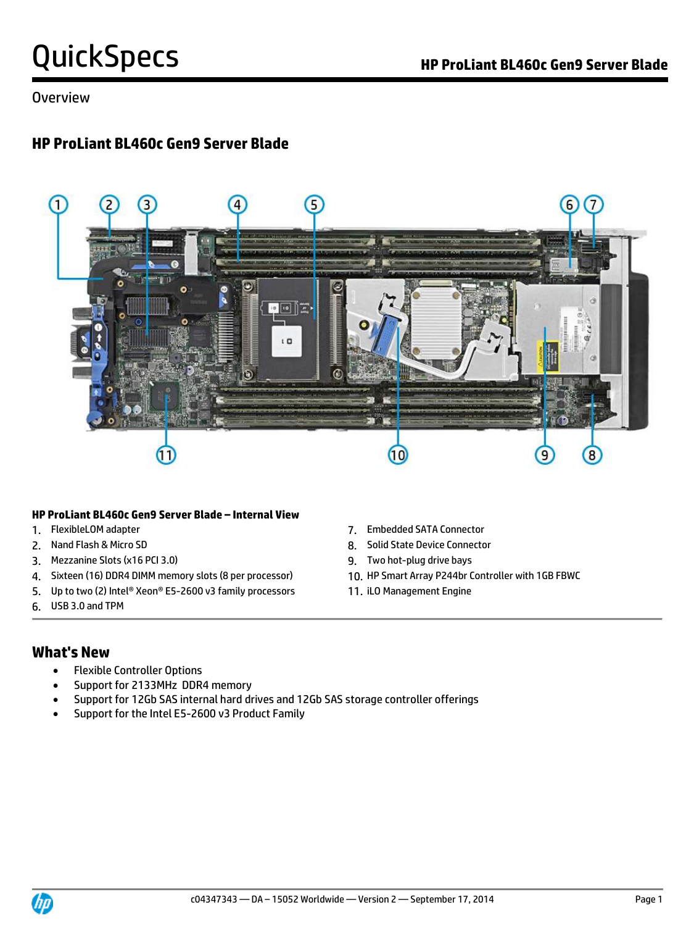Overview

## **HP ProLiant BL460c Gen9 Server Blade**



### **HP ProLiant BL460c Gen9 Server Blade – Internal View**

- 
- 
- 3. Mezzanine Slots (x16 PCI 3.0) 9. Two hot-plug drive bays
- 4. Sixteen (16) DDR4 DIMM memory slots (8 per processor) 10. HP Smart Array P244br Controller with 1GB FBWC
- 5. Up to two (2) Intel® Xeon® E5-2600 v3 family processors 11. iLO Management Engine
- 6. USB 3.0 and TPM
- 1. FlexibleLOM adapter 7. Embedded SATA Connector
- 2. Nand Flash & Micro SD 8. Solid State Device Connector
	-
	-
	-

## **What's New**

- Flexible Controller Options
- Support for 2133MHz DDR4 memory
- Support for 12Gb SAS internal hard drives and 12Gb SAS storage controller offerings
- Support for the Intel E5-2600 v3 Product Family

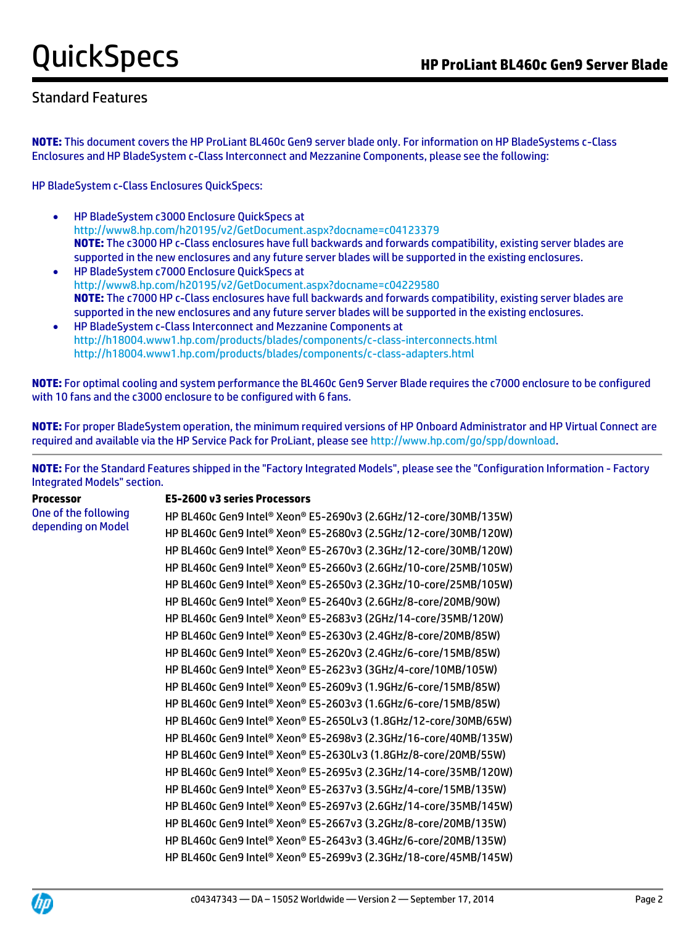## Standard Features

**NOTE:** This document covers the HP ProLiant BL460c Gen9 server blade only. For information on HP BladeSystems c-Class Enclosures and HP BladeSystem c-Class Interconnect and Mezzanine Components, please see the following:

HP BladeSystem c-Class Enclosures QuickSpecs:

- HP BladeSystem c3000 Enclosure QuickSpecs at [http://www8.hp.com/h20195/v2/GetDocument.aspx?docname=c04123379](http://h18000.www1.hp.com/products/quickspecs/12790_div/12790_div.html) **NOTE:** The c3000 HP c-Class enclosures have full backwards and forwards compatibility, existing server blades are supported in the new enclosures and any future server blades will be supported in the existing enclosures.
- HP BladeSystem c7000 Enclosure QuickSpecs at [http://www8.hp.com/h20195/v2/GetDocument.aspx?docname=c04229580](http://h18000.www1.hp.com/products/quickspecs/12810_div/12810_div.html) **NOTE:** The c7000 HP c-Class enclosures have full backwards and forwards compatibility, existing server blades are supported in the new enclosures and any future server blades will be supported in the existing enclosures.
- HP BladeSystem c-Class Interconnect and Mezzanine Components at <http://h18004.www1.hp.com/products/blades/components/c-class-interconnects.html> <http://h18004.www1.hp.com/products/blades/components/c-class-adapters.html>

**NOTE:** For optimal cooling and system performance the BL460c Gen9 Server Blade requires the c7000 enclosure to be configured with 10 fans and the c3000 enclosure to be configured with 6 fans.

**NOTE:** For proper BladeSystem operation, the minimum required versions of HP Onboard Administrator and HP Virtual Connect are required and available via the HP Service Pack for ProLiant, please see [http://www.hp.com/go/spp/download.](http://www.hp.com/go/spp/download)

**NOTE:** For the Standard Features shipped in the "Factory Integrated Models", please see the "Configuration Information - Factory Integrated Models" section.

**Processor** One of the following depending on Model

### **E5-2600 v3 series Processors**

HP BL460c Gen9 Intel® Xeon® E5-2690v3 (2.6GHz/12-core/30MB/135W) HP BL460c Gen9 Intel® Xeon® E5-2680v3 (2.5GHz/12-core/30MB/120W) HP BL460c Gen9 Intel® Xeon® E5-2670v3 (2.3GHz/12-core/30MB/120W) HP BL460c Gen9 Intel® Xeon® E5-2660v3 (2.6GHz/10-core/25MB/105W) HP BL460c Gen9 Intel® Xeon® E5-2650v3 (2.3GHz/10-core/25MB/105W) HP BL460c Gen9 Intel® Xeon® E5-2640v3 (2.6GHz/8-core/20MB/90W) HP BL460c Gen9 Intel® Xeon® E5-2683v3 (2GHz/14-core/35MB/120W) HP BL460c Gen9 Intel® Xeon® E5-2630v3 (2.4GHz/8-core/20MB/85W) HP BL460c Gen9 Intel® Xeon® E5-2620v3 (2.4GHz/6-core/15MB/85W) HP BL460c Gen9 Intel® Xeon® E5-2623v3 (3GHz/4-core/10MB/105W) HP BL460c Gen9 Intel® Xeon® E5-2609v3 (1.9GHz/6-core/15MB/85W) HP BL460c Gen9 Intel® Xeon® E5-2603v3 (1.6GHz/6-core/15MB/85W) HP BL460c Gen9 Intel® Xeon® E5-2650Lv3 (1.8GHz/12-core/30MB/65W) HP BL460c Gen9 Intel® Xeon® E5-2698v3 (2.3GHz/16-core/40MB/135W) HP BL460c Gen9 Intel® Xeon® E5-2630Lv3 (1.8GHz/8-core/20MB/55W) HP BL460c Gen9 Intel® Xeon® E5-2695v3 (2.3GHz/14-core/35MB/120W) HP BL460c Gen9 Intel® Xeon® E5-2637v3 (3.5GHz/4-core/15MB/135W) HP BL460c Gen9 Intel® Xeon® E5-2697v3 (2.6GHz/14-core/35MB/145W) HP BL460c Gen9 Intel® Xeon® E5-2667v3 (3.2GHz/8-core/20MB/135W) HP BL460c Gen9 Intel® Xeon® E5-2643v3 (3.4GHz/6-core/20MB/135W) HP BL460c Gen9 Intel® Xeon® E5-2699v3 (2.3GHz/18-core/45MB/145W)

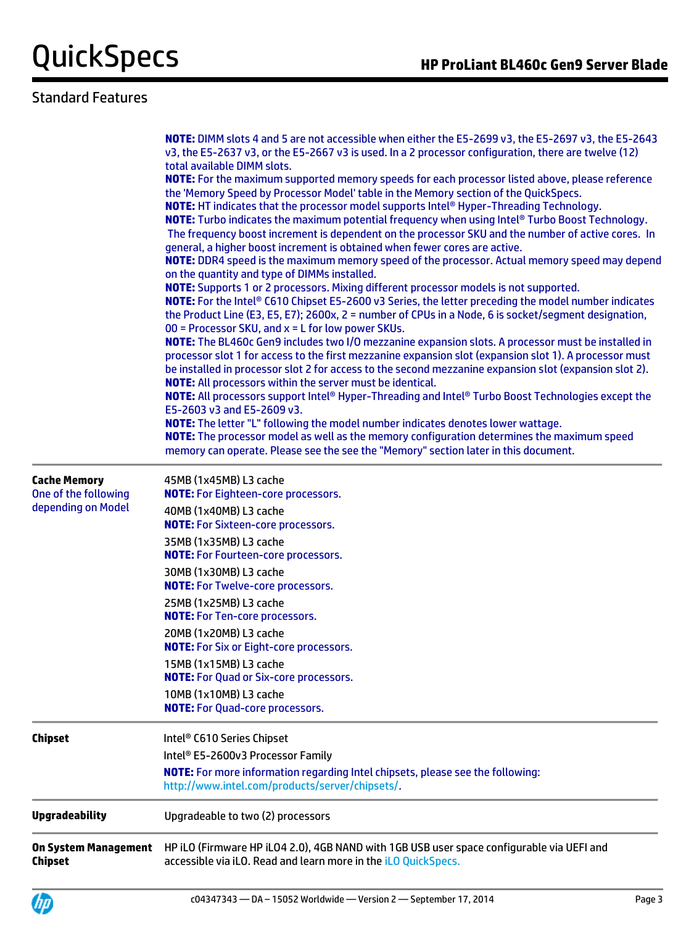## Standard Features

|                                                                   | NOTE: DIMM slots 4 and 5 are not accessible when either the E5-2699 v3, the E5-2697 v3, the E5-2643<br>v3, the E5-2637 v3, or the E5-2667 v3 is used. In a 2 processor configuration, there are twelve (12)<br>total available DIMM slots.<br>NOTE: For the maximum supported memory speeds for each processor listed above, please reference<br>the 'Memory Speed by Processor Model' table in the Memory section of the QuickSpecs.<br><b>NOTE:</b> HT indicates that the processor model supports Intel® Hyper-Threading Technology.<br><b>NOTE:</b> Turbo indicates the maximum potential frequency when using Intel® Turbo Boost Technology.<br>The frequency boost increment is dependent on the processor SKU and the number of active cores. In<br>general, a higher boost increment is obtained when fewer cores are active.<br>NOTE: DDR4 speed is the maximum memory speed of the processor. Actual memory speed may depend<br>on the quantity and type of DIMMs installed.<br>NOTE: Supports 1 or 2 processors. Mixing different processor models is not supported.<br>NOTE: For the Intel® C610 Chipset E5-2600 v3 Series, the letter preceding the model number indicates<br>the Product Line (E3, E5, E7); 2600x, 2 = number of CPUs in a Node, 6 is socket/segment designation,<br>00 = Processor SKU, and $x = L$ for low power SKUs.<br>NOTE: The BL460c Gen9 includes two I/O mezzanine expansion slots. A processor must be installed in<br>processor slot 1 for access to the first mezzanine expansion slot (expansion slot 1). A processor must<br>be installed in processor slot 2 for access to the second mezzanine expansion slot (expansion slot 2).<br><b>NOTE:</b> All processors within the server must be identical.<br>NOTE: All processors support Intel® Hyper-Threading and Intel® Turbo Boost Technologies except the<br>E5-2603 v3 and E5-2609 v3.<br><b>NOTE:</b> The letter "L" following the model number indicates denotes lower wattage.<br>NOTE: The processor model as well as the memory configuration determines the maximum speed<br>memory can operate. Please see the see the "Memory" section later in this document. |
|-------------------------------------------------------------------|--------------------------------------------------------------------------------------------------------------------------------------------------------------------------------------------------------------------------------------------------------------------------------------------------------------------------------------------------------------------------------------------------------------------------------------------------------------------------------------------------------------------------------------------------------------------------------------------------------------------------------------------------------------------------------------------------------------------------------------------------------------------------------------------------------------------------------------------------------------------------------------------------------------------------------------------------------------------------------------------------------------------------------------------------------------------------------------------------------------------------------------------------------------------------------------------------------------------------------------------------------------------------------------------------------------------------------------------------------------------------------------------------------------------------------------------------------------------------------------------------------------------------------------------------------------------------------------------------------------------------------------------------------------------------------------------------------------------------------------------------------------------------------------------------------------------------------------------------------------------------------------------------------------------------------------------------------------------------------------------------------------------------------------------------------------------------------------------------------------------------------------------------------------------------|
| <b>Cache Memory</b><br>One of the following<br>depending on Model | 45MB (1x45MB) L3 cache<br><b>NOTE:</b> For Eighteen-core processors.<br>40MB (1x40MB) L3 cache<br><b>NOTE:</b> For Sixteen-core processors.<br>35MB (1x35MB) L3 cache<br><b>NOTE:</b> For Fourteen-core processors.<br>30MB (1x30MB) L3 cache<br><b>NOTE:</b> For Twelve-core processors.<br>25MB (1x25MB) L3 cache<br><b>NOTE:</b> For Ten-core processors.<br>20MB (1x20MB) L3 cache<br><b>NOTE:</b> For Six or Eight-core processors.<br>15MB (1x15MB) L3 cache<br><b>NOTE:</b> For Quad or Six-core processors.<br>10MB (1x10MB) L3 cache<br><b>NOTE:</b> For Quad-core processors.                                                                                                                                                                                                                                                                                                                                                                                                                                                                                                                                                                                                                                                                                                                                                                                                                                                                                                                                                                                                                                                                                                                                                                                                                                                                                                                                                                                                                                                                                                                                                                                  |
| <b>Chipset</b>                                                    | Intel® C610 Series Chipset<br>Intel® E5-2600v3 Processor Family<br>NOTE: For more information regarding Intel chipsets, please see the following:<br>http://www.intel.com/products/server/chipsets/.                                                                                                                                                                                                                                                                                                                                                                                                                                                                                                                                                                                                                                                                                                                                                                                                                                                                                                                                                                                                                                                                                                                                                                                                                                                                                                                                                                                                                                                                                                                                                                                                                                                                                                                                                                                                                                                                                                                                                                     |
| <b>Upgradeability</b>                                             | Upgradeable to two (2) processors                                                                                                                                                                                                                                                                                                                                                                                                                                                                                                                                                                                                                                                                                                                                                                                                                                                                                                                                                                                                                                                                                                                                                                                                                                                                                                                                                                                                                                                                                                                                                                                                                                                                                                                                                                                                                                                                                                                                                                                                                                                                                                                                        |
| <b>On System Management</b><br><b>Chipset</b>                     | HP iLO (Firmware HP iLO4 2.0), 4GB NAND with 1GB USB user space configurable via UEFI and<br>accessible via iLO. Read and learn more in the iLO QuickSpecs.                                                                                                                                                                                                                                                                                                                                                                                                                                                                                                                                                                                                                                                                                                                                                                                                                                                                                                                                                                                                                                                                                                                                                                                                                                                                                                                                                                                                                                                                                                                                                                                                                                                                                                                                                                                                                                                                                                                                                                                                              |

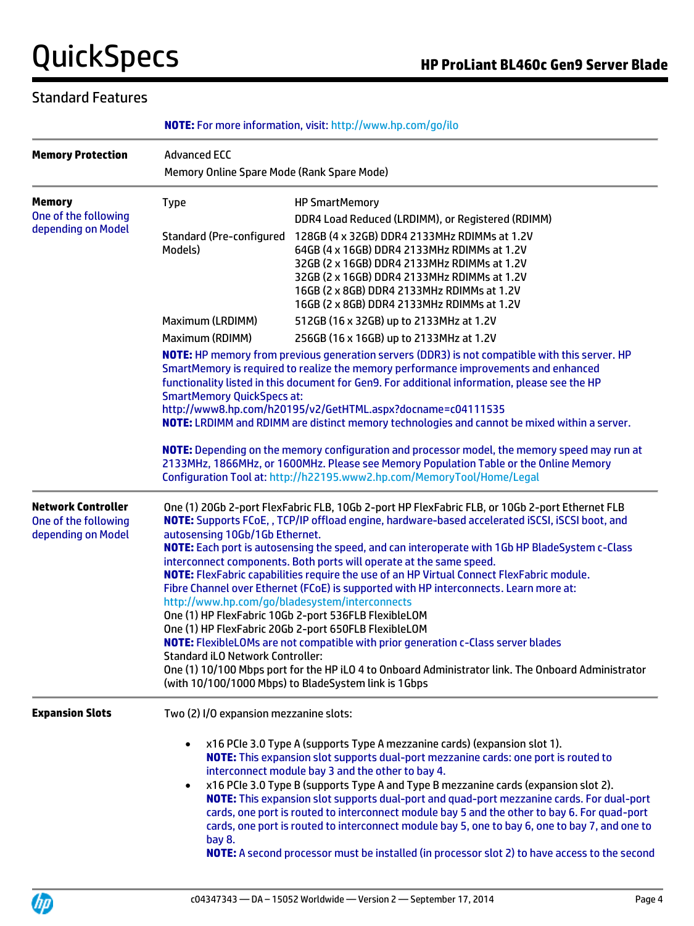## Standard Features

| <b>Memory Protection</b>                                                | <b>Advanced ECC</b><br>Memory Online Spare Mode (Rank Spare Mode)                                                                                                                                                                                                                                                                                                                                                                                                                                                                                                                                                                                                                                                                                                                                                                                                                                                                                                                                                                                                                |                                                                                                                                                                                                                                                                                                                                                                                                                                                                                                                                                                                                                                                                                                              |  |
|-------------------------------------------------------------------------|----------------------------------------------------------------------------------------------------------------------------------------------------------------------------------------------------------------------------------------------------------------------------------------------------------------------------------------------------------------------------------------------------------------------------------------------------------------------------------------------------------------------------------------------------------------------------------------------------------------------------------------------------------------------------------------------------------------------------------------------------------------------------------------------------------------------------------------------------------------------------------------------------------------------------------------------------------------------------------------------------------------------------------------------------------------------------------|--------------------------------------------------------------------------------------------------------------------------------------------------------------------------------------------------------------------------------------------------------------------------------------------------------------------------------------------------------------------------------------------------------------------------------------------------------------------------------------------------------------------------------------------------------------------------------------------------------------------------------------------------------------------------------------------------------------|--|
| <b>Memory</b><br>One of the following                                   | <b>Type</b>                                                                                                                                                                                                                                                                                                                                                                                                                                                                                                                                                                                                                                                                                                                                                                                                                                                                                                                                                                                                                                                                      | <b>HP SmartMemory</b>                                                                                                                                                                                                                                                                                                                                                                                                                                                                                                                                                                                                                                                                                        |  |
| depending on Model                                                      | Standard (Pre-configured<br>Models)                                                                                                                                                                                                                                                                                                                                                                                                                                                                                                                                                                                                                                                                                                                                                                                                                                                                                                                                                                                                                                              | DDR4 Load Reduced (LRDIMM), or Registered (RDIMM)<br>128GB (4 x 32GB) DDR4 2133MHz RDIMMs at 1.2V<br>64GB (4 x 16GB) DDR4 2133MHz RDIMMs at 1.2V<br>32GB (2 x 16GB) DDR4 2133MHz RDIMMs at 1.2V<br>32GB (2 x 16GB) DDR4 2133MHz RDIMMs at 1.2V<br>16GB (2 x 8GB) DDR4 2133MHz RDIMMs at 1.2V<br>16GB (2 x 8GB) DDR4 2133MHz RDIMMs at 1.2V                                                                                                                                                                                                                                                                                                                                                                   |  |
|                                                                         | Maximum (LRDIMM)                                                                                                                                                                                                                                                                                                                                                                                                                                                                                                                                                                                                                                                                                                                                                                                                                                                                                                                                                                                                                                                                 | 512GB (16 x 32GB) up to 2133MHz at 1.2V                                                                                                                                                                                                                                                                                                                                                                                                                                                                                                                                                                                                                                                                      |  |
|                                                                         | Maximum (RDIMM)                                                                                                                                                                                                                                                                                                                                                                                                                                                                                                                                                                                                                                                                                                                                                                                                                                                                                                                                                                                                                                                                  | 256GB (16 x 16GB) up to 2133MHz at 1.2V                                                                                                                                                                                                                                                                                                                                                                                                                                                                                                                                                                                                                                                                      |  |
|                                                                         | NOTE: HP memory from previous generation servers (DDR3) is not compatible with this server. HP<br>SmartMemory is required to realize the memory performance improvements and enhanced<br>functionality listed in this document for Gen9. For additional information, please see the HP<br><b>SmartMemory QuickSpecs at:</b><br>http://www8.hp.com/h20195/v2/GetHTML.aspx?docname=c04111535<br>NOTE: LRDIMM and RDIMM are distinct memory technologies and cannot be mixed within a server.<br>NOTE: Depending on the memory configuration and processor model, the memory speed may run at<br>2133MHz, 1866MHz, or 1600MHz. Please see Memory Population Table or the Online Memory<br>Configuration Tool at: http://h22195.www2.hp.com/MemoryTool/Home/Legal                                                                                                                                                                                                                                                                                                                    |                                                                                                                                                                                                                                                                                                                                                                                                                                                                                                                                                                                                                                                                                                              |  |
| <b>Network Controller</b><br>One of the following<br>depending on Model | One (1) 20Gb 2-port FlexFabric FLB, 10Gb 2-port HP FlexFabric FLB, or 10Gb 2-port Ethernet FLB<br>NOTE: Supports FCoE, , TCP/IP offload engine, hardware-based accelerated iSCSI, iSCSI boot, and<br>autosensing 10Gb/1Gb Ethernet.<br>NOTE: Each port is autosensing the speed, and can interoperate with 1Gb HP BladeSystem c-Class<br>interconnect components. Both ports will operate at the same speed.<br><b>NOTE:</b> FlexFabric capabilities require the use of an HP Virtual Connect FlexFabric module.<br>Fibre Channel over Ethernet (FCoE) is supported with HP interconnects. Learn more at:<br>http://www.hp.com/go/bladesystem/interconnects<br>One (1) HP FlexFabric 10Gb 2-port 536FLB FlexibleLOM<br>One (1) HP FlexFabric 20Gb 2-port 650FLB FlexibleLOM<br><b>NOTE:</b> FlexibleLOMs are not compatible with prior generation c-Class server blades<br><b>Standard iLO Network Controller:</b><br>One (1) 10/100 Mbps port for the HP iLO 4 to Onboard Administrator link. The Onboard Administrator<br>(with 10/100/1000 Mbps) to BladeSystem link is 1Gbps |                                                                                                                                                                                                                                                                                                                                                                                                                                                                                                                                                                                                                                                                                                              |  |
| <b>Expansion Slots</b>                                                  | Two (2) I/O expansion mezzanine slots:<br>$\bullet$<br>bay 8.                                                                                                                                                                                                                                                                                                                                                                                                                                                                                                                                                                                                                                                                                                                                                                                                                                                                                                                                                                                                                    | x16 PCIe 3.0 Type A (supports Type A mezzanine cards) (expansion slot 1).<br>NOTE: This expansion slot supports dual-port mezzanine cards: one port is routed to<br>interconnect module bay 3 and the other to bay 4.<br>x16 PCIe 3.0 Type B (supports Type A and Type B mezzanine cards (expansion slot 2).<br>NOTE: This expansion slot supports dual-port and quad-port mezzanine cards. For dual-port<br>cards, one port is routed to interconnect module bay 5 and the other to bay 6. For quad-port<br>cards, one port is routed to interconnect module bay 5, one to bay 6, one to bay 7, and one to<br>NOTE: A second processor must be installed (in processor slot 2) to have access to the second |  |

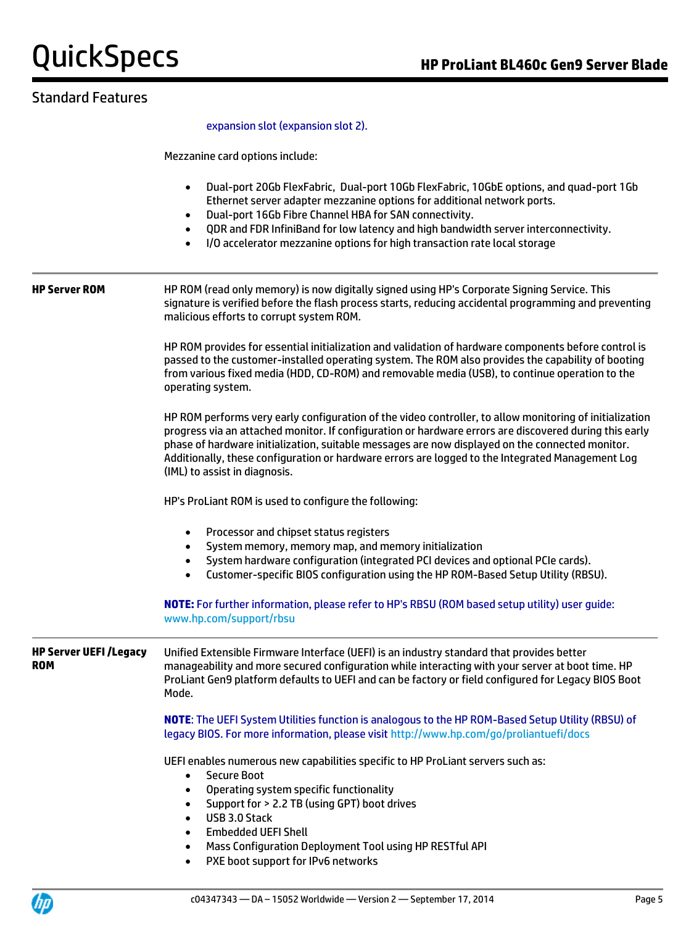## Standard Features

expansion slot (expansion slot 2).

Mezzanine card options include:

- Dual-port 20Gb FlexFabric, Dual-port 10Gb FlexFabric, 10GbE options, and quad-port 1Gb Ethernet server adapter mezzanine options for additional network ports.
- Dual-port 16Gb Fibre Channel HBA for SAN connectivity.
- QDR and FDR InfiniBand for low latency and high bandwidth server interconnectivity.
- I/O accelerator mezzanine options for high transaction rate local storage

**HP Server ROM** HP ROM (read only memory) is now digitally signed using HP's Corporate Signing Service. This signature is verified before the flash process starts, reducing accidental programming and preventing malicious efforts to corrupt system ROM.

> HP ROM provides for essential initialization and validation of hardware components before control is passed to the customer-installed operating system. The ROM also provides the capability of booting from various fixed media (HDD, CD-ROM) and removable media (USB), to continue operation to the operating system.

> HP ROM performs very early configuration of the video controller, to allow monitoring of initialization progress via an attached monitor. If configuration or hardware errors are discovered during this early phase of hardware initialization, suitable messages are now displayed on the connected monitor. Additionally, these configuration or hardware errors are logged to the Integrated Management Log (IML) to assist in diagnosis.

HP's ProLiant ROM is used to configure the following:

- Processor and chipset status registers
- System memory, memory map, and memory initialization
- System hardware configuration (integrated PCI devices and optional PCIe cards).
- Customer-specific BIOS configuration using the HP ROM-Based Setup Utility (RBSU).

**NOTE:** For further information, please refer to HP's RBSU (ROM based setup utility) user guide: [www.hp.com/support/rbsu](http://www.hp.com/support/rbsu)

**HP Server UEFI /Legacy ROM** Unified Extensible Firmware Interface (UEFI) is an industry standard that provides better manageability and more secured configuration while interacting with your server at boot time. HP ProLiant Gen9 platform defaults to UEFI and can be factory or field configured for Legacy BIOS Boot Mode.

> **NOTE**: The UEFI System Utilities function is analogous to the HP ROM-Based Setup Utility (RBSU) of legacy BIOS. For more information, please visi[t http://www.hp.com/go/proliantuefi/docs](http://www.hp.com/go/proliantuefi/docs)

UEFI enables numerous new capabilities specific to HP ProLiant servers such as:

- Secure Boot
- Operating system specific functionality
- Support for > 2.2 TB (using GPT) boot drives
- USB 3.0 Stack
- Embedded UEFI Shell
- Mass Configuration Deployment Tool using HP RESTful API
- PXE boot support for IPv6 networks

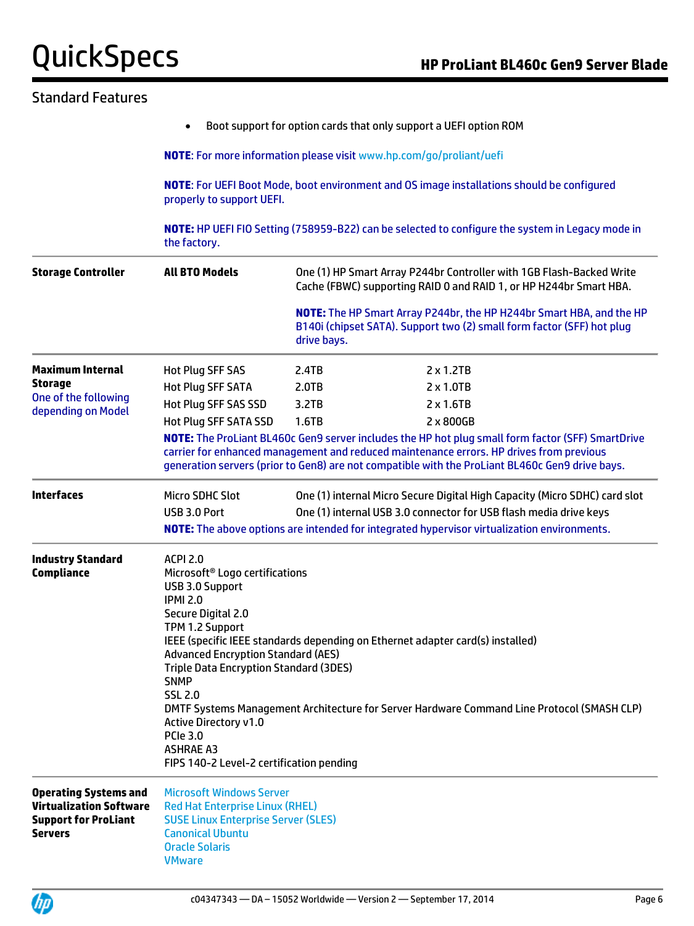| <b>Standard Features</b>                                                                                        |                                                                                                                                                                                                                                                                                                                                                                                                                                                                                                                                                                                |             |                                                                                                                                                |  |
|-----------------------------------------------------------------------------------------------------------------|--------------------------------------------------------------------------------------------------------------------------------------------------------------------------------------------------------------------------------------------------------------------------------------------------------------------------------------------------------------------------------------------------------------------------------------------------------------------------------------------------------------------------------------------------------------------------------|-------------|------------------------------------------------------------------------------------------------------------------------------------------------|--|
|                                                                                                                 | $\bullet$                                                                                                                                                                                                                                                                                                                                                                                                                                                                                                                                                                      |             | Boot support for option cards that only support a UEFI option ROM                                                                              |  |
|                                                                                                                 |                                                                                                                                                                                                                                                                                                                                                                                                                                                                                                                                                                                |             | <b>NOTE:</b> For more information please visit www.hp.com/go/proliant/uefi                                                                     |  |
|                                                                                                                 | <b>NOTE:</b> For UEFI Boot Mode, boot environment and OS image installations should be configured<br>properly to support UEFI.                                                                                                                                                                                                                                                                                                                                                                                                                                                 |             |                                                                                                                                                |  |
|                                                                                                                 | the factory.                                                                                                                                                                                                                                                                                                                                                                                                                                                                                                                                                                   |             | NOTE: HP UEFI FIO Setting (758959-B22) can be selected to configure the system in Legacy mode in                                               |  |
| <b>Storage Controller</b>                                                                                       | <b>All BTO Models</b>                                                                                                                                                                                                                                                                                                                                                                                                                                                                                                                                                          |             | One (1) HP Smart Array P244br Controller with 1GB Flash-Backed Write<br>Cache (FBWC) supporting RAID 0 and RAID 1, or HP H244br Smart HBA.     |  |
|                                                                                                                 |                                                                                                                                                                                                                                                                                                                                                                                                                                                                                                                                                                                | drive bays. | NOTE: The HP Smart Array P244br, the HP H244br Smart HBA, and the HP<br>B140i (chipset SATA). Support two (2) small form factor (SFF) hot plug |  |
| <b>Maximum Internal</b>                                                                                         | <b>Hot Plug SFF SAS</b>                                                                                                                                                                                                                                                                                                                                                                                                                                                                                                                                                        | 2.4TB       | $2 \times 1.2TB$                                                                                                                               |  |
| <b>Storage</b>                                                                                                  | <b>Hot Plug SFF SATA</b>                                                                                                                                                                                                                                                                                                                                                                                                                                                                                                                                                       | 2.0TB       | $2 \times 1.0$ TB                                                                                                                              |  |
| One of the following                                                                                            | Hot Plug SFF SAS SSD                                                                                                                                                                                                                                                                                                                                                                                                                                                                                                                                                           | 3.2TB       | $2 \times 1.6$ TB                                                                                                                              |  |
| depending on Model                                                                                              | Hot Plug SFF SATA SSD                                                                                                                                                                                                                                                                                                                                                                                                                                                                                                                                                          | 1.6TB       | 2 x 800GB                                                                                                                                      |  |
|                                                                                                                 | NOTE: The ProLiant BL460c Gen9 server includes the HP hot plug small form factor (SFF) SmartDrive<br>carrier for enhanced management and reduced maintenance errors. HP drives from previous<br>generation servers (prior to Gen8) are not compatible with the ProLiant BL460c Gen9 drive bays.                                                                                                                                                                                                                                                                                |             |                                                                                                                                                |  |
| <b>Interfaces</b>                                                                                               | Micro SDHC Slot                                                                                                                                                                                                                                                                                                                                                                                                                                                                                                                                                                |             | One (1) internal Micro Secure Digital High Capacity (Micro SDHC) card slot                                                                     |  |
|                                                                                                                 | USB 3.0 Port                                                                                                                                                                                                                                                                                                                                                                                                                                                                                                                                                                   |             | One (1) internal USB 3.0 connector for USB flash media drive keys                                                                              |  |
|                                                                                                                 |                                                                                                                                                                                                                                                                                                                                                                                                                                                                                                                                                                                |             | NOTE: The above options are intended for integrated hypervisor virtualization environments.                                                    |  |
| <b>Industry Standard</b><br><b>Compliance</b>                                                                   | <b>ACPI 2.0</b><br>Microsoft <sup>®</sup> Logo certifications<br>USB 3.0 Support<br><b>IPMI 2.0</b><br>Secure Digital 2.0<br>TPM 1.2 Support<br>IEEE (specific IEEE standards depending on Ethernet adapter card(s) installed)<br><b>Advanced Encryption Standard (AES)</b><br><b>Triple Data Encryption Standard (3DES)</b><br><b>SNMP</b><br><b>SSL 2.0</b><br>DMTF Systems Management Architecture for Server Hardware Command Line Protocol (SMASH CLP)<br><b>Active Directory v1.0</b><br><b>PCIe 3.0</b><br><b>ASHRAE A3</b><br>FIPS 140-2 Level-2 certification pending |             |                                                                                                                                                |  |
| <b>Operating Systems and</b><br><b>Virtualization Software</b><br><b>Support for ProLiant</b><br><b>Servers</b> | <b>Microsoft Windows Server</b><br><b>Red Hat Enterprise Linux (RHEL)</b><br><b>SUSE Linux Enterprise Server (SLES)</b><br><b>Canonical Ubuntu</b><br><b>Oracle Solaris</b><br><b>VMware</b>                                                                                                                                                                                                                                                                                                                                                                                   |             |                                                                                                                                                |  |

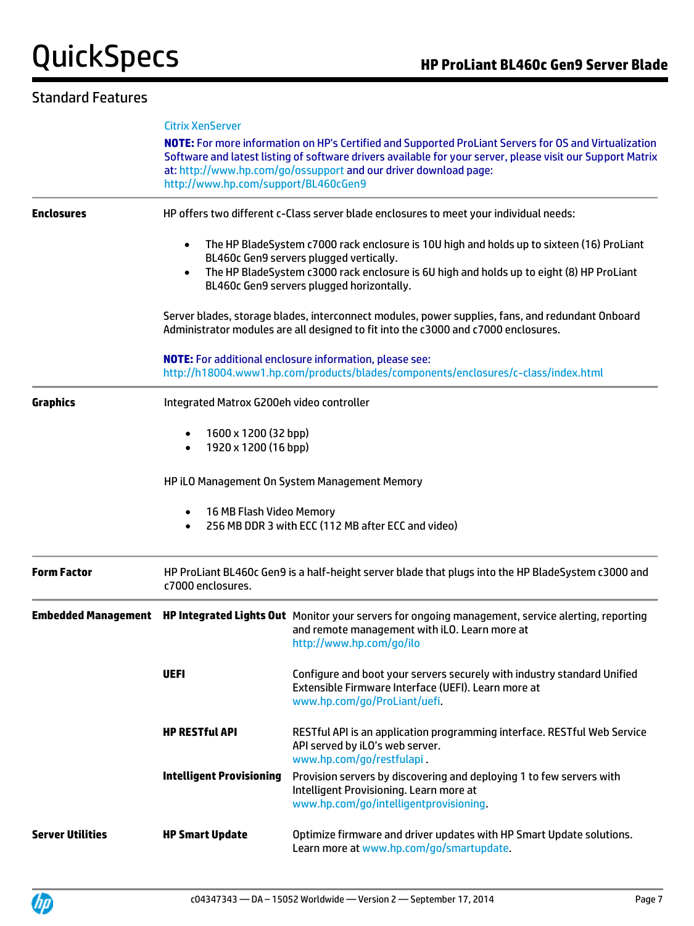## Standard Features

|                         | <b>Citrix XenServer</b><br>NOTE: For more information on HP's Certified and Supported ProLiant Servers for OS and Virtualization<br>Software and latest listing of software drivers available for your server, please visit our Support Matrix<br>at: http://www.hp.com/go/ossupport and our driver download page:<br>http://www.hp.com/support/BL460cGen9 |                                                                                                                                                                                                    |  |
|-------------------------|------------------------------------------------------------------------------------------------------------------------------------------------------------------------------------------------------------------------------------------------------------------------------------------------------------------------------------------------------------|----------------------------------------------------------------------------------------------------------------------------------------------------------------------------------------------------|--|
|                         |                                                                                                                                                                                                                                                                                                                                                            |                                                                                                                                                                                                    |  |
| <b>Enclosures</b>       |                                                                                                                                                                                                                                                                                                                                                            | HP offers two different c-Class server blade enclosures to meet your individual needs:                                                                                                             |  |
|                         | The HP BladeSystem c7000 rack enclosure is 10U high and holds up to sixteen (16) ProLiant<br>BL460c Gen9 servers plugged vertically.<br>The HP BladeSystem c3000 rack enclosure is 6U high and holds up to eight (8) HP ProLiant<br>$\bullet$<br>BL460c Gen9 servers plugged horizontally.                                                                 |                                                                                                                                                                                                    |  |
|                         | Server blades, storage blades, interconnect modules, power supplies, fans, and redundant Onboard<br>Administrator modules are all designed to fit into the c3000 and c7000 enclosures.                                                                                                                                                                     |                                                                                                                                                                                                    |  |
|                         | <b>NOTE:</b> For additional enclosure information, please see:<br>http://h18004.www1.hp.com/products/blades/components/enclosures/c-class/index.html                                                                                                                                                                                                       |                                                                                                                                                                                                    |  |
| <b>Graphics</b>         | Integrated Matrox G200eh video controller                                                                                                                                                                                                                                                                                                                  |                                                                                                                                                                                                    |  |
|                         | 1600 x 1200 (32 bpp)<br>1920 x 1200 (16 bpp)                                                                                                                                                                                                                                                                                                               |                                                                                                                                                                                                    |  |
|                         | HP iLO Management On System Management Memory                                                                                                                                                                                                                                                                                                              |                                                                                                                                                                                                    |  |
|                         | 16 MB Flash Video Memory<br>256 MB DDR 3 with ECC (112 MB after ECC and video)                                                                                                                                                                                                                                                                             |                                                                                                                                                                                                    |  |
| <b>Form Factor</b>      | HP ProLiant BL460c Gen9 is a half-height server blade that plugs into the HP BladeSystem c3000 and<br>c7000 enclosures.                                                                                                                                                                                                                                    |                                                                                                                                                                                                    |  |
|                         |                                                                                                                                                                                                                                                                                                                                                            | Embedded Management HP Integrated Lights Out Monitor your servers for ongoing management, service alerting, reporting<br>and remote management with iLO. Learn more at<br>http://www.hp.com/go/ilo |  |
|                         | <b>UEFI</b>                                                                                                                                                                                                                                                                                                                                                | Configure and boot your servers securely with industry standard Unified<br>Extensible Firmware Interface (UEFI). Learn more at<br>www.hp.com/go/ProLiant/uefi.                                     |  |
|                         | <b>HP RESTful API</b>                                                                                                                                                                                                                                                                                                                                      | RESTful API is an application programming interface. RESTful Web Service<br>API served by iLO's web server.<br>www.hp.com/go/restfulapi                                                            |  |
|                         | <b>Intelligent Provisioning</b>                                                                                                                                                                                                                                                                                                                            | Provision servers by discovering and deploying 1 to few servers with<br>Intelligent Provisioning. Learn more at<br>www.hp.com/go/intelligentprovisioning.                                          |  |
| <b>Server Utilities</b> | <b>HP Smart Update</b>                                                                                                                                                                                                                                                                                                                                     | Optimize firmware and driver updates with HP Smart Update solutions.<br>Learn more at www.hp.com/go/smartupdate.                                                                                   |  |

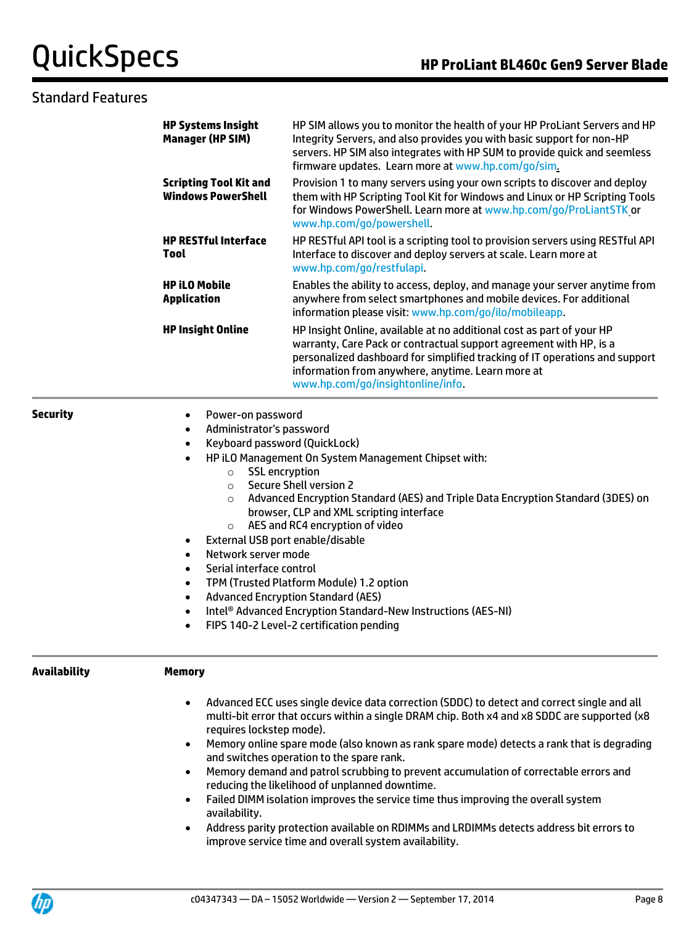## Standard Features

**Security** 

**Availability** 

| <b>HP Systems Insight</b><br><b>Manager (HP SIM)</b>         | HP SIM allows you to monitor the health of your HP ProLiant Servers and HP<br>Integrity Servers, and also provides you with basic support for non-HP<br>servers. HP SIM also integrates with HP SUM to provide quick and seemless<br>firmware updates. Learn more at www.hp.com/go/sim.<br>Provision 1 to many servers using your own scripts to discover and deploy<br>them with HP Scripting Tool Kit for Windows and Linux or HP Scripting Tools<br>for Windows PowerShell. Learn more at www.hp.com/go/ProLiantSTK or<br>www.hp.com/go/powershell.<br>HP RESTful API tool is a scripting tool to provision servers using RESTful API<br>Interface to discover and deploy servers at scale. Learn more at<br>www.hp.com/go/restfulapi. |  |  |
|--------------------------------------------------------------|-------------------------------------------------------------------------------------------------------------------------------------------------------------------------------------------------------------------------------------------------------------------------------------------------------------------------------------------------------------------------------------------------------------------------------------------------------------------------------------------------------------------------------------------------------------------------------------------------------------------------------------------------------------------------------------------------------------------------------------------|--|--|
| <b>Scripting Tool Kit and</b><br><b>Windows PowerShell</b>   |                                                                                                                                                                                                                                                                                                                                                                                                                                                                                                                                                                                                                                                                                                                                           |  |  |
| <b>HP RESTful Interface</b><br>Tool                          |                                                                                                                                                                                                                                                                                                                                                                                                                                                                                                                                                                                                                                                                                                                                           |  |  |
| <b>HP iLO Mobile</b><br><b>Application</b>                   | Enables the ability to access, deploy, and manage your server anytime from<br>anywhere from select smartphones and mobile devices. For additional<br>information please visit: www.hp.com/go/ilo/mobileapp.                                                                                                                                                                                                                                                                                                                                                                                                                                                                                                                               |  |  |
| <b>HP Insight Online</b>                                     | HP Insight Online, available at no additional cost as part of your HP<br>warranty, Care Pack or contractual support agreement with HP, is a<br>personalized dashboard for simplified tracking of IT operations and support<br>information from anywhere, anytime. Learn more at<br>www.hp.com/go/insightonline/info.                                                                                                                                                                                                                                                                                                                                                                                                                      |  |  |
| Power-on password<br>$\bullet$                               |                                                                                                                                                                                                                                                                                                                                                                                                                                                                                                                                                                                                                                                                                                                                           |  |  |
| Administrator's password<br>$\bullet$                        |                                                                                                                                                                                                                                                                                                                                                                                                                                                                                                                                                                                                                                                                                                                                           |  |  |
| Keyboard password (QuickLock)<br>$\bullet$                   |                                                                                                                                                                                                                                                                                                                                                                                                                                                                                                                                                                                                                                                                                                                                           |  |  |
| $\bullet$<br><b>SSL</b> encryption<br>$\circ$                | HP iLO Management On System Management Chipset with:                                                                                                                                                                                                                                                                                                                                                                                                                                                                                                                                                                                                                                                                                      |  |  |
| $\circ$                                                      | <b>Secure Shell version 2</b>                                                                                                                                                                                                                                                                                                                                                                                                                                                                                                                                                                                                                                                                                                             |  |  |
| $\Omega$                                                     | Advanced Encryption Standard (AES) and Triple Data Encryption Standard (3DES) on                                                                                                                                                                                                                                                                                                                                                                                                                                                                                                                                                                                                                                                          |  |  |
|                                                              | browser, CLP and XML scripting interface                                                                                                                                                                                                                                                                                                                                                                                                                                                                                                                                                                                                                                                                                                  |  |  |
| $\circ$                                                      | AES and RC4 encryption of video                                                                                                                                                                                                                                                                                                                                                                                                                                                                                                                                                                                                                                                                                                           |  |  |
| External USB port enable/disable<br>٠<br>Network server mode |                                                                                                                                                                                                                                                                                                                                                                                                                                                                                                                                                                                                                                                                                                                                           |  |  |
| $\bullet$<br>Serial interface control<br>$\bullet$           |                                                                                                                                                                                                                                                                                                                                                                                                                                                                                                                                                                                                                                                                                                                                           |  |  |
| $\bullet$                                                    | TPM (Trusted Platform Module) 1.2 option                                                                                                                                                                                                                                                                                                                                                                                                                                                                                                                                                                                                                                                                                                  |  |  |
| $\bullet$                                                    | <b>Advanced Encryption Standard (AES)</b>                                                                                                                                                                                                                                                                                                                                                                                                                                                                                                                                                                                                                                                                                                 |  |  |
| $\bullet$                                                    | Intel® Advanced Encryption Standard-New Instructions (AES-NI)                                                                                                                                                                                                                                                                                                                                                                                                                                                                                                                                                                                                                                                                             |  |  |
| $\bullet$                                                    | FIPS 140-2 Level-2 certification pending                                                                                                                                                                                                                                                                                                                                                                                                                                                                                                                                                                                                                                                                                                  |  |  |
| <b>Memory</b>                                                |                                                                                                                                                                                                                                                                                                                                                                                                                                                                                                                                                                                                                                                                                                                                           |  |  |
| $\bullet$<br>requires lockstep mode).                        | Advanced ECC uses single device data correction (SDDC) to detect and correct single and all<br>multi-bit error that occurs within a single DRAM chip. Both x4 and x8 SDDC are supported (x8                                                                                                                                                                                                                                                                                                                                                                                                                                                                                                                                               |  |  |
| $\bullet$                                                    | Memory online spare mode (also known as rank spare mode) detects a rank that is degrading<br>and switches operation to the spare rank.                                                                                                                                                                                                                                                                                                                                                                                                                                                                                                                                                                                                    |  |  |
| $\bullet$                                                    | Memory demand and patrol scrubbing to prevent accumulation of correctable errors and                                                                                                                                                                                                                                                                                                                                                                                                                                                                                                                                                                                                                                                      |  |  |
| ٠<br>availability.                                           | reducing the likelihood of unplanned downtime.<br>Failed DIMM isolation improves the service time thus improving the overall system                                                                                                                                                                                                                                                                                                                                                                                                                                                                                                                                                                                                       |  |  |
| ٠                                                            | Address parity protection available on RDIMMs and LRDIMMs detects address bit errors to<br>improve service time and overall system availability.                                                                                                                                                                                                                                                                                                                                                                                                                                                                                                                                                                                          |  |  |

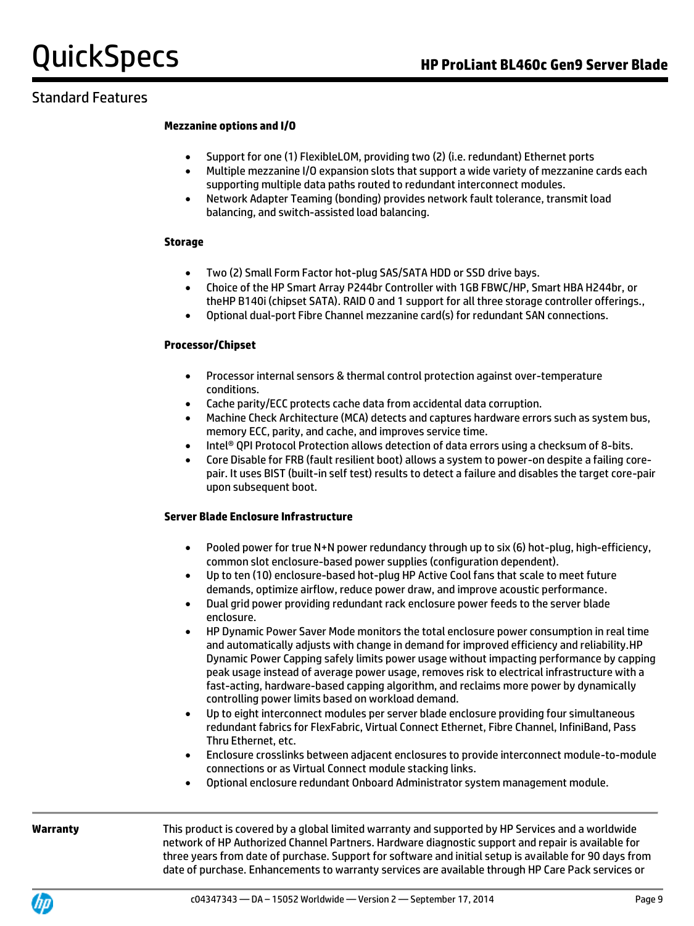## Standard Features

### **Mezzanine options and I/O**

- Support for one (1) FlexibleLOM, providing two (2) (i.e. redundant) Ethernet ports
- Multiple mezzanine I/O expansion slots that support a wide variety of mezzanine cards each supporting multiple data paths routed to redundant interconnect modules.
- Network Adapter Teaming (bonding) provides network fault tolerance, transmit load balancing, and switch-assisted load balancing.

### **Storage**

- Two (2) Small Form Factor hot-plug SAS/SATA HDD or SSD drive bays.
- Choice of the HP Smart Array P244br Controller with 1GB FBWC/HP, Smart HBA H244br, or theHP B140i (chipset SATA). RAID 0 and 1 support for all three storage controller offerings.,
- Optional dual-port Fibre Channel mezzanine card(s) for redundant SAN connections.

### **Processor/Chipset**

- Processor internal sensors & thermal control protection against over-temperature conditions.
- Cache parity/ECC protects cache data from accidental data corruption.
- Machine Check Architecture (MCA) detects and captures hardware errors such as system bus, memory ECC, parity, and cache, and improves service time.
- Intel<sup>®</sup> QPI Protocol Protection allows detection of data errors using a checksum of 8-bits.
- Core Disable for FRB (fault resilient boot) allows a system to power-on despite a failing corepair. It uses BIST (built-in self test) results to detect a failure and disables the target core-pair upon subsequent boot.

### **Server Blade Enclosure Infrastructure**

- Pooled power for true N+N power redundancy through up to six (6) hot-plug, high-efficiency, common slot enclosure-based power supplies (configuration dependent).
- Up to ten (10) enclosure-based hot-plug HP Active Cool fans that scale to meet future demands, optimize airflow, reduce power draw, and improve acoustic performance.
- Dual grid power providing redundant rack enclosure power feeds to the server blade enclosure.
- HP Dynamic Power Saver Mode monitors the total enclosure power consumption in real time and automatically adjusts with change in demand for improved efficiency and reliability.HP Dynamic Power Capping safely limits power usage without impacting performance by capping peak usage instead of average power usage, removes risk to electrical infrastructure with a fast-acting, hardware-based capping algorithm, and reclaims more power by dynamically controlling power limits based on workload demand.
- Up to eight interconnect modules per server blade enclosure providing four simultaneous redundant fabrics for FlexFabric, Virtual Connect Ethernet, Fibre Channel, InfiniBand, Pass Thru Ethernet, etc.
- Enclosure crosslinks between adjacent enclosures to provide interconnect module-to-module connections or as Virtual Connect module stacking links.
- Optional enclosure redundant Onboard Administrator system management module.

**Warranty** This product is covered by a global limited warranty and supported by HP Services and a worldwide network of HP Authorized Channel Partners. Hardware diagnostic support and repair is available for three years from date of purchase. Support for software and initial setup is available for 90 days from date of purchase. Enhancements to warranty services are available through HP Care Pack services or

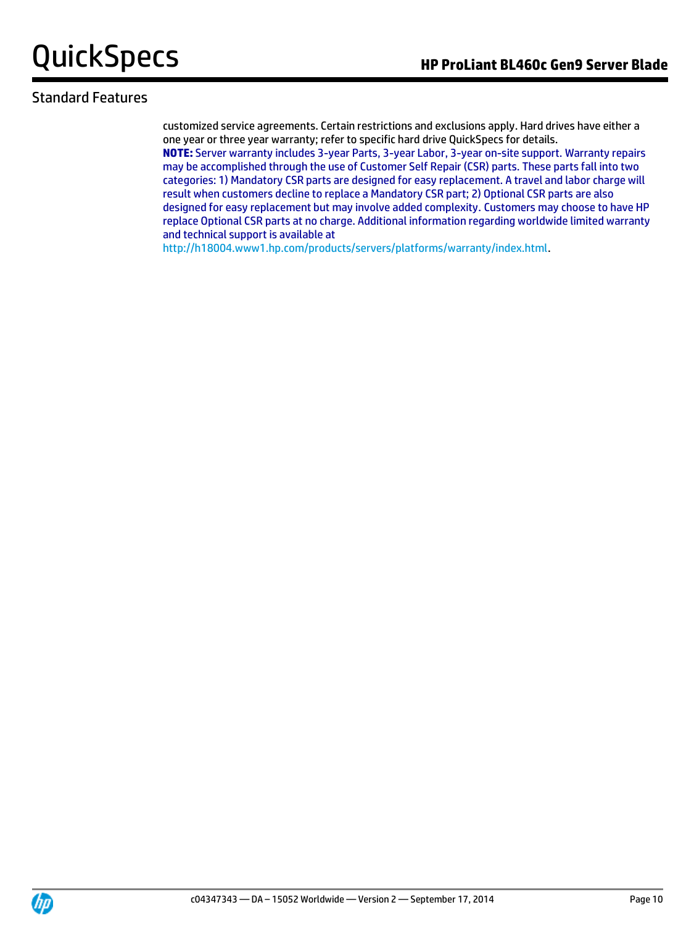## Standard Features

customized service agreements. Certain restrictions and exclusions apply. Hard drives have either a one year or three year warranty; refer to specific hard drive QuickSpecs for details. **NOTE:** Server warranty includes 3-year Parts, 3-year Labor, 3-year on-site support. Warranty repairs may be accomplished through the use of Customer Self Repair (CSR) parts. These parts fall into two categories: 1) Mandatory CSR parts are designed for easy replacement. A travel and labor charge will result when customers decline to replace a Mandatory CSR part; 2) Optional CSR parts are also designed for easy replacement but may involve added complexity. Customers may choose to have HP

replace Optional CSR parts at no charge. Additional information regarding worldwide limited warranty and technical support is available at

[http://h18004.www1.hp.com/products/servers/platforms/warranty/index.html.](http://h18004.www1.hp.com/products/servers/platforms/warranty/index.html)

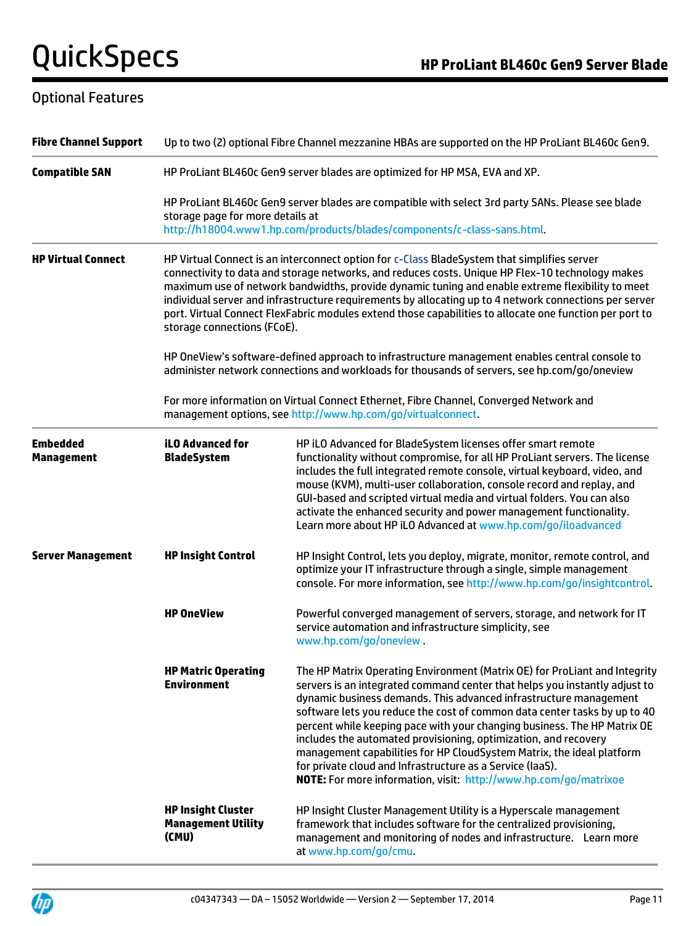## Optional Features

| <b>Fibre Channel Support</b>         | Up to two (2) optional Fibre Channel mezzanine HBAs are supported on the HP ProLiant BL460c Gen9.                                                                                                                                                                                                                                                                                                                                                                                                                                                       |                                                                                                                                                                                                                                                                                                                                                                                                                                                                                                                                                                                                                                                                     |  |  |
|--------------------------------------|---------------------------------------------------------------------------------------------------------------------------------------------------------------------------------------------------------------------------------------------------------------------------------------------------------------------------------------------------------------------------------------------------------------------------------------------------------------------------------------------------------------------------------------------------------|---------------------------------------------------------------------------------------------------------------------------------------------------------------------------------------------------------------------------------------------------------------------------------------------------------------------------------------------------------------------------------------------------------------------------------------------------------------------------------------------------------------------------------------------------------------------------------------------------------------------------------------------------------------------|--|--|
| <b>Compatible SAN</b>                | HP ProLiant BL460c Gen9 server blades are optimized for HP MSA, EVA and XP.                                                                                                                                                                                                                                                                                                                                                                                                                                                                             |                                                                                                                                                                                                                                                                                                                                                                                                                                                                                                                                                                                                                                                                     |  |  |
|                                      | HP ProLiant BL460c Gen9 server blades are compatible with select 3rd party SANs. Please see blade<br>storage page for more details at<br>http://h18004.www1.hp.com/products/blades/components/c-class-sans.html.                                                                                                                                                                                                                                                                                                                                        |                                                                                                                                                                                                                                                                                                                                                                                                                                                                                                                                                                                                                                                                     |  |  |
| <b>HP Virtual Connect</b>            | HP Virtual Connect is an interconnect option for c-Class BladeSystem that simplifies server<br>connectivity to data and storage networks, and reduces costs. Unique HP Flex-10 technology makes<br>maximum use of network bandwidths, provide dynamic tuning and enable extreme flexibility to meet<br>individual server and infrastructure requirements by allocating up to 4 network connections per server<br>port. Virtual Connect FlexFabric modules extend those capabilities to allocate one function per port to<br>storage connections (FCoE). |                                                                                                                                                                                                                                                                                                                                                                                                                                                                                                                                                                                                                                                                     |  |  |
|                                      | HP OneView's software-defined approach to infrastructure management enables central console to<br>administer network connections and workloads for thousands of servers, see hp.com/go/oneview                                                                                                                                                                                                                                                                                                                                                          |                                                                                                                                                                                                                                                                                                                                                                                                                                                                                                                                                                                                                                                                     |  |  |
|                                      | For more information on Virtual Connect Ethernet, Fibre Channel, Converged Network and<br>management options, see http://www.hp.com/go/virtualconnect.                                                                                                                                                                                                                                                                                                                                                                                                  |                                                                                                                                                                                                                                                                                                                                                                                                                                                                                                                                                                                                                                                                     |  |  |
| <b>Embedded</b><br><b>Management</b> | <b>iLO Advanced for</b><br><b>BladeSystem</b>                                                                                                                                                                                                                                                                                                                                                                                                                                                                                                           | HP iLO Advanced for BladeSystem licenses offer smart remote<br>functionality without compromise, for all HP ProLiant servers. The license<br>includes the full integrated remote console, virtual keyboard, video, and<br>mouse (KVM), multi-user collaboration, console record and replay, and<br>GUI-based and scripted virtual media and virtual folders. You can also<br>activate the enhanced security and power management functionality.<br>Learn more about HP iLO Advanced at www.hp.com/go/iloadvanced                                                                                                                                                    |  |  |
| <b>Server Management</b>             | <b>HP Insight Control</b>                                                                                                                                                                                                                                                                                                                                                                                                                                                                                                                               | HP Insight Control, lets you deploy, migrate, monitor, remote control, and<br>optimize your IT infrastructure through a single, simple management<br>console. For more information, see http://www.hp.com/go/insightcontrol.                                                                                                                                                                                                                                                                                                                                                                                                                                        |  |  |
|                                      | <b>HP OneView</b>                                                                                                                                                                                                                                                                                                                                                                                                                                                                                                                                       | Powerful converged management of servers, storage, and network for IT<br>service automation and infrastructure simplicity, see<br>www.hp.com/go/oneview.                                                                                                                                                                                                                                                                                                                                                                                                                                                                                                            |  |  |
|                                      | <b>HP Matric Operating</b><br><b>Environment</b>                                                                                                                                                                                                                                                                                                                                                                                                                                                                                                        | The HP Matrix Operating Environment (Matrix OE) for ProLiant and Integrity<br>servers is an integrated command center that helps you instantly adjust to<br>dynamic business demands. This advanced infrastructure management<br>software lets you reduce the cost of common data center tasks by up to 40<br>percent while keeping pace with your changing business. The HP Matrix OE<br>includes the automated provisioning, optimization, and recovery<br>management capabilities for HP CloudSystem Matrix, the ideal platform<br>for private cloud and Infrastructure as a Service (IaaS).<br>NOTE: For more information, visit: http://www.hp.com/go/matrixoe |  |  |
|                                      | <b>HP Insight Cluster</b><br><b>Management Utility</b><br>(CMU)                                                                                                                                                                                                                                                                                                                                                                                                                                                                                         | HP Insight Cluster Management Utility is a Hyperscale management<br>framework that includes software for the centralized provisioning,<br>management and monitoring of nodes and infrastructure. Learn more<br>at www.hp.com/go/cmu.                                                                                                                                                                                                                                                                                                                                                                                                                                |  |  |

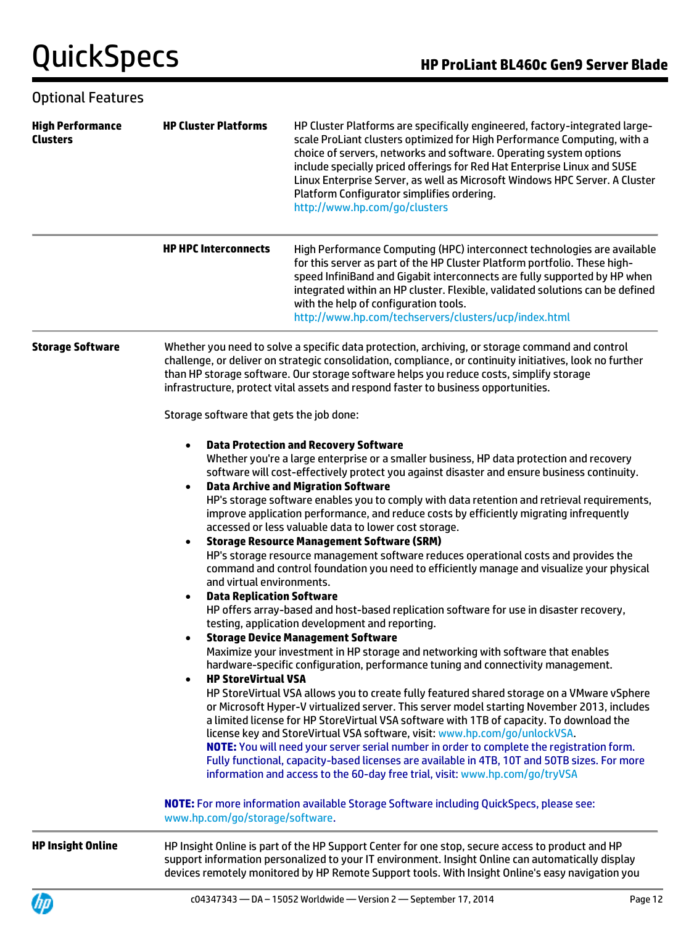## Optional Features

| <b>High Performance</b><br><b>Clusters</b> | <b>HP Cluster Platforms</b>                                                                                                                                  | HP Cluster Platforms are specifically engineered, factory-integrated large-<br>scale ProLiant clusters optimized for High Performance Computing, with a<br>choice of servers, networks and software. Operating system options<br>include specially priced offerings for Red Hat Enterprise Linux and SUSE<br>Linux Enterprise Server, as well as Microsoft Windows HPC Server. A Cluster<br>Platform Configurator simplifies ordering.<br>http://www.hp.com/go/clusters                                                                                                                                                                                                                                                                                                                                                                                                                                                                                                                                                                                                                                                                                                                                                                                                                                                                                                                                                                                                                                                                                                                                                                                                                                                                                                                                   |  |  |
|--------------------------------------------|--------------------------------------------------------------------------------------------------------------------------------------------------------------|-----------------------------------------------------------------------------------------------------------------------------------------------------------------------------------------------------------------------------------------------------------------------------------------------------------------------------------------------------------------------------------------------------------------------------------------------------------------------------------------------------------------------------------------------------------------------------------------------------------------------------------------------------------------------------------------------------------------------------------------------------------------------------------------------------------------------------------------------------------------------------------------------------------------------------------------------------------------------------------------------------------------------------------------------------------------------------------------------------------------------------------------------------------------------------------------------------------------------------------------------------------------------------------------------------------------------------------------------------------------------------------------------------------------------------------------------------------------------------------------------------------------------------------------------------------------------------------------------------------------------------------------------------------------------------------------------------------------------------------------------------------------------------------------------------------|--|--|
|                                            | <b>HP HPC Interconnects</b>                                                                                                                                  | High Performance Computing (HPC) interconnect technologies are available<br>for this server as part of the HP Cluster Platform portfolio. These high-<br>speed InfiniBand and Gigabit interconnects are fully supported by HP when<br>integrated within an HP cluster. Flexible, validated solutions can be defined<br>with the help of configuration tools.<br>http://www.hp.com/techservers/clusters/ucp/index.html                                                                                                                                                                                                                                                                                                                                                                                                                                                                                                                                                                                                                                                                                                                                                                                                                                                                                                                                                                                                                                                                                                                                                                                                                                                                                                                                                                                     |  |  |
| <b>Storage Software</b>                    |                                                                                                                                                              | Whether you need to solve a specific data protection, archiving, or storage command and control<br>challenge, or deliver on strategic consolidation, compliance, or continuity initiatives, look no further<br>than HP storage software. Our storage software helps you reduce costs, simplify storage<br>infrastructure, protect vital assets and respond faster to business opportunities.                                                                                                                                                                                                                                                                                                                                                                                                                                                                                                                                                                                                                                                                                                                                                                                                                                                                                                                                                                                                                                                                                                                                                                                                                                                                                                                                                                                                              |  |  |
|                                            |                                                                                                                                                              | Storage software that gets the job done:                                                                                                                                                                                                                                                                                                                                                                                                                                                                                                                                                                                                                                                                                                                                                                                                                                                                                                                                                                                                                                                                                                                                                                                                                                                                                                                                                                                                                                                                                                                                                                                                                                                                                                                                                                  |  |  |
|                                            | $\bullet$<br>$\bullet$<br>and virtual environments.<br><b>Data Replication Software</b><br>$\bullet$<br>$\bullet$<br><b>HP StoreVirtual VSA</b><br>$\bullet$ | <b>Data Protection and Recovery Software</b><br>Whether you're a large enterprise or a smaller business, HP data protection and recovery<br>software will cost-effectively protect you against disaster and ensure business continuity.<br><b>Data Archive and Migration Software</b><br>HP's storage software enables you to comply with data retention and retrieval requirements,<br>improve application performance, and reduce costs by efficiently migrating infrequently<br>accessed or less valuable data to lower cost storage.<br><b>Storage Resource Management Software (SRM)</b><br>HP's storage resource management software reduces operational costs and provides the<br>command and control foundation you need to efficiently manage and visualize your physical<br>HP offers array-based and host-based replication software for use in disaster recovery,<br>testing, application development and reporting.<br><b>Storage Device Management Software</b><br>Maximize your investment in HP storage and networking with software that enables<br>hardware-specific configuration, performance tuning and connectivity management.<br>HP StoreVirtual VSA allows you to create fully featured shared storage on a VMware vSphere<br>or Microsoft Hyper-V virtualized server. This server model starting November 2013, includes<br>a limited license for HP StoreVirtual VSA software with 1TB of capacity. To download the<br>license key and StoreVirtual VSA software, visit: www.hp.com/go/unlockVSA.<br>NOTE: You will need your server serial number in order to complete the registration form.<br>Fully functional, capacity-based licenses are available in 4TB, 10T and 50TB sizes. For more<br>information and access to the 60-day free trial, visit: www.hp.com/go/tryVSA |  |  |
|                                            | www.hp.com/go/storage/software.                                                                                                                              | <b>NOTE:</b> For more information available Storage Software including QuickSpecs, please see:                                                                                                                                                                                                                                                                                                                                                                                                                                                                                                                                                                                                                                                                                                                                                                                                                                                                                                                                                                                                                                                                                                                                                                                                                                                                                                                                                                                                                                                                                                                                                                                                                                                                                                            |  |  |
| <b>HP Insight Online</b>                   |                                                                                                                                                              | HP Insight Online is part of the HP Support Center for one stop, secure access to product and HP<br>support information personalized to your IT environment. Insight Online can automatically display<br>devices remotely monitored by HP Remote Support tools. With Insight Online's easy navigation you                                                                                                                                                                                                                                                                                                                                                                                                                                                                                                                                                                                                                                                                                                                                                                                                                                                                                                                                                                                                                                                                                                                                                                                                                                                                                                                                                                                                                                                                                                 |  |  |

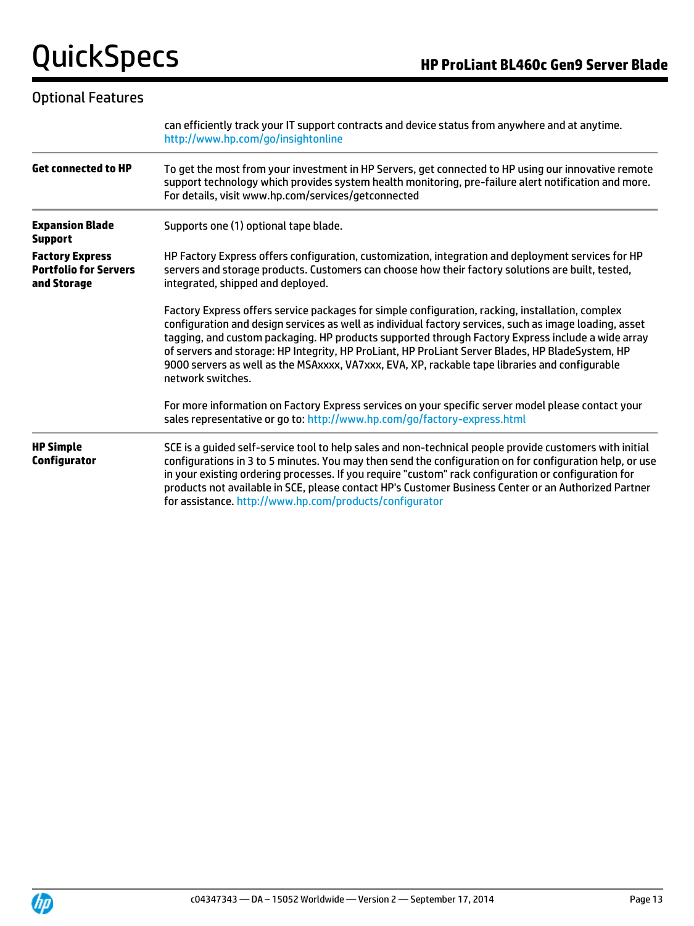## Optional Features

|                                                                       | can efficiently track your IT support contracts and device status from anywhere and at anytime.<br>http://www.hp.com/go/insightonline                                                                                                                                                                                                                                                                                                                                                                                                      |  |  |
|-----------------------------------------------------------------------|--------------------------------------------------------------------------------------------------------------------------------------------------------------------------------------------------------------------------------------------------------------------------------------------------------------------------------------------------------------------------------------------------------------------------------------------------------------------------------------------------------------------------------------------|--|--|
| <b>Get connected to HP</b>                                            | To get the most from your investment in HP Servers, get connected to HP using our innovative remote<br>support technology which provides system health monitoring, pre-failure alert notification and more.<br>For details, visit www.hp.com/services/getconnected                                                                                                                                                                                                                                                                         |  |  |
| <b>Expansion Blade</b><br><b>Support</b>                              | Supports one (1) optional tape blade.                                                                                                                                                                                                                                                                                                                                                                                                                                                                                                      |  |  |
| <b>Factory Express</b><br><b>Portfolio for Servers</b><br>and Storage | HP Factory Express offers configuration, customization, integration and deployment services for HP<br>servers and storage products. Customers can choose how their factory solutions are built, tested,<br>integrated, shipped and deployed.                                                                                                                                                                                                                                                                                               |  |  |
|                                                                       | Factory Express offers service packages for simple configuration, racking, installation, complex<br>configuration and design services as well as individual factory services, such as image loading, asset<br>tagging, and custom packaging. HP products supported through Factory Express include a wide array<br>of servers and storage: HP Integrity, HP ProLiant, HP ProLiant Server Blades, HP BladeSystem, HP<br>9000 servers as well as the MSAxxxx, VA7xxx, EVA, XP, rackable tape libraries and configurable<br>network switches. |  |  |
|                                                                       | For more information on Factory Express services on your specific server model please contact your<br>sales representative or go to: http://www.hp.com/go/factory-express.html                                                                                                                                                                                                                                                                                                                                                             |  |  |
| <b>HP Simple</b><br>Configurator                                      | SCE is a guided self-service tool to help sales and non-technical people provide customers with initial<br>configurations in 3 to 5 minutes. You may then send the configuration on for configuration help, or use<br>in your existing ordering processes. If you require "custom" rack configuration or configuration for<br>products not available in SCE, please contact HP's Customer Business Center or an Authorized Partner<br>for assistance. http://www.hp.com/products/configurator                                              |  |  |

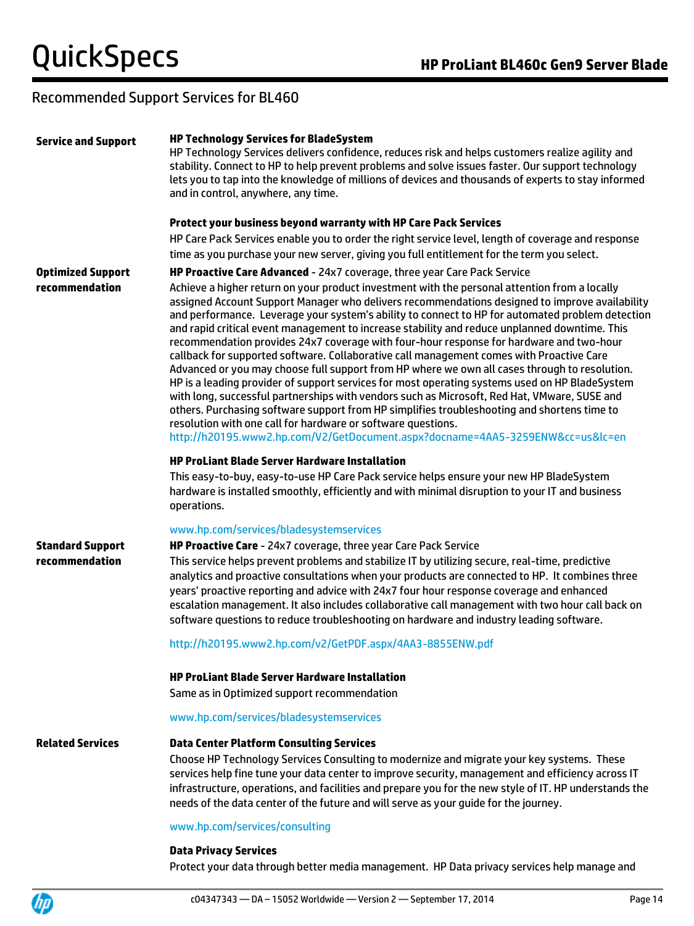## Recommended Support Services for BL460

| <b>Service and Support</b>                | <b>HP Technology Services for BladeSystem</b><br>HP Technology Services delivers confidence, reduces risk and helps customers realize agility and<br>stability. Connect to HP to help prevent problems and solve issues faster. Our support technology<br>lets you to tap into the knowledge of millions of devices and thousands of experts to stay informed<br>and in control, anywhere, any time.<br>Protect your business beyond warranty with HP Care Pack Services                                                                                                                                                                                                                                                                                                                                                                                                                                                                                                                                                                                                                                                                        |
|-------------------------------------------|-------------------------------------------------------------------------------------------------------------------------------------------------------------------------------------------------------------------------------------------------------------------------------------------------------------------------------------------------------------------------------------------------------------------------------------------------------------------------------------------------------------------------------------------------------------------------------------------------------------------------------------------------------------------------------------------------------------------------------------------------------------------------------------------------------------------------------------------------------------------------------------------------------------------------------------------------------------------------------------------------------------------------------------------------------------------------------------------------------------------------------------------------|
|                                           | HP Care Pack Services enable you to order the right service level, length of coverage and response<br>time as you purchase your new server, giving you full entitlement for the term you select.                                                                                                                                                                                                                                                                                                                                                                                                                                                                                                                                                                                                                                                                                                                                                                                                                                                                                                                                                |
| <b>Optimized Support</b>                  | HP Proactive Care Advanced - 24x7 coverage, three year Care Pack Service                                                                                                                                                                                                                                                                                                                                                                                                                                                                                                                                                                                                                                                                                                                                                                                                                                                                                                                                                                                                                                                                        |
| recommendation                            | Achieve a higher return on your product investment with the personal attention from a locally<br>assigned Account Support Manager who delivers recommendations designed to improve availability<br>and performance. Leverage your system's ability to connect to HP for automated problem detection<br>and rapid critical event management to increase stability and reduce unplanned downtime. This<br>recommendation provides 24x7 coverage with four-hour response for hardware and two-hour<br>callback for supported software. Collaborative call management comes with Proactive Care<br>Advanced or you may choose full support from HP where we own all cases through to resolution.<br>HP is a leading provider of support services for most operating systems used on HP BladeSystem<br>with long, successful partnerships with vendors such as Microsoft, Red Hat, VMware, SUSE and<br>others. Purchasing software support from HP simplifies troubleshooting and shortens time to<br>resolution with one call for hardware or software questions.<br>http://h20195.www2.hp.com/V2/GetDocument.aspx?docname=4AA5-3259ENW&cc=us&lc=en |
|                                           | <b>HP ProLiant Blade Server Hardware Installation</b><br>This easy-to-buy, easy-to-use HP Care Pack service helps ensure your new HP BladeSystem<br>hardware is installed smoothly, efficiently and with minimal disruption to your IT and business<br>operations.                                                                                                                                                                                                                                                                                                                                                                                                                                                                                                                                                                                                                                                                                                                                                                                                                                                                              |
| <b>Standard Support</b><br>recommendation | www.hp.com/services/bladesystemservices<br>HP Proactive Care - 24x7 coverage, three year Care Pack Service<br>This service helps prevent problems and stabilize IT by utilizing secure, real-time, predictive<br>analytics and proactive consultations when your products are connected to HP. It combines three<br>years' proactive reporting and advice with 24x7 four hour response coverage and enhanced<br>escalation management. It also includes collaborative call management with two hour call back on<br>software questions to reduce troubleshooting on hardware and industry leading software.                                                                                                                                                                                                                                                                                                                                                                                                                                                                                                                                     |
|                                           | http://h20195.www2.hp.com/v2/GetPDF.aspx/4AA3-8855ENW.pdf                                                                                                                                                                                                                                                                                                                                                                                                                                                                                                                                                                                                                                                                                                                                                                                                                                                                                                                                                                                                                                                                                       |
|                                           | <b>HP ProLiant Blade Server Hardware Installation</b><br>Same as in Optimized support recommendation                                                                                                                                                                                                                                                                                                                                                                                                                                                                                                                                                                                                                                                                                                                                                                                                                                                                                                                                                                                                                                            |
|                                           | www.hp.com/services/bladesystemservices                                                                                                                                                                                                                                                                                                                                                                                                                                                                                                                                                                                                                                                                                                                                                                                                                                                                                                                                                                                                                                                                                                         |
| <b>Related Services</b>                   | <b>Data Center Platform Consulting Services</b><br>Choose HP Technology Services Consulting to modernize and migrate your key systems. These<br>services help fine tune your data center to improve security, management and efficiency across IT<br>infrastructure, operations, and facilities and prepare you for the new style of IT. HP understands the<br>needs of the data center of the future and will serve as your guide for the journey.                                                                                                                                                                                                                                                                                                                                                                                                                                                                                                                                                                                                                                                                                             |
|                                           | www.hp.com/services/consulting                                                                                                                                                                                                                                                                                                                                                                                                                                                                                                                                                                                                                                                                                                                                                                                                                                                                                                                                                                                                                                                                                                                  |
|                                           | <b>Data Privacy Services</b><br>Protect your data through better media management. HP Data privacy services help manage and                                                                                                                                                                                                                                                                                                                                                                                                                                                                                                                                                                                                                                                                                                                                                                                                                                                                                                                                                                                                                     |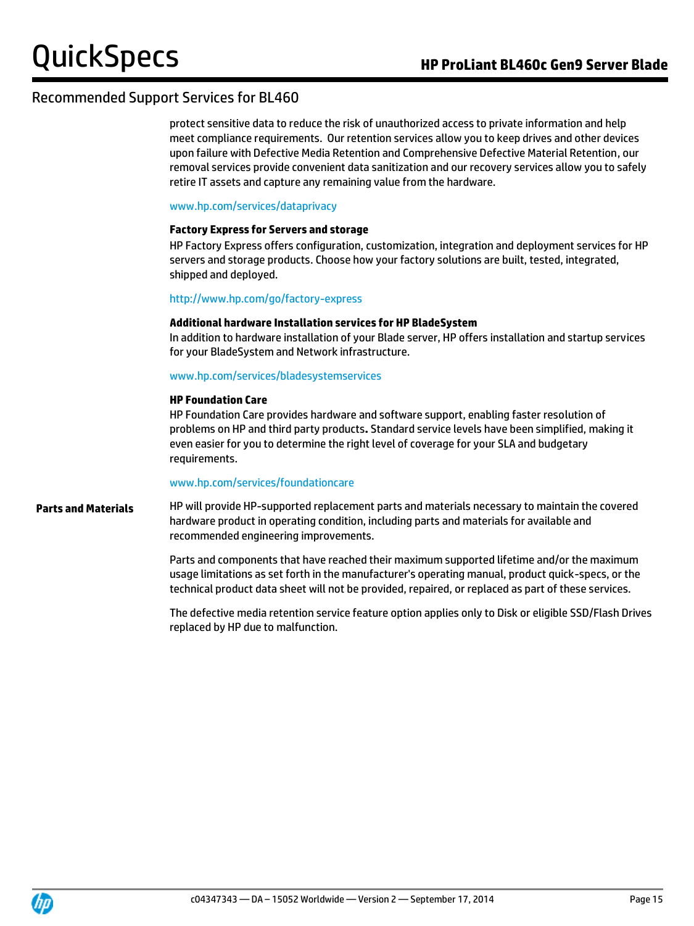## Recommended Support Services for BL460

protect sensitive data to reduce the risk of unauthorized access to private information and help meet compliance requirements. Our retention services allow you to keep drives and other devices upon failure with Defective Media Retention and Comprehensive Defective Material Retention, our removal services provide convenient data sanitization and our recovery services allow you to safely retire IT assets and capture any remaining value from the hardware.

### [www.hp.com/services/dataprivacy](http://www.hp.com/services/dataprivacy)

### **Factory Express for Servers and storage**

HP Factory Express offers configuration, customization, integration and deployment services for HP servers and storage products. Choose how your factory solutions are built, tested, integrated, shipped and deployed.

### <http://www.hp.com/go/factory-express>

### **Additional hardware Installation services for HP BladeSystem**

In addition to hardware installation of your Blade server, HP offers installation and startup services for your BladeSystem and Network infrastructure.

### [www.hp.com/services/bladesystemservices](http://www.hp.com/services/bladesystemservices)

### **HP Foundation Care**

HP Foundation Care provides hardware and software support, enabling faster resolution of problems on HP and third party products**.** Standard service levels have been simplified, making it even easier for you to determine the right level of coverage for your SLA and budgetary requirements.

### [www.hp.com/services/foundationcare](http://www.hp.com/services/foundationcare)

**Parts and Materials** HP will provide HP-supported replacement parts and materials necessary to maintain the covered hardware product in operating condition, including parts and materials for available and recommended engineering improvements.

> Parts and components that have reached their maximum supported lifetime and/or the maximum usage limitations as set forth in the manufacturer's operating manual, product quick-specs, or the technical product data sheet will not be provided, repaired, or replaced as part of these services.

The defective media retention service feature option applies only to Disk or eligible SSD/Flash Drives replaced by HP due to malfunction.

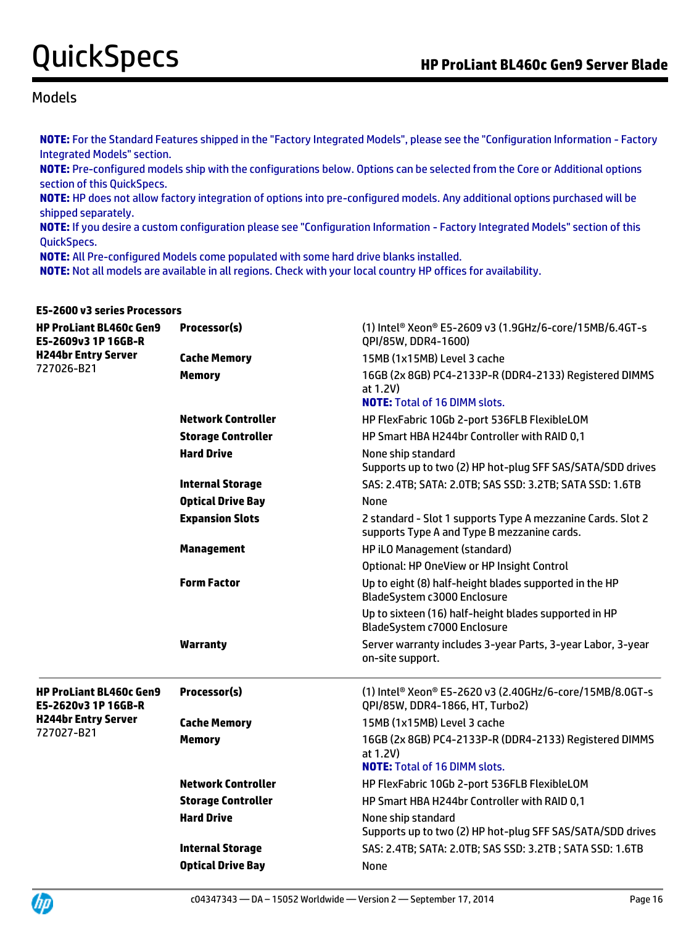## Models

**NOTE:** For the Standard Features shipped in the "Factory Integrated Models", please see the "Configuration Information - Factory Integrated Models" section.

**NOTE:** Pre-configured models ship with the configurations below. Options can be selected from the Core or Additional options section of this QuickSpecs.

**NOTE:** HP does not allow factory integration of options into pre-configured models. Any additional options purchased will be shipped separately.

**NOTE:** If you desire a custom configuration please see "Configuration Information - Factory Integrated Models" section of this QuickSpecs.

**NOTE:** All Pre-configured Models come populated with some hard drive blanks installed.

**NOTE:** Not all models are available in all regions. Check with your local country HP offices for availability.

| E5-2600 v3 series Processors                          |                           |                                                                                                                     |
|-------------------------------------------------------|---------------------------|---------------------------------------------------------------------------------------------------------------------|
| <b>HP ProLiant BL460c Gen9</b><br>E5-2609v3 1P 16GB-R | Processor(s)              | (1) Intel® Xeon® E5-2609 v3 (1.9GHz/6-core/15MB/6.4GT-s<br>QPI/85W, DDR4-1600)                                      |
| <b>H244br Entry Server</b>                            | <b>Cache Memory</b>       | 15MB (1x15MB) Level 3 cache                                                                                         |
| 727026-B21                                            | <b>Memory</b>             | 16GB (2x 8GB) PC4-2133P-R (DDR4-2133) Registered DIMMS<br>at 1.2V)<br><b>NOTE: Total of 16 DIMM slots.</b>          |
|                                                       | <b>Network Controller</b> | HP FlexFabric 10Gb 2-port 536FLB FlexibleLOM                                                                        |
|                                                       | <b>Storage Controller</b> | HP Smart HBA H244br Controller with RAID 0,1                                                                        |
|                                                       | <b>Hard Drive</b>         | None ship standard<br>Supports up to two (2) HP hot-plug SFF SAS/SATA/SDD drives                                    |
|                                                       | <b>Internal Storage</b>   | SAS: 2.4TB; SATA: 2.0TB; SAS SSD: 3.2TB; SATA SSD: 1.6TB                                                            |
|                                                       | <b>Optical Drive Bay</b>  | None                                                                                                                |
|                                                       | <b>Expansion Slots</b>    | 2 standard - Slot 1 supports Type A mezzanine Cards. Slot 2<br>supports Type A and Type B mezzanine cards.          |
|                                                       | <b>Management</b>         | HP iLO Management (standard)                                                                                        |
|                                                       |                           | Optional: HP OneView or HP Insight Control                                                                          |
|                                                       | <b>Form Factor</b>        | Up to eight (8) half-height blades supported in the HP<br>BladeSystem c3000 Enclosure                               |
|                                                       |                           | Up to sixteen (16) half-height blades supported in HP<br>BladeSystem c7000 Enclosure                                |
|                                                       | Warranty                  | Server warranty includes 3-year Parts, 3-year Labor, 3-year<br>on-site support.                                     |
| <b>HP ProLiant BL460c Gen9</b><br>E5-2620v3 1P 16GB-R | Processor(s)              | (1) Intel <sup>®</sup> Xeon <sup>®</sup> E5-2620 v3 (2.40GHz/6-core/15MB/8.0GT-s<br>QPI/85W, DDR4-1866, HT, Turbo2) |
| <b>H244br Entry Server</b><br>727027-B21              | <b>Cache Memory</b>       | 15MB (1x15MB) Level 3 cache                                                                                         |
|                                                       | <b>Memory</b>             | 16GB (2x 8GB) PC4-2133P-R (DDR4-2133) Registered DIMMS<br>at 1.2V)<br><b>NOTE:</b> Total of 16 DIMM slots.          |
|                                                       | <b>Network Controller</b> | HP FlexFabric 10Gb 2-port 536FLB FlexibleLOM                                                                        |
|                                                       | <b>Storage Controller</b> | HP Smart HBA H244br Controller with RAID 0,1                                                                        |
|                                                       | <b>Hard Drive</b>         | None ship standard<br>Supports up to two (2) HP hot-plug SFF SAS/SATA/SDD drives                                    |
|                                                       | <b>Internal Storage</b>   | SAS: 2.4TB; SATA: 2.0TB; SAS SSD: 3.2TB; SATA SSD: 1.6TB                                                            |
|                                                       | <b>Optical Drive Bay</b>  | None                                                                                                                |

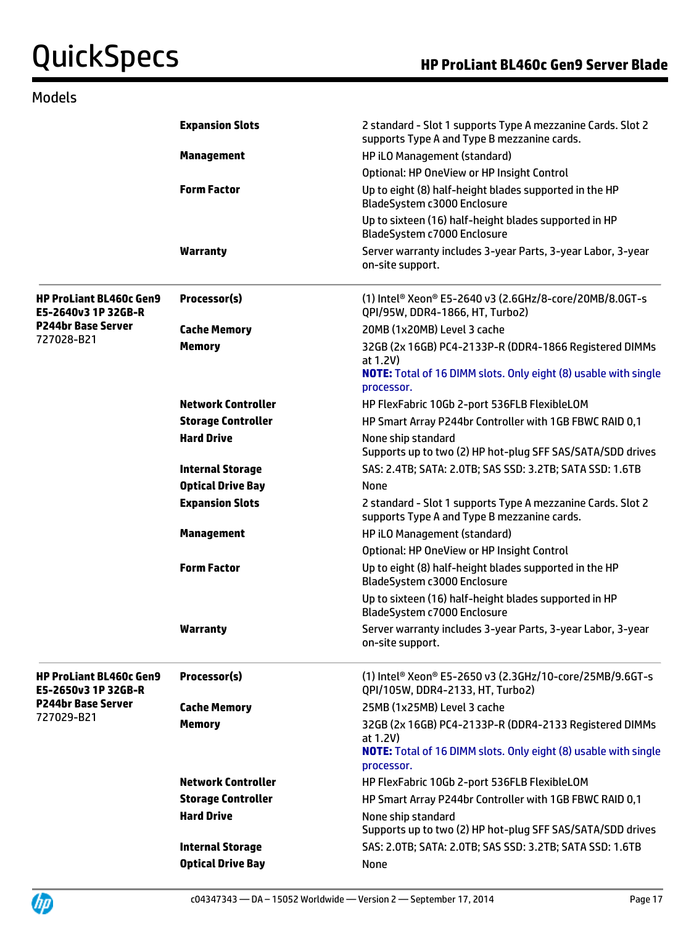## Models

|                                                       | <b>Expansion Slots</b>    | 2 standard - Slot 1 supports Type A mezzanine Cards. Slot 2<br>supports Type A and Type B mezzanine cards.                                                 |
|-------------------------------------------------------|---------------------------|------------------------------------------------------------------------------------------------------------------------------------------------------------|
|                                                       | <b>Management</b>         | HP iLO Management (standard)                                                                                                                               |
|                                                       |                           | Optional: HP OneView or HP Insight Control                                                                                                                 |
|                                                       | <b>Form Factor</b>        | Up to eight (8) half-height blades supported in the HP<br>BladeSystem c3000 Enclosure                                                                      |
|                                                       |                           | Up to sixteen (16) half-height blades supported in HP<br>BladeSystem c7000 Enclosure                                                                       |
|                                                       | Warranty                  | Server warranty includes 3-year Parts, 3-year Labor, 3-year<br>on-site support.                                                                            |
| <b>HP ProLiant BL460c Gen9</b><br>E5-2640v3 1P 32GB-R | Processor(s)              | (1) Intel® Xeon® E5-2640 v3 (2.6GHz/8-core/20MB/8.0GT-s<br>QPI/95W, DDR4-1866, HT, Turbo2)                                                                 |
| <b>P244br Base Server</b>                             | <b>Cache Memory</b>       | 20MB (1x20MB) Level 3 cache                                                                                                                                |
| 727028-B21                                            | <b>Memory</b>             | 32GB (2x 16GB) PC4-2133P-R (DDR4-1866 Registered DIMMs<br>at 1.2V)<br><b>NOTE:</b> Total of 16 DIMM slots. Only eight (8) usable with single<br>processor. |
|                                                       | <b>Network Controller</b> | HP FlexFabric 10Gb 2-port 536FLB FlexibleLOM                                                                                                               |
|                                                       | <b>Storage Controller</b> | HP Smart Array P244br Controller with 1GB FBWC RAID 0,1                                                                                                    |
|                                                       | <b>Hard Drive</b>         | None ship standard<br>Supports up to two (2) HP hot-plug SFF SAS/SATA/SDD drives                                                                           |
|                                                       | <b>Internal Storage</b>   | SAS: 2.4TB; SATA: 2.0TB; SAS SSD: 3.2TB; SATA SSD: 1.6TB                                                                                                   |
|                                                       | <b>Optical Drive Bay</b>  | None                                                                                                                                                       |
|                                                       | <b>Expansion Slots</b>    | 2 standard - Slot 1 supports Type A mezzanine Cards. Slot 2<br>supports Type A and Type B mezzanine cards.                                                 |
|                                                       | <b>Management</b>         | HP iLO Management (standard)                                                                                                                               |
|                                                       |                           | Optional: HP OneView or HP Insight Control                                                                                                                 |
|                                                       | <b>Form Factor</b>        | Up to eight (8) half-height blades supported in the HP<br>BladeSystem c3000 Enclosure                                                                      |
|                                                       |                           | Up to sixteen (16) half-height blades supported in HP<br>BladeSystem c7000 Enclosure                                                                       |
|                                                       | <b>Warranty</b>           | Server warranty includes 3-year Parts, 3-year Labor, 3-year<br>on-site support.                                                                            |
| <b>HP ProLiant BL460c Gen9</b><br>E5-2650v3 1P 32GB-R | Processor(s)              | (1) Intel <sup>®</sup> Xeon <sup>®</sup> E5-2650 v3 (2.3GHz/10-core/25MB/9.6GT-s<br>QPI/105W, DDR4-2133, HT, Turbo2)                                       |
| <b>P244br Base Server</b><br>727029-B21               | <b>Cache Memory</b>       | 25MB (1x25MB) Level 3 cache                                                                                                                                |
|                                                       | <b>Memory</b>             | 32GB (2x 16GB) PC4-2133P-R (DDR4-2133 Registered DIMMs<br>at 1.2V)<br><b>NOTE:</b> Total of 16 DIMM slots. Only eight (8) usable with single               |
|                                                       | <b>Network Controller</b> | processor.<br>HP FlexFabric 10Gb 2-port 536FLB FlexibleLOM                                                                                                 |
|                                                       | <b>Storage Controller</b> | HP Smart Array P244br Controller with 1GB FBWC RAID 0,1                                                                                                    |
|                                                       | <b>Hard Drive</b>         | None ship standard                                                                                                                                         |
|                                                       |                           | Supports up to two (2) HP hot-plug SFF SAS/SATA/SDD drives                                                                                                 |
|                                                       | <b>Internal Storage</b>   | SAS: 2.0TB; SATA: 2.0TB; SAS SSD: 3.2TB; SATA SSD: 1.6TB                                                                                                   |
|                                                       | <b>Optical Drive Bay</b>  | None                                                                                                                                                       |
|                                                       |                           |                                                                                                                                                            |

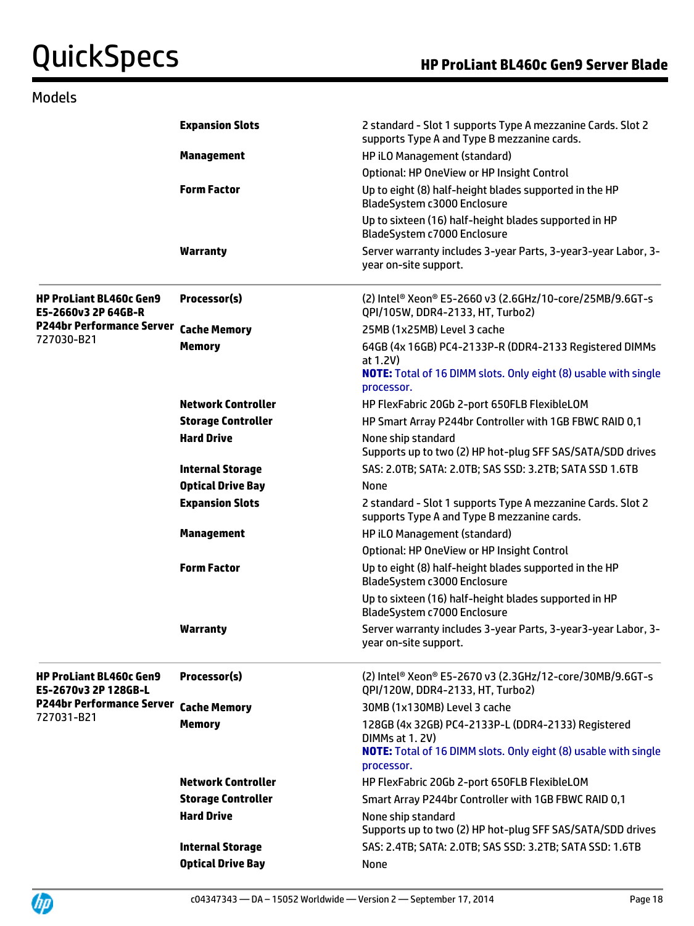## Models

|                                                        | <b>Expansion Slots</b>    | 2 standard - Slot 1 supports Type A mezzanine Cards. Slot 2<br>supports Type A and Type B mezzanine cards.                                                 |
|--------------------------------------------------------|---------------------------|------------------------------------------------------------------------------------------------------------------------------------------------------------|
|                                                        | <b>Management</b>         | HP iLO Management (standard)                                                                                                                               |
|                                                        |                           | Optional: HP OneView or HP Insight Control                                                                                                                 |
|                                                        | <b>Form Factor</b>        | Up to eight (8) half-height blades supported in the HP<br>BladeSystem c3000 Enclosure                                                                      |
|                                                        |                           | Up to sixteen (16) half-height blades supported in HP<br>BladeSystem c7000 Enclosure                                                                       |
|                                                        | <b>Warranty</b>           | Server warranty includes 3-year Parts, 3-year3-year Labor, 3-<br>year on-site support.                                                                     |
| <b>HP ProLiant BL460c Gen9</b><br>E5-2660v3 2P 64GB-R  | Processor(s)              | (2) Intel® Xeon® E5-2660 v3 (2.6GHz/10-core/25MB/9.6GT-s<br>QPI/105W, DDR4-2133, HT, Turbo2)                                                               |
| P244br Performance Server Cache Memory                 |                           | 25MB (1x25MB) Level 3 cache                                                                                                                                |
| 727030-B21                                             | <b>Memory</b>             | 64GB (4x 16GB) PC4-2133P-R (DDR4-2133 Registered DIMMs<br>at 1.2V)<br><b>NOTE:</b> Total of 16 DIMM slots. Only eight (8) usable with single<br>processor. |
|                                                        | <b>Network Controller</b> | HP FlexFabric 20Gb 2-port 650FLB FlexibleLOM                                                                                                               |
|                                                        | <b>Storage Controller</b> | HP Smart Array P244br Controller with 1GB FBWC RAID 0,1                                                                                                    |
|                                                        | <b>Hard Drive</b>         | None ship standard<br>Supports up to two (2) HP hot-plug SFF SAS/SATA/SDD drives                                                                           |
|                                                        | <b>Internal Storage</b>   | SAS: 2.0TB; SATA: 2.0TB; SAS SSD: 3.2TB; SATA SSD 1.6TB                                                                                                    |
|                                                        | <b>Optical Drive Bay</b>  | None                                                                                                                                                       |
|                                                        | <b>Expansion Slots</b>    | 2 standard - Slot 1 supports Type A mezzanine Cards. Slot 2<br>supports Type A and Type B mezzanine cards.                                                 |
|                                                        | <b>Management</b>         | HP iLO Management (standard)                                                                                                                               |
|                                                        |                           | Optional: HP OneView or HP Insight Control                                                                                                                 |
|                                                        | <b>Form Factor</b>        | Up to eight (8) half-height blades supported in the HP<br>BladeSystem c3000 Enclosure                                                                      |
|                                                        |                           | Up to sixteen (16) half-height blades supported in HP<br>BladeSystem c7000 Enclosure                                                                       |
|                                                        | <b>Warranty</b>           | Server warranty includes 3-year Parts, 3-year3-year Labor, 3-<br>year on-site support.                                                                     |
| <b>HP ProLiant BL460c Gen9</b><br>E5-2670v3 2P 128GB-L | Processor(s)              | (2) Intel® Xeon® E5-2670 v3 (2.3GHz/12-core/30MB/9.6GT-s<br>QPI/120W, DDR4-2133, HT, Turbo2)                                                               |
| <b>P244br Performance Server</b>                       | <b>Cache Memory</b>       | 30MB (1x130MB) Level 3 cache                                                                                                                               |
| 727031-B21                                             | <b>Memory</b>             | 128GB (4x 32GB) PC4-2133P-L (DDR4-2133) Registered<br>DIMMs at 1, 2V)                                                                                      |
|                                                        |                           | <b>NOTE:</b> Total of 16 DIMM slots. Only eight (8) usable with single<br>processor.                                                                       |
|                                                        | <b>Network Controller</b> | HP FlexFabric 20Gb 2-port 650FLB FlexibleLOM                                                                                                               |
|                                                        | <b>Storage Controller</b> | Smart Array P244br Controller with 1GB FBWC RAID 0,1                                                                                                       |
|                                                        | <b>Hard Drive</b>         | None ship standard<br>Supports up to two (2) HP hot-plug SFF SAS/SATA/SDD drives                                                                           |
|                                                        | <b>Internal Storage</b>   | SAS: 2.4TB; SATA: 2.0TB; SAS SSD: 3.2TB; SATA SSD: 1.6TB                                                                                                   |
|                                                        | <b>Optical Drive Bay</b>  | None                                                                                                                                                       |

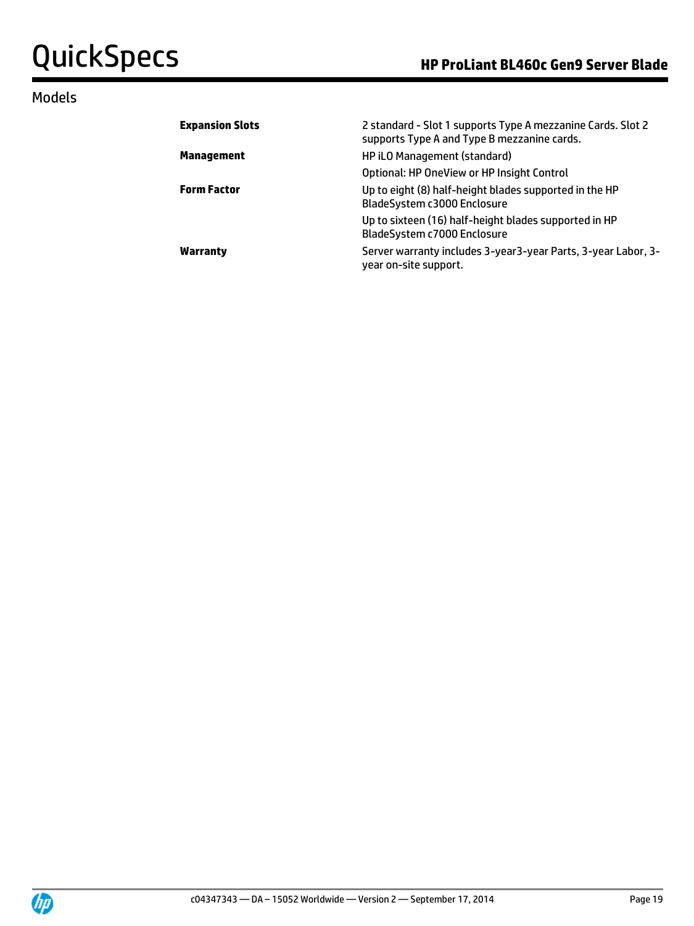## Models

| <b>Expansion Slots</b> | 2 standard - Slot 1 supports Type A mezzanine Cards. Slot 2<br>supports Type A and Type B mezzanine cards. |
|------------------------|------------------------------------------------------------------------------------------------------------|
| <b>Management</b>      | HP iLO Management (standard)                                                                               |
|                        | Optional: HP OneView or HP Insight Control                                                                 |
| <b>Form Factor</b>     | Up to eight (8) half-height blades supported in the HP<br>BladeSystem c3000 Enclosure                      |
|                        | Up to sixteen (16) half-height blades supported in HP<br>BladeSystem c7000 Enclosure                       |
| Warranty               | Server warranty includes 3-year3-year Parts, 3-year Labor, 3-<br>year on-site support.                     |

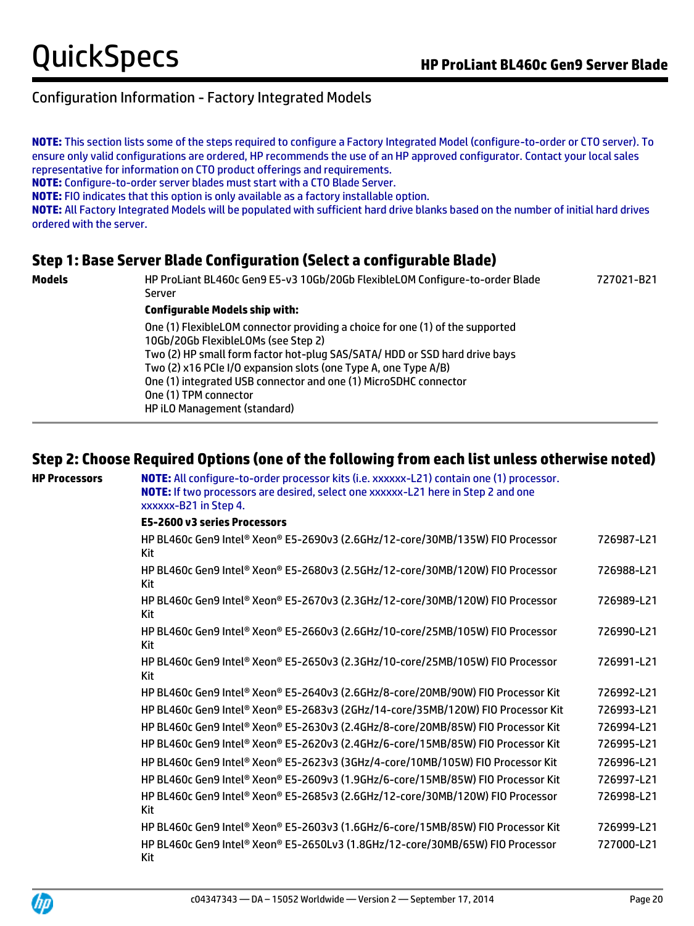**NOTE:** This section lists some of the steps required to configure a Factory Integrated Model (configure-to-order or CTO server). To ensure only valid configurations are ordered, HP recommends the use of an HP approved configurator. Contact your local sales representative for information on CTO product offerings and requirements.

**NOTE:** Configure-to-order server blades must start with a CTO Blade Server.

**NOTE:** FIO indicates that this option is only available as a factory installable option.

**NOTE:** All Factory Integrated Models will be populated with sufficient hard drive blanks based on the number of initial hard drives ordered with the server.

## **Step 1: Base Server Blade Configuration (Select a configurable Blade)**

**Models** HP ProLiant BL460c Gen9 E5-v3 10Gb/20Gb FlexibleLOM Configure-to-order Blade Server 727021-B21 **Configurable Models ship with:** One (1) FlexibleLOM connector providing a choice for one (1) of the supported 10Gb/20Gb FlexibleLOMs (see Step 2) Two (2) HP small form factor hot-plug SAS/SATA/ HDD or SSD hard drive bays Two (2) x16 PCIe I/O expansion slots (one Type A, one Type A/B) One (1) integrated USB connector and one (1) MicroSDHC connector One (1) TPM connector HP iLO Management (standard)

## **Step 2: Choose Required Options (one of the following from each list unless otherwise noted)**

**HP Processors NOTE:** All configure-to-order processor kits (i.e. xxxxxx-L21) contain one (1) processor. **NOTE:** If two processors are desired, select one xxxxxx-L21 here in Step 2 and one xxxxxx-B21 in Step 4.

### **E5-2600 v3 series Processors**

| HP BL460c Gen9 Intel® Xeon® E5-2690v3 (2.6GHz/12-core/30MB/135W) FIO Processor<br>Kit | 726987-L21 |
|---------------------------------------------------------------------------------------|------------|
| HP BL460c Gen9 Intel® Xeon® E5-2680v3 (2.5GHz/12-core/30MB/120W) FIO Processor<br>Kit | 726988-L21 |
| HP BL460c Gen9 Intel® Xeon® E5-2670v3 (2.3GHz/12-core/30MB/120W) FIO Processor<br>Kit | 726989-L21 |
| HP BL460c Gen9 Intel® Xeon® E5-2660v3 (2.6GHz/10-core/25MB/105W) FIO Processor<br>Kit | 726990-L21 |
| HP BL460c Gen9 Intel® Xeon® E5-2650v3 (2.3GHz/10-core/25MB/105W) FIO Processor<br>Kit | 726991-L21 |
| HP BL460c Gen9 Intel® Xeon® E5-2640v3 (2.6GHz/8-core/20MB/90W) FIO Processor Kit      | 726992-L21 |
| HP BL460c Gen9 Intel® Xeon® E5-2683v3 (2GHz/14-core/35MB/120W) FIO Processor Kit      | 726993-L21 |
| HP BL460c Gen9 Intel® Xeon® E5-2630v3 (2.4GHz/8-core/20MB/85W) FIO Processor Kit      | 726994-L21 |
| HP BL460c Gen9 Intel® Xeon® E5-2620v3 (2.4GHz/6-core/15MB/85W) FIO Processor Kit      | 726995-L21 |
| HP BL460c Gen9 Intel® Xeon® E5-2623v3 (3GHz/4-core/10MB/105W) FIO Processor Kit       | 726996-L21 |
| HP BL460c Gen9 Intel® Xeon® E5-2609v3 (1.9GHz/6-core/15MB/85W) FIO Processor Kit      | 726997-L21 |
| HP BL460c Gen9 Intel® Xeon® E5-2685v3 (2.6GHz/12-core/30MB/120W) FIO Processor<br>Kit | 726998-L21 |
| HP BL460c Gen9 Intel® Xeon® E5-2603v3 (1.6GHz/6-core/15MB/85W) FIO Processor Kit      | 726999-L21 |
| HP BL460c Gen9 Intel® Xeon® E5-2650Lv3 (1.8GHz/12-core/30MB/65W) FIO Processor<br>Kit | 727000-L21 |

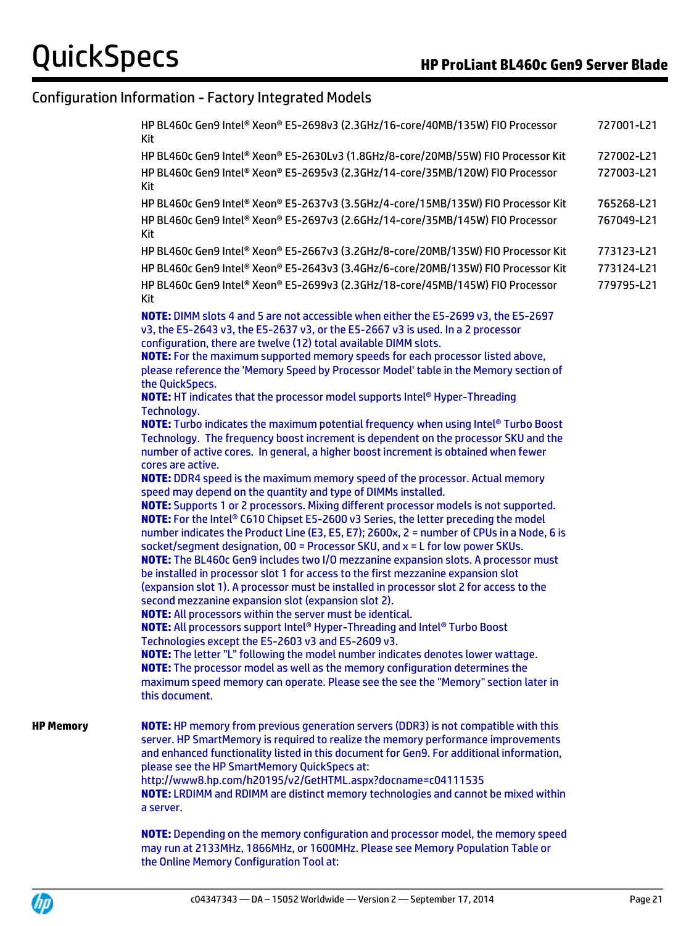| HP BL460c Gen9 Intel® Xeon® E5-2698v3 (2.3GHz/16-core/40MB/135W) FIO Processor<br>Kit                                                                                                           | 727001-L21 |
|-------------------------------------------------------------------------------------------------------------------------------------------------------------------------------------------------|------------|
| HP BL460c Gen9 Intel® Xeon® E5-2630Lv3 (1.8GHz/8-core/20MB/55W) FIO Processor Kit                                                                                                               | 727002-L21 |
| HP BL460c Gen9 Intel® Xeon® E5-2695v3 (2.3GHz/14-core/35MB/120W) FIO Processor<br>Kit                                                                                                           | 727003-L21 |
| HP BL460c Gen9 Intel® Xeon® E5-2637v3 (3.5GHz/4-core/15MB/135W) FIO Processor Kit                                                                                                               | 765268-L21 |
| HP BL460c Gen9 Intel® Xeon® E5-2697v3 (2.6GHz/14-core/35MB/145W) FIO Processor<br>Kit                                                                                                           | 767049-L21 |
| HP BL460c Gen9 Intel® Xeon® E5-2667v3 (3.2GHz/8-core/20MB/135W) FIO Processor Kit                                                                                                               | 773123-L21 |
| HP BL460c Gen9 Intel® Xeon® E5-2643v3 (3.4GHz/6-core/20MB/135W) FIO Processor Kit                                                                                                               | 773124-L21 |
| HP BL460c Gen9 Intel® Xeon® E5-2699v3 (2.3GHz/18-core/45MB/145W) FIO Processor<br>Kit                                                                                                           | 779795-L21 |
| NOTE: DIMM slots 4 and 5 are not accessible when either the E5-2699 v3, the E5-2697                                                                                                             |            |
| v3, the E5-2643 v3, the E5-2637 v3, or the E5-2667 v3 is used. In a 2 processor                                                                                                                 |            |
| configuration, there are twelve (12) total available DIMM slots.                                                                                                                                |            |
| NOTE: For the maximum supported memory speeds for each processor listed above,<br>please reference the 'Memory Speed by Processor Model' table in the Memory section of                         |            |
| the QuickSpecs.                                                                                                                                                                                 |            |
| <b>NOTE:</b> HT indicates that the processor model supports Intel® Hyper-Threading                                                                                                              |            |
| Technology.                                                                                                                                                                                     |            |
| NOTE: Turbo indicates the maximum potential frequency when using Intel® Turbo Boost                                                                                                             |            |
| Technology. The frequency boost increment is dependent on the processor SKU and the<br>number of active cores. In general, a higher boost increment is obtained when fewer<br>cores are active. |            |
| <b>NOTE:</b> DDR4 speed is the maximum memory speed of the processor. Actual memory                                                                                                             |            |
| speed may depend on the quantity and type of DIMMs installed.                                                                                                                                   |            |
| NOTE: Supports 1 or 2 processors. Mixing different processor models is not supported.                                                                                                           |            |
| NOTE: For the Intel® C610 Chipset E5-2600 v3 Series, the letter preceding the model<br>number indicates the Product Line (E3, E5, E7); 2600x, 2 = number of CPUs in a Node, 6 is                |            |
| socket/segment designation, 00 = Processor SKU, and x = L for low power SKUs.                                                                                                                   |            |
| NOTE: The BL460c Gen9 includes two I/O mezzanine expansion slots. A processor must                                                                                                              |            |
| be installed in processor slot 1 for access to the first mezzanine expansion slot                                                                                                               |            |
| (expansion slot 1). A processor must be installed in processor slot 2 for access to the                                                                                                         |            |
| second mezzanine expansion slot (expansion slot 2).                                                                                                                                             |            |
| <b>NOTE:</b> All processors within the server must be identical.<br><b>NOTE:</b> All processors support Intel® Hyper-Threading and Intel® Turbo Boost                                           |            |
| Technologies except the E5-2603 v3 and E5-2609 v3.                                                                                                                                              |            |
| <b>NOTE:</b> The letter "L" following the model number indicates denotes lower wattage.                                                                                                         |            |
| NOTE: The processor model as well as the memory configuration determines the                                                                                                                    |            |
| maximum speed memory can operate. Please see the see the "Memory" section later in<br>this document.                                                                                            |            |
| NOTE: HP memory from previous generation servers (DDR3) is not compatible with this                                                                                                             |            |
| server. HP SmartMemory is required to realize the memory performance improvements                                                                                                               |            |
| and enhanced functionality listed in this document for Gen9. For additional information,                                                                                                        |            |
| please see the HP SmartMemory QuickSpecs at:                                                                                                                                                    |            |
| http://www8.hp.com/h20195/v2/GetHTML.aspx?docname=c04111535<br>NOTE: LRDIMM and RDIMM are distinct memory technologies and cannot be mixed within                                               |            |
| a server.                                                                                                                                                                                       |            |
|                                                                                                                                                                                                 |            |
| NOTE: Depending on the memory configuration and processor model, the memory speed                                                                                                               |            |
| may run at 2133MHz, 1866MHz, or 1600MHz. Please see Memory Population Table or                                                                                                                  |            |

the Online Memory Configuration Tool at:



**HP Memory**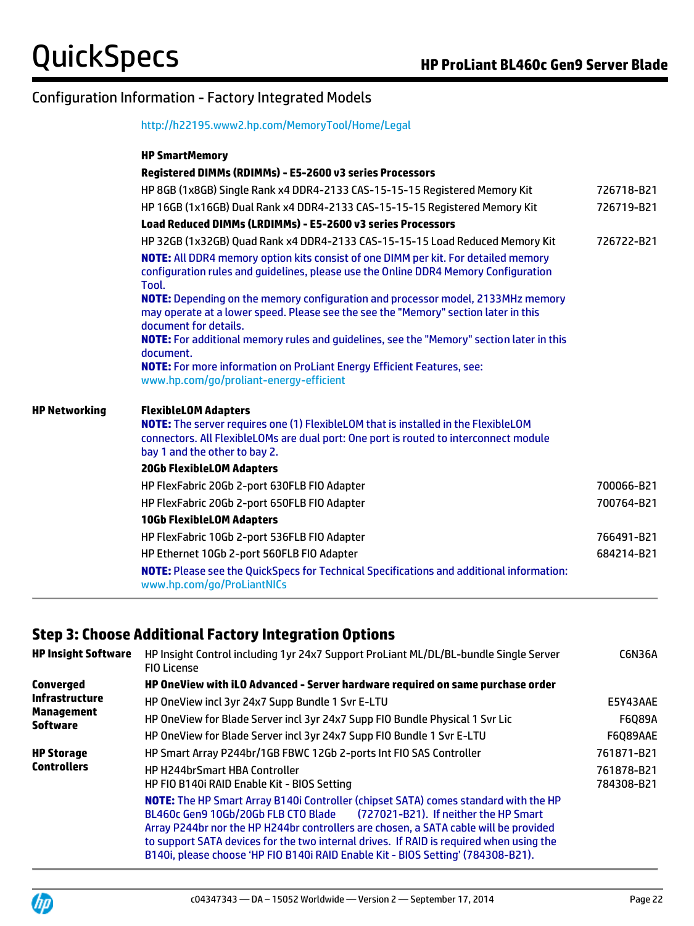| http://h22195.www2.hp.com/MemoryTool/Home/Legal |  |  |
|-------------------------------------------------|--|--|
|                                                 |  |  |

| <b>HP SmartMemory</b><br>Registered DIMMs (RDIMMs) - E5-2600 v3 series Processors<br>HP 8GB (1x8GB) Single Rank x4 DDR4-2133 CAS-15-15-15 Registered Memory Kit<br>HP 16GB (1x16GB) Dual Rank x4 DDR4-2133 CAS-15-15-15 Registered Memory Kit<br><b>Load Reduced DIMMs (LRDIMMs) - E5-2600 v3 series Processors</b><br>HP 32GB (1x32GB) Quad Rank x4 DDR4-2133 CAS-15-15-15 Load Reduced Memory Kit<br>NOTE: All DDR4 memory option kits consist of one DIMM per kit. For detailed memory<br>configuration rules and guidelines, please use the Online DDR4 Memory Configuration<br>Tool.<br>NOTE: Depending on the memory configuration and processor model, 2133MHz memory<br>may operate at a lower speed. Please see the see the "Memory" section later in this<br>document for details.<br>NOTE: For additional memory rules and guidelines, see the "Memory" section later in this<br>document.<br><b>NOTE:</b> For more information on ProLiant Energy Efficient Features, see:<br>www.hp.com/go/proliant-energy-efficient<br><b>HP Networking</b><br><b>FlexibleLOM Adapters</b><br><b>NOTE:</b> The server requires one (1) FlexibleLOM that is installed in the FlexibleLOM<br>connectors. All FlexibleLOMs are dual port: One port is routed to interconnect module<br>bay 1 and the other to bay 2.<br><b>20Gb FlexibleLOM Adapters</b><br>HP FlexFabric 20Gb 2-port 630FLB FIO Adapter<br>HP FlexFabric 20Gb 2-port 650FLB FIO Adapter<br><b>10Gb FlexibleLOM Adapters</b><br>HP FlexFabric 10Gb 2-port 536FLB FIO Adapter<br>HP Ethernet 10Gb 2-port 560FLB FIO Adapter<br><b>NOTE:</b> Please see the QuickSpecs for Technical Specifications and additional information:<br>www.hp.com/go/ProLiantNICs |  |            |
|------------------------------------------------------------------------------------------------------------------------------------------------------------------------------------------------------------------------------------------------------------------------------------------------------------------------------------------------------------------------------------------------------------------------------------------------------------------------------------------------------------------------------------------------------------------------------------------------------------------------------------------------------------------------------------------------------------------------------------------------------------------------------------------------------------------------------------------------------------------------------------------------------------------------------------------------------------------------------------------------------------------------------------------------------------------------------------------------------------------------------------------------------------------------------------------------------------------------------------------------------------------------------------------------------------------------------------------------------------------------------------------------------------------------------------------------------------------------------------------------------------------------------------------------------------------------------------------------------------------------------------------------------------------------------------------------------------------------|--|------------|
|                                                                                                                                                                                                                                                                                                                                                                                                                                                                                                                                                                                                                                                                                                                                                                                                                                                                                                                                                                                                                                                                                                                                                                                                                                                                                                                                                                                                                                                                                                                                                                                                                                                                                                                        |  |            |
|                                                                                                                                                                                                                                                                                                                                                                                                                                                                                                                                                                                                                                                                                                                                                                                                                                                                                                                                                                                                                                                                                                                                                                                                                                                                                                                                                                                                                                                                                                                                                                                                                                                                                                                        |  |            |
|                                                                                                                                                                                                                                                                                                                                                                                                                                                                                                                                                                                                                                                                                                                                                                                                                                                                                                                                                                                                                                                                                                                                                                                                                                                                                                                                                                                                                                                                                                                                                                                                                                                                                                                        |  | 726718-B21 |
|                                                                                                                                                                                                                                                                                                                                                                                                                                                                                                                                                                                                                                                                                                                                                                                                                                                                                                                                                                                                                                                                                                                                                                                                                                                                                                                                                                                                                                                                                                                                                                                                                                                                                                                        |  | 726719-B21 |
|                                                                                                                                                                                                                                                                                                                                                                                                                                                                                                                                                                                                                                                                                                                                                                                                                                                                                                                                                                                                                                                                                                                                                                                                                                                                                                                                                                                                                                                                                                                                                                                                                                                                                                                        |  |            |
|                                                                                                                                                                                                                                                                                                                                                                                                                                                                                                                                                                                                                                                                                                                                                                                                                                                                                                                                                                                                                                                                                                                                                                                                                                                                                                                                                                                                                                                                                                                                                                                                                                                                                                                        |  | 726722-B21 |
|                                                                                                                                                                                                                                                                                                                                                                                                                                                                                                                                                                                                                                                                                                                                                                                                                                                                                                                                                                                                                                                                                                                                                                                                                                                                                                                                                                                                                                                                                                                                                                                                                                                                                                                        |  |            |
|                                                                                                                                                                                                                                                                                                                                                                                                                                                                                                                                                                                                                                                                                                                                                                                                                                                                                                                                                                                                                                                                                                                                                                                                                                                                                                                                                                                                                                                                                                                                                                                                                                                                                                                        |  |            |
|                                                                                                                                                                                                                                                                                                                                                                                                                                                                                                                                                                                                                                                                                                                                                                                                                                                                                                                                                                                                                                                                                                                                                                                                                                                                                                                                                                                                                                                                                                                                                                                                                                                                                                                        |  |            |
|                                                                                                                                                                                                                                                                                                                                                                                                                                                                                                                                                                                                                                                                                                                                                                                                                                                                                                                                                                                                                                                                                                                                                                                                                                                                                                                                                                                                                                                                                                                                                                                                                                                                                                                        |  |            |
|                                                                                                                                                                                                                                                                                                                                                                                                                                                                                                                                                                                                                                                                                                                                                                                                                                                                                                                                                                                                                                                                                                                                                                                                                                                                                                                                                                                                                                                                                                                                                                                                                                                                                                                        |  |            |
|                                                                                                                                                                                                                                                                                                                                                                                                                                                                                                                                                                                                                                                                                                                                                                                                                                                                                                                                                                                                                                                                                                                                                                                                                                                                                                                                                                                                                                                                                                                                                                                                                                                                                                                        |  |            |
|                                                                                                                                                                                                                                                                                                                                                                                                                                                                                                                                                                                                                                                                                                                                                                                                                                                                                                                                                                                                                                                                                                                                                                                                                                                                                                                                                                                                                                                                                                                                                                                                                                                                                                                        |  |            |
|                                                                                                                                                                                                                                                                                                                                                                                                                                                                                                                                                                                                                                                                                                                                                                                                                                                                                                                                                                                                                                                                                                                                                                                                                                                                                                                                                                                                                                                                                                                                                                                                                                                                                                                        |  | 700066-B21 |
|                                                                                                                                                                                                                                                                                                                                                                                                                                                                                                                                                                                                                                                                                                                                                                                                                                                                                                                                                                                                                                                                                                                                                                                                                                                                                                                                                                                                                                                                                                                                                                                                                                                                                                                        |  | 700764-B21 |
|                                                                                                                                                                                                                                                                                                                                                                                                                                                                                                                                                                                                                                                                                                                                                                                                                                                                                                                                                                                                                                                                                                                                                                                                                                                                                                                                                                                                                                                                                                                                                                                                                                                                                                                        |  |            |
|                                                                                                                                                                                                                                                                                                                                                                                                                                                                                                                                                                                                                                                                                                                                                                                                                                                                                                                                                                                                                                                                                                                                                                                                                                                                                                                                                                                                                                                                                                                                                                                                                                                                                                                        |  | 766491-B21 |
|                                                                                                                                                                                                                                                                                                                                                                                                                                                                                                                                                                                                                                                                                                                                                                                                                                                                                                                                                                                                                                                                                                                                                                                                                                                                                                                                                                                                                                                                                                                                                                                                                                                                                                                        |  | 684214-B21 |
|                                                                                                                                                                                                                                                                                                                                                                                                                                                                                                                                                                                                                                                                                                                                                                                                                                                                                                                                                                                                                                                                                                                                                                                                                                                                                                                                                                                                                                                                                                                                                                                                                                                                                                                        |  |            |

## **Step 3: Choose Additional Factory Integration Options**

| <b>HP Insight Software</b>    | HP Insight Control including 1yr 24x7 Support ProLiant ML/DL/BL-bundle Single Server<br><b>FIO License</b>                                                                                                                                                                                                                                                                                                                                 | <b>C6N36A</b>            |
|-------------------------------|--------------------------------------------------------------------------------------------------------------------------------------------------------------------------------------------------------------------------------------------------------------------------------------------------------------------------------------------------------------------------------------------------------------------------------------------|--------------------------|
| Converged                     | HP OneView with iLO Advanced - Server hardware required on same purchase order                                                                                                                                                                                                                                                                                                                                                             |                          |
| Infrastructure                | HP OneView incl 3yr 24x7 Supp Bundle 1 Svr E-LTU                                                                                                                                                                                                                                                                                                                                                                                           | E5Y43AAE                 |
| Management<br><b>Software</b> | HP OneView for Blade Server incl 3yr 24x7 Supp FIO Bundle Physical 1 Svr Lic                                                                                                                                                                                                                                                                                                                                                               | F6Q89A                   |
|                               | HP OneView for Blade Server incl 3yr 24x7 Supp FIO Bundle 1 Svr E-LTU                                                                                                                                                                                                                                                                                                                                                                      | F6Q89AAE                 |
| <b>HP Storage</b>             | HP Smart Array P244br/1GB FBWC 12Gb 2-ports Int FIO SAS Controller                                                                                                                                                                                                                                                                                                                                                                         | 761871-B21               |
| <b>Controllers</b>            | <b>HP H244brSmart HBA Controller</b><br>HP FIO B140i RAID Enable Kit - BIOS Setting                                                                                                                                                                                                                                                                                                                                                        | 761878-B21<br>784308-B21 |
|                               | NOTE: The HP Smart Array B140i Controller (chipset SATA) comes standard with the HP<br>BL460c Gen9 10Gb/20Gb FLB CTO Blade<br>(727021-B21). If neither the HP Smart<br>Array P244br nor the HP H244br controllers are chosen, a SATA cable will be provided<br>to support SATA devices for the two internal drives. If RAID is required when using the<br>B140i, please choose 'HP FIO B140i RAID Enable Kit - BIOS Setting' (784308-B21). |                          |

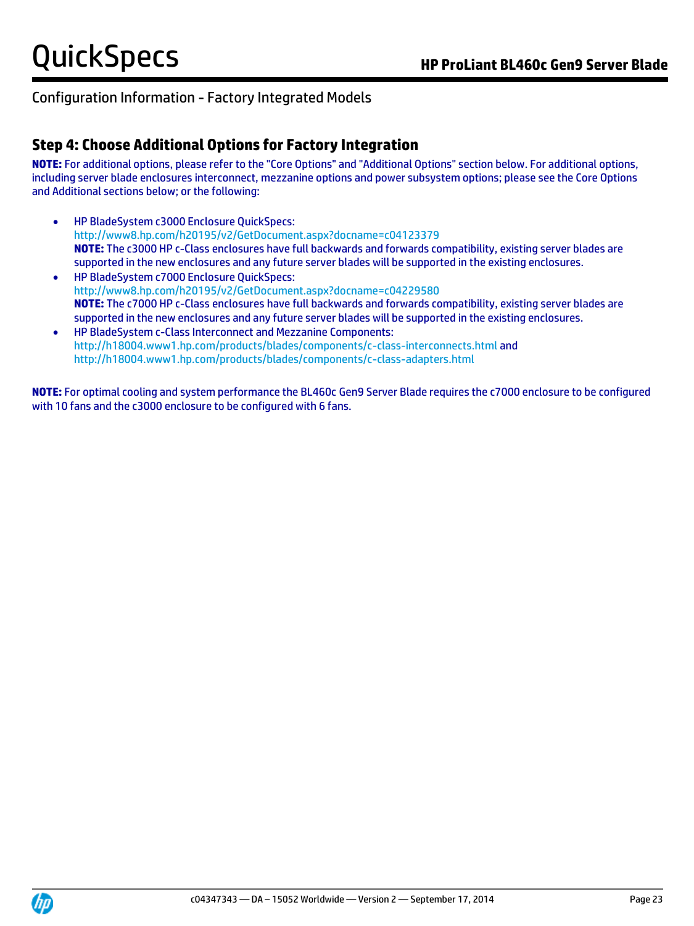## **Step 4: Choose Additional Options for Factory Integration**

**NOTE:** For additional options, please refer to the "Core Options" and "Additional Options" section below. For additional options, including server blade enclosures interconnect, mezzanine options and power subsystem options; please see the Core Options and Additional sections below; or the following:

- HP BladeSystem c3000 Enclosure QuickSpecs: [http://www8.hp.com/h20195/v2/GetDocument.aspx?docname=c04123379](http://h18000.www1.hp.com/products/quickspecs/12790_div/12790_div.html) **NOTE:** The c3000 HP c-Class enclosures have full backwards and forwards compatibility, existing server blades are supported in the new enclosures and any future server blades will be supported in the existing enclosures.
- HP BladeSystem c7000 Enclosure QuickSpecs: [http://www8.hp.com/h20195/v2/GetDocument.aspx?docname=c04229580](http://h18000.www1.hp.com/products/quickspecs/12810_div/12810_div.html) **NOTE:** The c7000 HP c-Class enclosures have full backwards and forwards compatibility, existing server blades are supported in the new enclosures and any future server blades will be supported in the existing enclosures.
- HP BladeSystem c-Class Interconnect and Mezzanine Components: <http://h18004.www1.hp.com/products/blades/components/c-class-interconnects.html> and <http://h18004.www1.hp.com/products/blades/components/c-class-adapters.html>

**NOTE:** For optimal cooling and system performance the BL460c Gen9 Server Blade requires the c7000 enclosure to be configured with 10 fans and the c3000 enclosure to be configured with 6 fans.

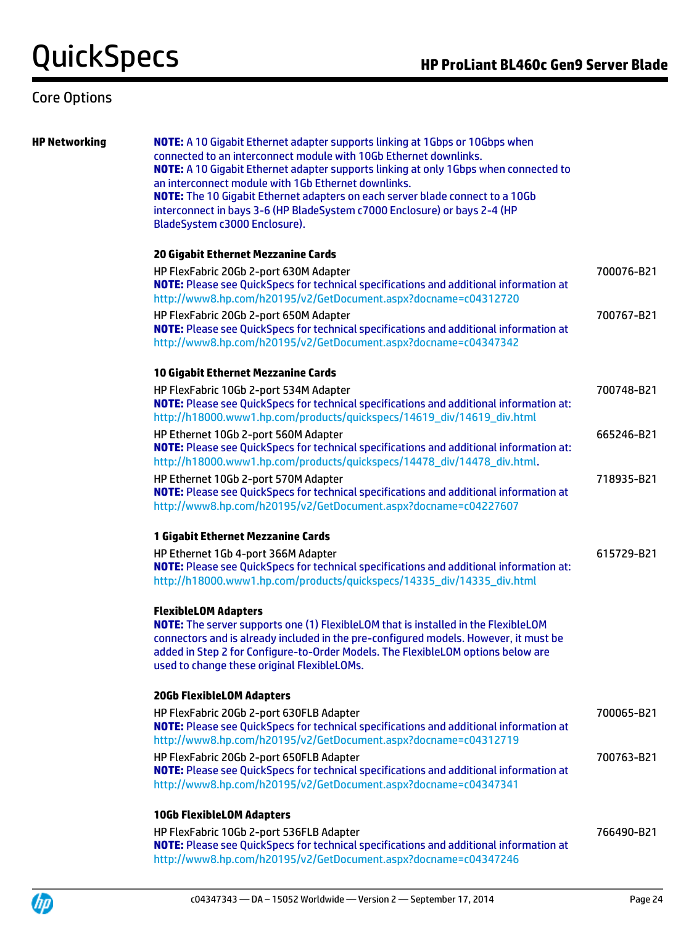## Core Options

**HP Networking NOTE:** A 10 Gigabit Ethernet adapter supports linking at 1Gbps or 10Gbps when connected to an interconnect module with 10Gb Ethernet downlinks. **NOTE:** A 10 Gigabit Ethernet adapter supports linking at only 1Gbps when connected to an interconnect module with 1Gb Ethernet downlinks. **NOTE:** The 10 Gigabit Ethernet adapters on each server blade connect to a 10Gb interconnect in bays 3-6 (HP BladeSystem c7000 Enclosure) or bays 2-4 (HP BladeSystem c3000 Enclosure).

### **20 Gigabit Ethernet Mezzanine Cards**

HP FlexFabric 20Gb 2-port 630M Adapter **NOTE:** Please see QuickSpecs for technical specifications and additional information at <http://www8.hp.com/h20195/v2/GetDocument.aspx?docname=c04312720> 700076-B21 HP FlexFabric 20Gb 2-port 650M Adapter **NOTE:** Please see QuickSpecs for technical specifications and additional information at <http://www8.hp.com/h20195/v2/GetDocument.aspx?docname=c04347342> 700767-B21 **10 Gigabit Ethernet Mezzanine Cards** HP FlexFabric 10Gb 2-port 534M Adapter **NOTE:** Please see QuickSpecs for technical specifications and additional information at: [http://h18000.www1.hp.com/products/quickspecs/14619\\_div/14619\\_div.html](http://h18000.www1.hp.com/products/quickspecs/14619_div/14619_div.html) 700748-B21 HP Ethernet 10Gb 2-port 560M Adapter **NOTE:** Please see QuickSpecs for technical specifications and additional information at: [http://h18000.www1.hp.com/products/quickspecs/14478\\_div/14478\\_div.html.](http://h18000.www1.hp.com/products/quickspecs/14478_div/14478_div.html) 665246-B21 HP Ethernet 10Gb 2-port 570M Adapter **NOTE:** Please see QuickSpecs for technical specifications and additional information at <http://www8.hp.com/h20195/v2/GetDocument.aspx?docname=c04227607> 718935-B21

### **1 Gigabit Ethernet Mezzanine Cards**

| HP Ethernet 1Gb 4-port 366M Adapter                                                            | 615729-B21 |
|------------------------------------------------------------------------------------------------|------------|
| <b>NOTE:</b> Please see QuickSpecs for technical specifications and additional information at: |            |
| http://h18000.www1.hp.com/products/quickspecs/14335_div/14335_div.html                         |            |

### **FlexibleLOM Adapters**

**NOTE:** The server supports one (1) FlexibleLOM that is installed in the FlexibleLOM connectors and is already included in the pre-configured models. However, it must be added in Step 2 for Configure-to-Order Models. The FlexibleLOM options below are used to change these original FlexibleLOMs.

### **20Gb FlexibleLOM Adapters**

| 700065-B21 |
|------------|
|            |
|            |
| 700763-B21 |
|            |
|            |
|            |

### **10Gb FlexibleLOM Adapters**

HP FlexFabric 10Gb 2-port 536FLB Adapter **NOTE:** Please see QuickSpecs for technical specifications and additional information at <http://www8.hp.com/h20195/v2/GetDocument.aspx?docname=c04347246> 766490-B21

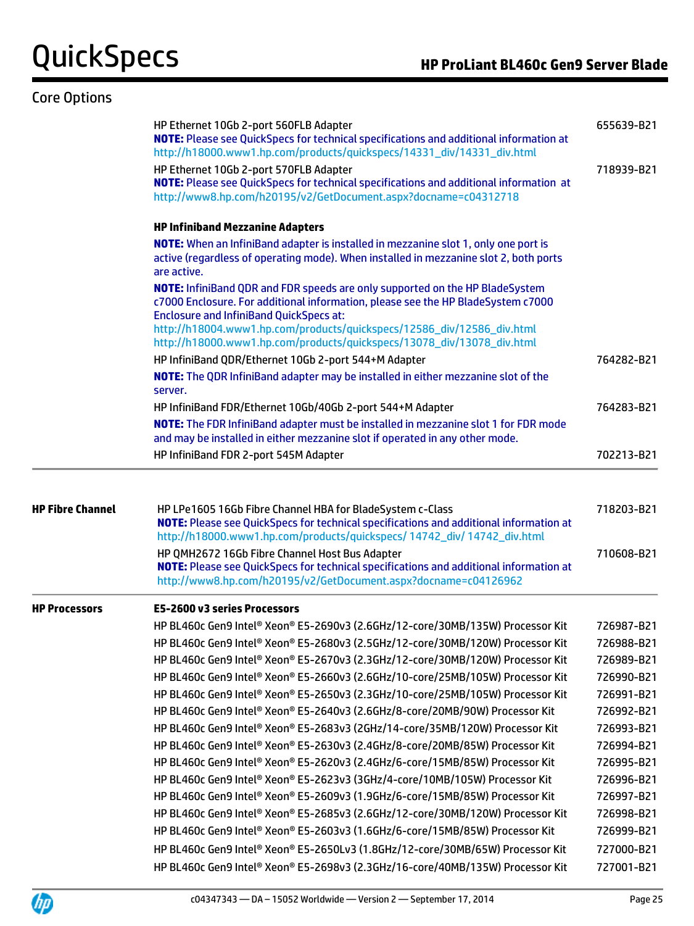## Core Options

|                         | HP Ethernet 10Gb 2-port 560FLB Adapter<br>NOTE: Please see QuickSpecs for technical specifications and additional information at<br>http://h18000.www1.hp.com/products/quickspecs/14331_div/14331_div.html                                                                                                                                                             | 655639-B21 |
|-------------------------|------------------------------------------------------------------------------------------------------------------------------------------------------------------------------------------------------------------------------------------------------------------------------------------------------------------------------------------------------------------------|------------|
|                         | HP Ethernet 10Gb 2-port 570FLB Adapter<br>NOTE: Please see QuickSpecs for technical specifications and additional information at<br>http://www8.hp.com/h20195/v2/GetDocument.aspx?docname=c04312718                                                                                                                                                                    | 718939-B21 |
|                         | <b>HP Infiniband Mezzanine Adapters</b>                                                                                                                                                                                                                                                                                                                                |            |
|                         | <b>NOTE:</b> When an InfiniBand adapter is installed in mezzanine slot 1, only one port is<br>active (regardless of operating mode). When installed in mezzanine slot 2, both ports<br>are active.                                                                                                                                                                     |            |
|                         | NOTE: InfiniBand QDR and FDR speeds are only supported on the HP BladeSystem<br>c7000 Enclosure. For additional information, please see the HP BladeSystem c7000<br><b>Enclosure and InfiniBand QuickSpecs at:</b><br>http://h18004.www1.hp.com/products/quickspecs/12586_div/12586_div.html<br>http://h18000.www1.hp.com/products/quickspecs/13078_div/13078_div.html |            |
|                         | HP InfiniBand QDR/Ethernet 10Gb 2-port 544+M Adapter                                                                                                                                                                                                                                                                                                                   | 764282-B21 |
|                         | NOTE: The QDR InfiniBand adapter may be installed in either mezzanine slot of the                                                                                                                                                                                                                                                                                      |            |
|                         | server.                                                                                                                                                                                                                                                                                                                                                                |            |
|                         | HP InfiniBand FDR/Ethernet 10Gb/40Gb 2-port 544+M Adapter                                                                                                                                                                                                                                                                                                              | 764283-B21 |
|                         | NOTE: The FDR InfiniBand adapter must be installed in mezzanine slot 1 for FDR mode<br>and may be installed in either mezzanine slot if operated in any other mode.                                                                                                                                                                                                    |            |
|                         | HP InfiniBand FDR 2-port 545M Adapter                                                                                                                                                                                                                                                                                                                                  | 702213-B21 |
| <b>HP Fibre Channel</b> | HP LPe1605 16Gb Fibre Channel HBA for BladeSystem c-Class                                                                                                                                                                                                                                                                                                              | 718203-B21 |
|                         | NOTE: Please see QuickSpecs for technical specifications and additional information at<br>http://h18000.www1.hp.com/products/quickspecs/ 14742_div/ 14742_div.html                                                                                                                                                                                                     |            |
|                         | HP QMH2672 16Gb Fibre Channel Host Bus Adapter<br><b>NOTE:</b> Please see QuickSpecs for technical specifications and additional information at<br>http://www8.hp.com/h20195/v2/GetDocument.aspx?docname=c04126962                                                                                                                                                     | 710608-B21 |
|                         | E5-2600 v3 series Processors                                                                                                                                                                                                                                                                                                                                           |            |
|                         | HP BL460c Gen9 Intel® Xeon® E5-2690v3 (2.6GHz/12-core/30MB/135W) Processor Kit                                                                                                                                                                                                                                                                                         | 726987-B21 |
|                         | HP BL460c Gen9 Intel® Xeon® E5-2680v3 (2.5GHz/12-core/30MB/120W) Processor Kit                                                                                                                                                                                                                                                                                         | 726988-B21 |
|                         | HP BL460c Gen9 Intel® Xeon® E5-2670v3 (2.3GHz/12-core/30MB/120W) Processor Kit                                                                                                                                                                                                                                                                                         | 726989-B21 |
|                         | HP BL460c Gen9 Intel® Xeon® E5-2660v3 (2.6GHz/10-core/25MB/105W) Processor Kit                                                                                                                                                                                                                                                                                         | 726990-B21 |
| <b>HP Processors</b>    | HP BL460c Gen9 Intel® Xeon® E5-2650v3 (2.3GHz/10-core/25MB/105W) Processor Kit                                                                                                                                                                                                                                                                                         | 726991-B21 |
|                         | HP BL460c Gen9 Intel® Xeon® E5-2640v3 (2.6GHz/8-core/20MB/90W) Processor Kit                                                                                                                                                                                                                                                                                           | 726992-B21 |
|                         | HP BL460c Gen9 Intel® Xeon® E5-2683v3 (2GHz/14-core/35MB/120W) Processor Kit                                                                                                                                                                                                                                                                                           | 726993-B21 |
|                         | HP BL460c Gen9 Intel® Xeon® E5-2630v3 (2.4GHz/8-core/20MB/85W) Processor Kit                                                                                                                                                                                                                                                                                           | 726994-B21 |
|                         | HP BL460c Gen9 Intel® Xeon® E5-2620v3 (2.4GHz/6-core/15MB/85W) Processor Kit                                                                                                                                                                                                                                                                                           | 726995-B21 |
|                         | HP BL460c Gen9 Intel® Xeon® E5-2623v3 (3GHz/4-core/10MB/105W) Processor Kit                                                                                                                                                                                                                                                                                            | 726996-B21 |
|                         | HP BL460c Gen9 Intel® Xeon® E5-2609v3 (1.9GHz/6-core/15MB/85W) Processor Kit                                                                                                                                                                                                                                                                                           | 726997-B21 |
|                         | HP BL460c Gen9 Intel® Xeon® E5-2685v3 (2.6GHz/12-core/30MB/120W) Processor Kit                                                                                                                                                                                                                                                                                         | 726998-B21 |
|                         | HP BL460c Gen9 Intel® Xeon® E5-2603v3 (1.6GHz/6-core/15MB/85W) Processor Kit                                                                                                                                                                                                                                                                                           | 726999-B21 |
|                         | HP BL460c Gen9 Intel® Xeon® E5-2650Lv3 (1.8GHz/12-core/30MB/65W) Processor Kit                                                                                                                                                                                                                                                                                         | 727000-B21 |
|                         | HP BL460c Gen9 Intel® Xeon® E5-2698v3 (2.3GHz/16-core/40MB/135W) Processor Kit                                                                                                                                                                                                                                                                                         | 727001-B21 |



÷.

 $\equiv$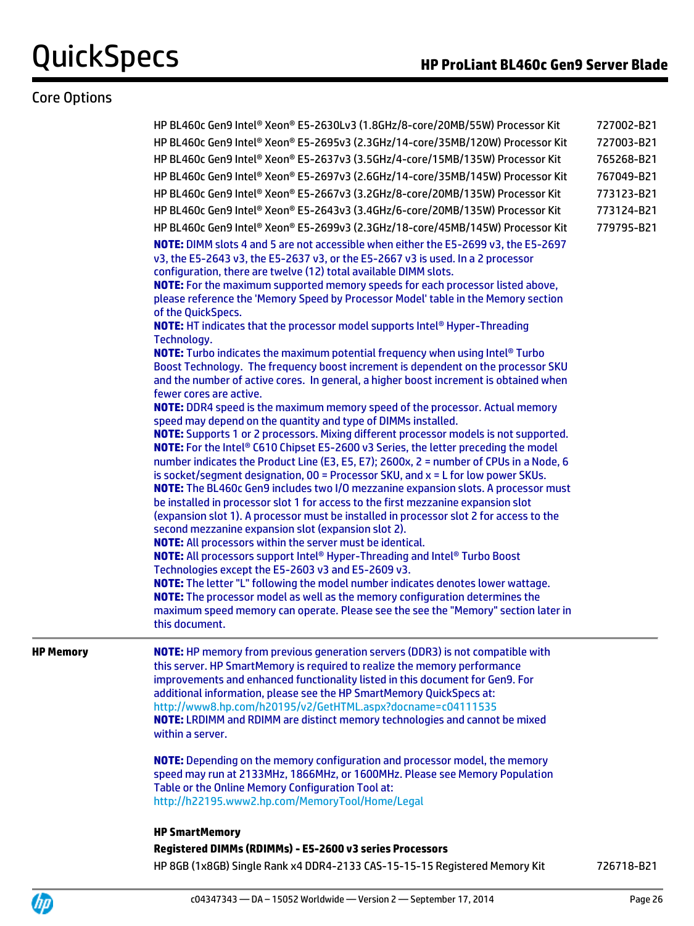## Core Options

|                  | HP BL460c Gen9 Intel® Xeon® E5-2630Lv3 (1.8GHz/8-core/20MB/55W) Processor Kit                                                                                                                                                                                                                                                                                                                                                                                                                                                                                                                                                                                                                                                                                                                                                                                                                                                                                                                                                                                                                                                                                                                                                                                                                                                                                                                                                                                                                                                                                                                                                                                                                                                                                                                                                                                                                                                                                                                                                                                                                         | 727002-B21 |
|------------------|-------------------------------------------------------------------------------------------------------------------------------------------------------------------------------------------------------------------------------------------------------------------------------------------------------------------------------------------------------------------------------------------------------------------------------------------------------------------------------------------------------------------------------------------------------------------------------------------------------------------------------------------------------------------------------------------------------------------------------------------------------------------------------------------------------------------------------------------------------------------------------------------------------------------------------------------------------------------------------------------------------------------------------------------------------------------------------------------------------------------------------------------------------------------------------------------------------------------------------------------------------------------------------------------------------------------------------------------------------------------------------------------------------------------------------------------------------------------------------------------------------------------------------------------------------------------------------------------------------------------------------------------------------------------------------------------------------------------------------------------------------------------------------------------------------------------------------------------------------------------------------------------------------------------------------------------------------------------------------------------------------------------------------------------------------------------------------------------------------|------------|
|                  | HP BL460c Gen9 Intel® Xeon® E5-2695v3 (2.3GHz/14-core/35MB/120W) Processor Kit                                                                                                                                                                                                                                                                                                                                                                                                                                                                                                                                                                                                                                                                                                                                                                                                                                                                                                                                                                                                                                                                                                                                                                                                                                                                                                                                                                                                                                                                                                                                                                                                                                                                                                                                                                                                                                                                                                                                                                                                                        | 727003-B21 |
|                  | HP BL460c Gen9 Intel® Xeon® E5-2637v3 (3.5GHz/4-core/15MB/135W) Processor Kit                                                                                                                                                                                                                                                                                                                                                                                                                                                                                                                                                                                                                                                                                                                                                                                                                                                                                                                                                                                                                                                                                                                                                                                                                                                                                                                                                                                                                                                                                                                                                                                                                                                                                                                                                                                                                                                                                                                                                                                                                         | 765268-B21 |
|                  | HP BL460c Gen9 Intel® Xeon® E5-2697v3 (2.6GHz/14-core/35MB/145W) Processor Kit                                                                                                                                                                                                                                                                                                                                                                                                                                                                                                                                                                                                                                                                                                                                                                                                                                                                                                                                                                                                                                                                                                                                                                                                                                                                                                                                                                                                                                                                                                                                                                                                                                                                                                                                                                                                                                                                                                                                                                                                                        | 767049-B21 |
|                  | HP BL460c Gen9 Intel® Xeon® E5-2667v3 (3.2GHz/8-core/20MB/135W) Processor Kit                                                                                                                                                                                                                                                                                                                                                                                                                                                                                                                                                                                                                                                                                                                                                                                                                                                                                                                                                                                                                                                                                                                                                                                                                                                                                                                                                                                                                                                                                                                                                                                                                                                                                                                                                                                                                                                                                                                                                                                                                         | 773123-B21 |
|                  | HP BL460c Gen9 Intel® Xeon® E5-2643v3 (3.4GHz/6-core/20MB/135W) Processor Kit                                                                                                                                                                                                                                                                                                                                                                                                                                                                                                                                                                                                                                                                                                                                                                                                                                                                                                                                                                                                                                                                                                                                                                                                                                                                                                                                                                                                                                                                                                                                                                                                                                                                                                                                                                                                                                                                                                                                                                                                                         | 773124-B21 |
|                  | HP BL460c Gen9 Intel® Xeon® E5-2699v3 (2.3GHz/18-core/45MB/145W) Processor Kit                                                                                                                                                                                                                                                                                                                                                                                                                                                                                                                                                                                                                                                                                                                                                                                                                                                                                                                                                                                                                                                                                                                                                                                                                                                                                                                                                                                                                                                                                                                                                                                                                                                                                                                                                                                                                                                                                                                                                                                                                        | 779795-B21 |
|                  | NOTE: DIMM slots 4 and 5 are not accessible when either the E5-2699 v3, the E5-2697<br>v3, the E5-2643 v3, the E5-2637 v3, or the E5-2667 v3 is used. In a 2 processor<br>configuration, there are twelve (12) total available DIMM slots.<br>NOTE: For the maximum supported memory speeds for each processor listed above,<br>please reference the 'Memory Speed by Processor Model' table in the Memory section<br>of the QuickSpecs.<br>NOTE: HT indicates that the processor model supports Intel® Hyper-Threading<br>Technology.<br><b>NOTE:</b> Turbo indicates the maximum potential frequency when using Intel® Turbo<br>Boost Technology. The frequency boost increment is dependent on the processor SKU<br>and the number of active cores. In general, a higher boost increment is obtained when<br>fewer cores are active.<br>NOTE: DDR4 speed is the maximum memory speed of the processor. Actual memory<br>speed may depend on the quantity and type of DIMMs installed.<br>NOTE: Supports 1 or 2 processors. Mixing different processor models is not supported.<br>NOTE: For the Intel® C610 Chipset E5-2600 v3 Series, the letter preceding the model<br>number indicates the Product Line (E3, E5, E7); 2600x, 2 = number of CPUs in a Node, 6<br>is socket/segment designation, 00 = Processor SKU, and x = L for low power SKUs.<br>NOTE: The BL460c Gen9 includes two I/O mezzanine expansion slots. A processor must<br>be installed in processor slot 1 for access to the first mezzanine expansion slot<br>(expansion slot 1). A processor must be installed in processor slot 2 for access to the<br>second mezzanine expansion slot (expansion slot 2).<br>NOTE: All processors within the server must be identical.<br><b>NOTE:</b> All processors support Intel <sup>®</sup> Hyper-Threading and Intel <sup>®</sup> Turbo Boost<br>Technologies except the E5-2603 v3 and E5-2609 v3.<br><b>NOTE:</b> The letter "L" following the model number indicates denotes lower wattage.<br><b>NOTE:</b> The processor model as well as the memory configuration determines the |            |
|                  | maximum speed memory can operate. Please see the see the "Memory" section later in<br>this document.                                                                                                                                                                                                                                                                                                                                                                                                                                                                                                                                                                                                                                                                                                                                                                                                                                                                                                                                                                                                                                                                                                                                                                                                                                                                                                                                                                                                                                                                                                                                                                                                                                                                                                                                                                                                                                                                                                                                                                                                  |            |
| <b>HP Memory</b> | <b>NOTE:</b> HP memory from previous generation servers (DDR3) is not compatible with<br>this server. HP SmartMemory is required to realize the memory performance<br>improvements and enhanced functionality listed in this document for Gen9. For<br>additional information, please see the HP SmartMemory QuickSpecs at:<br>http://www8.hp.com/h20195/v2/GetHTML.aspx?docname=c04111535<br>NOTE: LRDIMM and RDIMM are distinct memory technologies and cannot be mixed<br>within a server.                                                                                                                                                                                                                                                                                                                                                                                                                                                                                                                                                                                                                                                                                                                                                                                                                                                                                                                                                                                                                                                                                                                                                                                                                                                                                                                                                                                                                                                                                                                                                                                                         |            |
|                  | <b>NOTE:</b> Depending on the memory configuration and processor model, the memory<br>speed may run at 2133MHz, 1866MHz, or 1600MHz. Please see Memory Population<br>Table or the Online Memory Configuration Tool at:<br>http://h22195.www2.hp.com/MemoryTool/Home/Legal                                                                                                                                                                                                                                                                                                                                                                                                                                                                                                                                                                                                                                                                                                                                                                                                                                                                                                                                                                                                                                                                                                                                                                                                                                                                                                                                                                                                                                                                                                                                                                                                                                                                                                                                                                                                                             |            |
|                  | <b>HP SmartMemory</b>                                                                                                                                                                                                                                                                                                                                                                                                                                                                                                                                                                                                                                                                                                                                                                                                                                                                                                                                                                                                                                                                                                                                                                                                                                                                                                                                                                                                                                                                                                                                                                                                                                                                                                                                                                                                                                                                                                                                                                                                                                                                                 |            |
|                  | Registered DIMMs (RDIMMs) - E5-2600 v3 series Processors                                                                                                                                                                                                                                                                                                                                                                                                                                                                                                                                                                                                                                                                                                                                                                                                                                                                                                                                                                                                                                                                                                                                                                                                                                                                                                                                                                                                                                                                                                                                                                                                                                                                                                                                                                                                                                                                                                                                                                                                                                              |            |
|                  | HP 8GB (1x8GB) Single Rank x4 DDR4-2133 CAS-15-15-15 Registered Memory Kit                                                                                                                                                                                                                                                                                                                                                                                                                                                                                                                                                                                                                                                                                                                                                                                                                                                                                                                                                                                                                                                                                                                                                                                                                                                                                                                                                                                                                                                                                                                                                                                                                                                                                                                                                                                                                                                                                                                                                                                                                            | 726718-B21 |

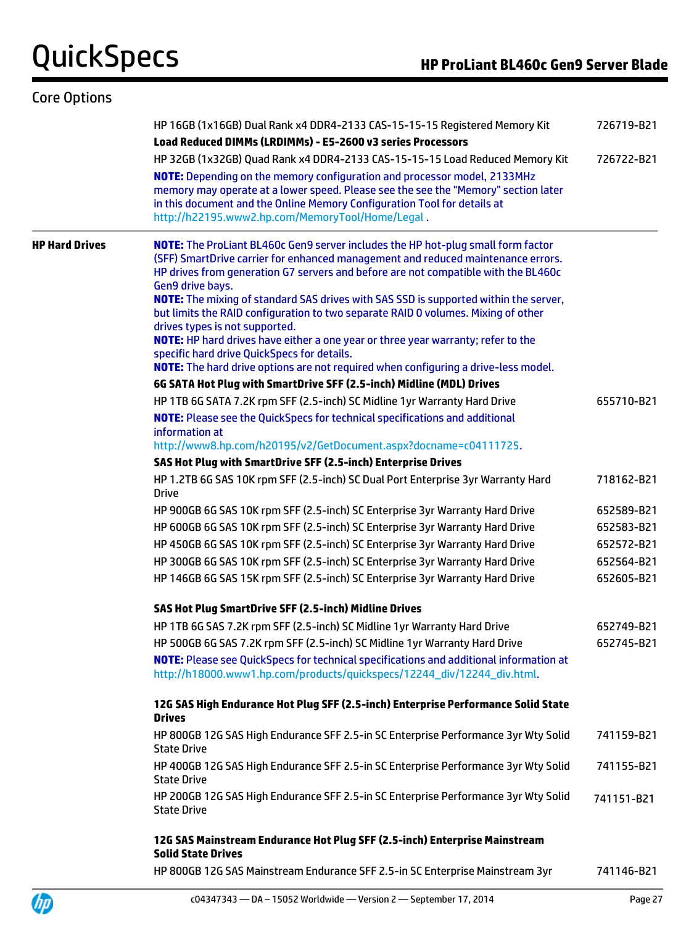UD

| <b>Core Options</b>   |                                                                                                                                                                                                                                                                                                        |            |
|-----------------------|--------------------------------------------------------------------------------------------------------------------------------------------------------------------------------------------------------------------------------------------------------------------------------------------------------|------------|
|                       | HP 16GB (1x16GB) Dual Rank x4 DDR4-2133 CAS-15-15-15 Registered Memory Kit<br>Load Reduced DIMMs (LRDIMMs) - E5-2600 v3 series Processors                                                                                                                                                              | 726719-B21 |
|                       | HP 32GB (1x32GB) Quad Rank x4 DDR4-2133 CAS-15-15-15 Load Reduced Memory Kit                                                                                                                                                                                                                           | 726722-B21 |
|                       | NOTE: Depending on the memory configuration and processor model, 2133MHz<br>memory may operate at a lower speed. Please see the see the "Memory" section later<br>in this document and the Online Memory Configuration Tool for details at<br>http://h22195.www2.hp.com/MemoryTool/Home/Legal.         |            |
| <b>HP Hard Drives</b> | <b>NOTE:</b> The ProLiant BL460c Gen9 server includes the HP hot-plug small form factor<br>(SFF) SmartDrive carrier for enhanced management and reduced maintenance errors.<br>HP drives from generation G7 servers and before are not compatible with the BL460c<br>Gen9 drive bays.                  |            |
|                       | <b>NOTE:</b> The mixing of standard SAS drives with SAS SSD is supported within the server,<br>but limits the RAID configuration to two separate RAID 0 volumes. Mixing of other<br>drives types is not supported.<br>NOTE: HP hard drives have either a one year or three year warranty; refer to the |            |
|                       | specific hard drive QuickSpecs for details.                                                                                                                                                                                                                                                            |            |
|                       | NOTE: The hard drive options are not required when configuring a drive-less model.                                                                                                                                                                                                                     |            |
|                       | 6G SATA Hot Plug with SmartDrive SFF (2.5-inch) Midline (MDL) Drives                                                                                                                                                                                                                                   |            |
|                       | HP 1TB 6G SATA 7.2K rpm SFF (2.5-inch) SC Midline 1yr Warranty Hard Drive                                                                                                                                                                                                                              | 655710-B21 |
|                       | <b>NOTE:</b> Please see the QuickSpecs for technical specifications and additional<br>information at                                                                                                                                                                                                   |            |
|                       | http://www8.hp.com/h20195/v2/GetDocument.aspx?docname=c04111725.                                                                                                                                                                                                                                       |            |
|                       | SAS Hot Plug with SmartDrive SFF (2.5-inch) Enterprise Drives                                                                                                                                                                                                                                          |            |
|                       | HP 1.2TB 6G SAS 10K rpm SFF (2.5-inch) SC Dual Port Enterprise 3yr Warranty Hard<br><b>Drive</b>                                                                                                                                                                                                       | 718162-B21 |
|                       | HP 900GB 6G SAS 10K rpm SFF (2.5-inch) SC Enterprise 3yr Warranty Hard Drive                                                                                                                                                                                                                           | 652589-B21 |
|                       | HP 600GB 6G SAS 10K rpm SFF (2.5-inch) SC Enterprise 3yr Warranty Hard Drive                                                                                                                                                                                                                           | 652583-B21 |
|                       | HP 450GB 6G SAS 10K rpm SFF (2.5-inch) SC Enterprise 3yr Warranty Hard Drive                                                                                                                                                                                                                           | 652572-B21 |
|                       | HP 300GB 6G SAS 10K rpm SFF (2.5-inch) SC Enterprise 3yr Warranty Hard Drive                                                                                                                                                                                                                           | 652564-B21 |
|                       | HP 146GB 6G SAS 15K rpm SFF (2.5-inch) SC Enterprise 3yr Warranty Hard Drive                                                                                                                                                                                                                           | 652605-B21 |
|                       | SAS Hot Plug SmartDrive SFF (2.5-inch) Midline Drives                                                                                                                                                                                                                                                  |            |
|                       | HP 1TB 6G SAS 7.2K rpm SFF (2.5-inch) SC Midline 1yr Warranty Hard Drive                                                                                                                                                                                                                               | 652749-B21 |
|                       | HP 500GB 6G SAS 7.2K rpm SFF (2.5-inch) SC Midline 1yr Warranty Hard Drive                                                                                                                                                                                                                             | 652745-B21 |
|                       | NOTE: Please see QuickSpecs for technical specifications and additional information at<br>http://h18000.www1.hp.com/products/quickspecs/12244_div/12244_div.html.                                                                                                                                      |            |
|                       | 12G SAS High Endurance Hot Plug SFF (2.5-inch) Enterprise Performance Solid State<br><b>Drives</b>                                                                                                                                                                                                     |            |
|                       | HP 800GB 12G SAS High Endurance SFF 2.5-in SC Enterprise Performance 3yr Wty Solid<br><b>State Drive</b>                                                                                                                                                                                               | 741159-B21 |
|                       | HP 400GB 12G SAS High Endurance SFF 2.5-in SC Enterprise Performance 3yr Wty Solid<br><b>State Drive</b>                                                                                                                                                                                               | 741155-B21 |
|                       | HP 200GB 12G SAS High Endurance SFF 2.5-in SC Enterprise Performance 3yr Wty Solid<br><b>State Drive</b>                                                                                                                                                                                               | 741151-B21 |
|                       | 12G SAS Mainstream Endurance Hot Plug SFF (2.5-inch) Enterprise Mainstream<br><b>Solid State Drives</b>                                                                                                                                                                                                |            |
|                       | HP 800GB 12G SAS Mainstream Endurance SFF 2.5-in SC Enterprise Mainstream 3yr                                                                                                                                                                                                                          | 741146-B21 |

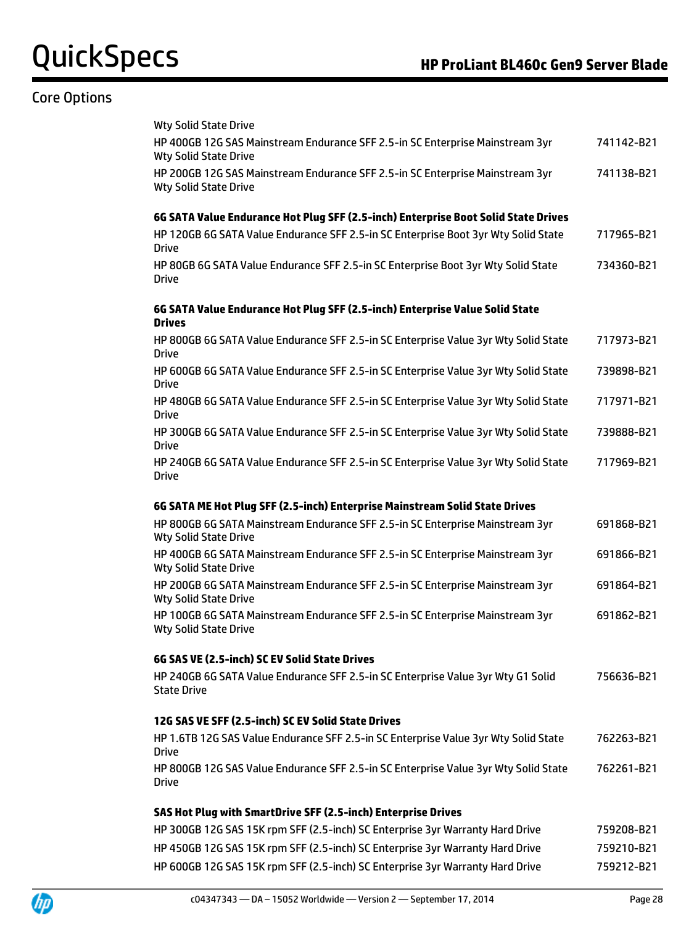## Core Options

| <b>Wty Solid State Drive</b>                                                                                                                                                                 |                          |
|----------------------------------------------------------------------------------------------------------------------------------------------------------------------------------------------|--------------------------|
| HP 400GB 12G SAS Mainstream Endurance SFF 2.5-in SC Enterprise Mainstream 3yr<br><b>Wty Solid State Drive</b>                                                                                | 741142-B21               |
| HP 200GB 12G SAS Mainstream Endurance SFF 2.5-in SC Enterprise Mainstream 3yr<br><b>Wty Solid State Drive</b>                                                                                | 741138-B21               |
| 6G SATA Value Endurance Hot Plug SFF (2.5-inch) Enterprise Boot Solid State Drives                                                                                                           |                          |
| HP 120GB 6G SATA Value Endurance SFF 2.5-in SC Enterprise Boot 3yr Wty Solid State<br><b>Drive</b>                                                                                           | 717965-B21               |
| HP 80GB 6G SATA Value Endurance SFF 2.5-in SC Enterprise Boot 3yr Wty Solid State<br><b>Drive</b>                                                                                            | 734360-B21               |
| 6G SATA Value Endurance Hot Plug SFF (2.5-inch) Enterprise Value Solid State<br><b>Drives</b>                                                                                                |                          |
| HP 800GB 6G SATA Value Endurance SFF 2.5-in SC Enterprise Value 3yr Wty Solid State<br>Drive                                                                                                 | 717973-B21               |
| HP 600GB 6G SATA Value Endurance SFF 2.5-in SC Enterprise Value 3yr Wty Solid State<br><b>Drive</b>                                                                                          | 739898-B21               |
| HP 480GB 6G SATA Value Endurance SFF 2.5-in SC Enterprise Value 3yr Wty Solid State<br><b>Drive</b>                                                                                          | 717971-B21               |
| HP 300GB 6G SATA Value Endurance SFF 2.5-in SC Enterprise Value 3yr Wty Solid State<br><b>Drive</b>                                                                                          | 739888-B21               |
| HP 240GB 6G SATA Value Endurance SFF 2.5-in SC Enterprise Value 3yr Wty Solid State<br><b>Drive</b>                                                                                          | 717969-B21               |
|                                                                                                                                                                                              |                          |
|                                                                                                                                                                                              |                          |
| 6G SATA ME Hot Plug SFF (2.5-inch) Enterprise Mainstream Solid State Drives<br>HP 800GB 6G SATA Mainstream Endurance SFF 2.5-in SC Enterprise Mainstream 3yr<br><b>Wty Solid State Drive</b> | 691868-B21               |
| HP 400GB 6G SATA Mainstream Endurance SFF 2.5-in SC Enterprise Mainstream 3yr<br><b>Wty Solid State Drive</b>                                                                                | 691866-B21               |
| HP 200GB 6G SATA Mainstream Endurance SFF 2.5-in SC Enterprise Mainstream 3yr<br><b>Wty Solid State Drive</b>                                                                                | 691864-B21               |
| HP 100GB 6G SATA Mainstream Endurance SFF 2.5-in SC Enterprise Mainstream 3yr<br><b>Wty Solid State Drive</b>                                                                                | 691862-B21               |
| 6G SAS VE (2.5-inch) SC EV Solid State Drives                                                                                                                                                |                          |
| HP 240GB 6G SATA Value Endurance SFF 2.5-in SC Enterprise Value 3yr Wty G1 Solid<br><b>State Drive</b>                                                                                       | 756636-B21               |
| 12G SAS VE SFF (2.5-inch) SC EV Solid State Drives                                                                                                                                           |                          |
| HP 1.6TB 12G SAS Value Endurance SFF 2.5-in SC Enterprise Value 3yr Wty Solid State<br><b>Drive</b>                                                                                          | 762263-B21               |
| HP 800GB 12G SAS Value Endurance SFF 2.5-in SC Enterprise Value 3yr Wty Solid State<br><b>Drive</b>                                                                                          | 762261-B21               |
| SAS Hot Plug with SmartDrive SFF (2.5-inch) Enterprise Drives                                                                                                                                |                          |
| HP 300GB 12G SAS 15K rpm SFF (2.5-inch) SC Enterprise 3yr Warranty Hard Drive                                                                                                                | 759208-B21               |
| HP 450GB 12G SAS 15K rpm SFF (2.5-inch) SC Enterprise 3yr Warranty Hard Drive<br>HP 600GB 12G SAS 15K rpm SFF (2.5-inch) SC Enterprise 3yr Warranty Hard Drive                               | 759210-B21<br>759212-B21 |

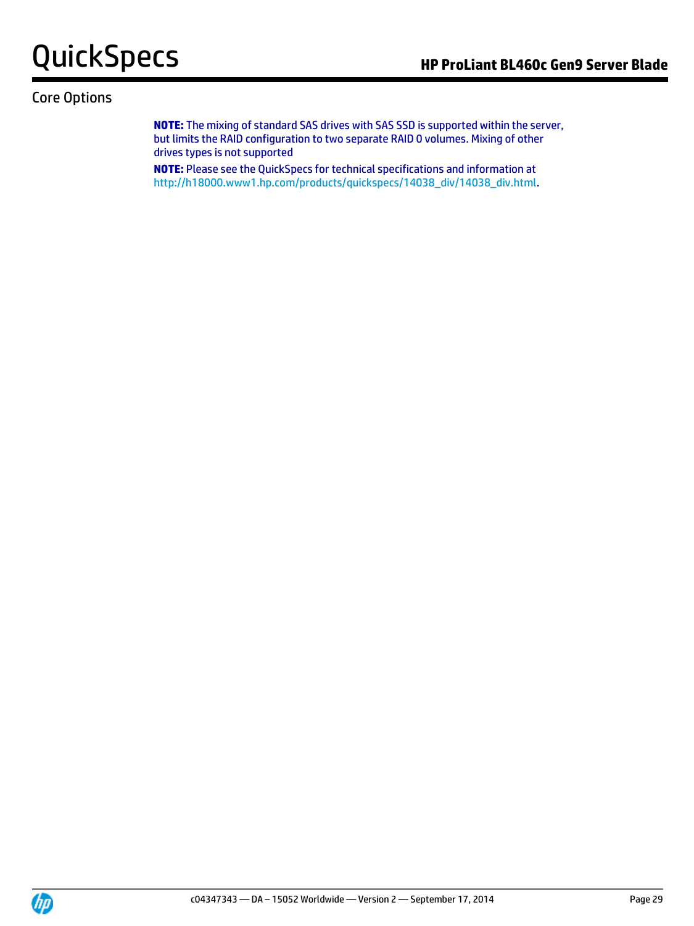## Core Options

**NOTE:** The mixing of standard SAS drives with SAS SSD is supported within the server, but limits the RAID configuration to two separate RAID 0 volumes. Mixing of other drives types is not supported

**NOTE:** Please see the QuickSpecs for technical specifications and information at [http://h18000.www1.hp.com/products/quickspecs/14038\\_div/14038\\_div.html.](http://h18000.www1.hp.com/products/quickspecs/14038_div/14038_div.html)

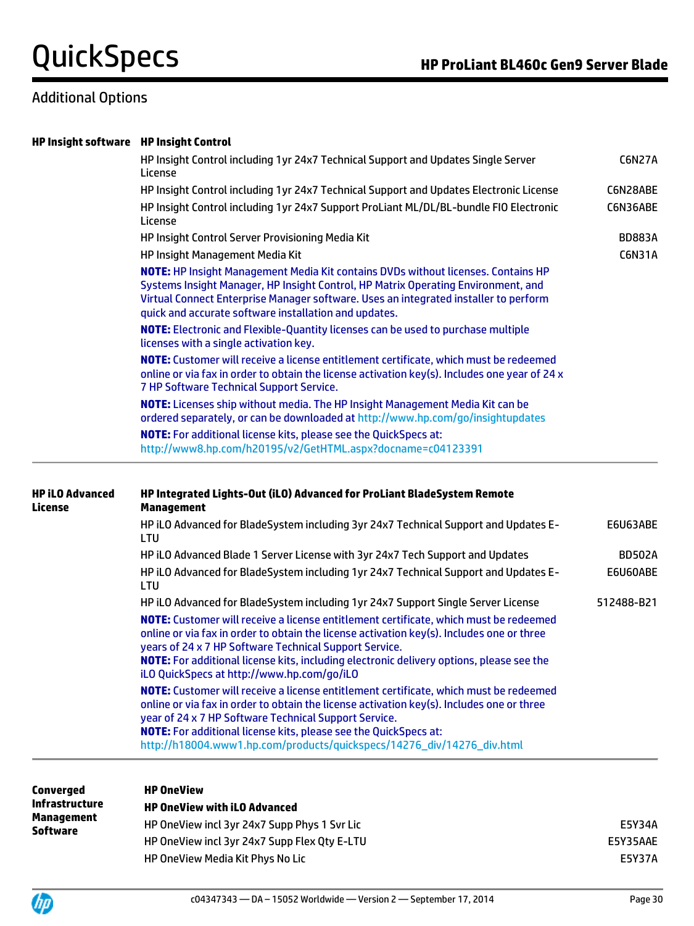## Additional Options

| <b>HP Insight software HP Insight Control</b> |                                                                                                                                                                                                                                                                                                                                                                                        |               |
|-----------------------------------------------|----------------------------------------------------------------------------------------------------------------------------------------------------------------------------------------------------------------------------------------------------------------------------------------------------------------------------------------------------------------------------------------|---------------|
|                                               | HP Insight Control including 1yr 24x7 Technical Support and Updates Single Server<br>License                                                                                                                                                                                                                                                                                           | <b>C6N27A</b> |
|                                               | HP Insight Control including 1yr 24x7 Technical Support and Updates Electronic License                                                                                                                                                                                                                                                                                                 | C6N28ABE      |
|                                               | HP Insight Control including 1yr 24x7 Support ProLiant ML/DL/BL-bundle FIO Electronic<br>License                                                                                                                                                                                                                                                                                       | C6N36ABE      |
|                                               | HP Insight Control Server Provisioning Media Kit                                                                                                                                                                                                                                                                                                                                       | <b>BD883A</b> |
|                                               | HP Insight Management Media Kit                                                                                                                                                                                                                                                                                                                                                        | C6N31A        |
|                                               | NOTE: HP Insight Management Media Kit contains DVDs without licenses. Contains HP<br>Systems Insight Manager, HP Insight Control, HP Matrix Operating Environment, and<br>Virtual Connect Enterprise Manager software. Uses an integrated installer to perform<br>quick and accurate software installation and updates.                                                                |               |
|                                               | <b>NOTE:</b> Electronic and Flexible-Quantity licenses can be used to purchase multiple<br>licenses with a single activation key.                                                                                                                                                                                                                                                      |               |
|                                               | NOTE: Customer will receive a license entitlement certificate, which must be redeemed<br>online or via fax in order to obtain the license activation key(s). Includes one year of 24 x<br>7 HP Software Technical Support Service.                                                                                                                                                     |               |
|                                               | <b>NOTE:</b> Licenses ship without media. The HP Insight Management Media Kit can be<br>ordered separately, or can be downloaded at http://www.hp.com/go/insightupdates                                                                                                                                                                                                                |               |
|                                               | <b>NOTE:</b> For additional license kits, please see the QuickSpecs at:<br>http://www8.hp.com/h20195/v2/GetHTML.aspx?docname=c04123391                                                                                                                                                                                                                                                 |               |
| <b>HP iLO Advanced</b><br>License             | HP Integrated Lights-Out (iLO) Advanced for ProLiant BladeSystem Remote<br><b>Management</b>                                                                                                                                                                                                                                                                                           |               |
|                                               | HP iLO Advanced for BladeSystem including 3yr 24x7 Technical Support and Updates E-<br>LTU                                                                                                                                                                                                                                                                                             | E6U63ABE      |
|                                               | HP iLO Advanced Blade 1 Server License with 3yr 24x7 Tech Support and Updates                                                                                                                                                                                                                                                                                                          | <b>BD502A</b> |
|                                               | HP iLO Advanced for BladeSystem including 1yr 24x7 Technical Support and Updates E-<br>LTU                                                                                                                                                                                                                                                                                             | E6U60ABE      |
|                                               | HP iLO Advanced for BladeSystem including 1yr 24x7 Support Single Server License                                                                                                                                                                                                                                                                                                       | 512488-B21    |
|                                               | NOTE: Customer will receive a license entitlement certificate, which must be redeemed<br>online or via fax in order to obtain the license activation key(s). Includes one or three<br>years of 24 x 7 HP Software Technical Support Service.<br>NOTE: For additional license kits, including electronic delivery options, please see the<br>iLO QuickSpecs at http://www.hp.com/go/iLO |               |
|                                               | NOTE: Customer will receive a license entitlement certificate, which must be redeemed                                                                                                                                                                                                                                                                                                  |               |
|                                               | online or via fax in order to obtain the license activation key(s). Includes one or three<br>year of 24 x 7 HP Software Technical Support Service.                                                                                                                                                                                                                                     |               |
|                                               | <b>NOTE:</b> For additional license kits, please see the QuickSpecs at:<br>http://h18004.www1.hp.com/products/quickspecs/14276_div/14276_div.html                                                                                                                                                                                                                                      |               |
|                                               | <u>ип Леанган</u>                                                                                                                                                                                                                                                                                                                                                                      |               |

| Converged                            | <b>HP OneView</b>                            |               |
|--------------------------------------|----------------------------------------------|---------------|
| <b>Infrastructure</b>                | <b>HP OneView with iLO Advanced</b>          |               |
| <b>Management</b><br><b>Software</b> | HP OneView incl 3yr 24x7 Supp Phys 1 Syr Lic | E5Y34A        |
|                                      | HP OneView incl 3yr 24x7 Supp Flex Qty E-LTU | E5Y35AAE      |
|                                      | HP OneView Media Kit Phys No Lic             | <b>E5Y37A</b> |

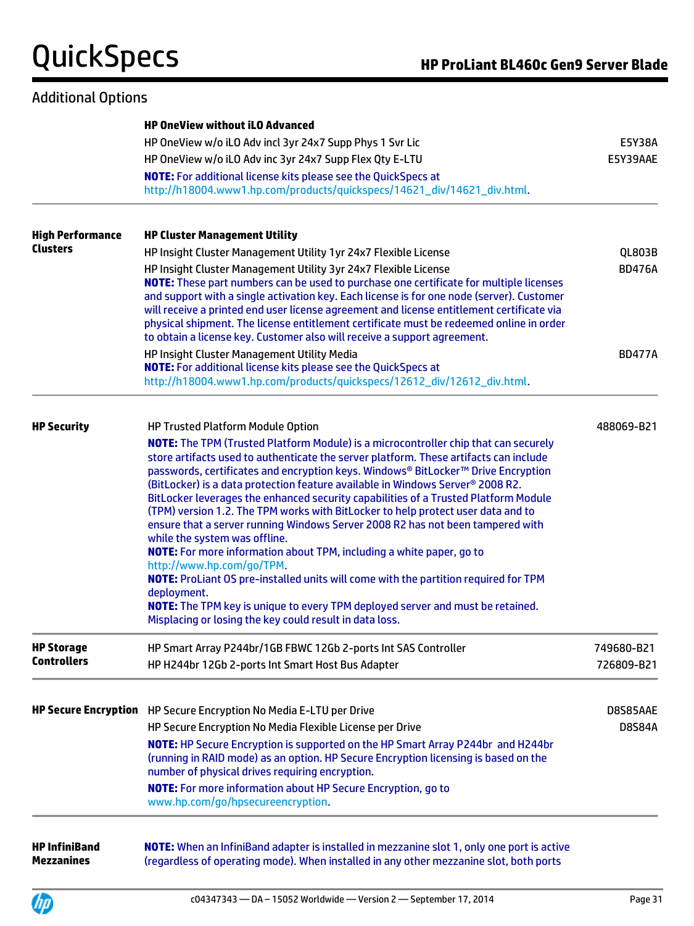## Additional Options

|                                           | <b>HP OneView without iLO Advanced</b>                                                                                                                                                                                                                                                                                                                                                                                                                                                                                                                                                                                                                                                                                                                                                                                                                                                                                                                                                                                                     |                           |
|-------------------------------------------|--------------------------------------------------------------------------------------------------------------------------------------------------------------------------------------------------------------------------------------------------------------------------------------------------------------------------------------------------------------------------------------------------------------------------------------------------------------------------------------------------------------------------------------------------------------------------------------------------------------------------------------------------------------------------------------------------------------------------------------------------------------------------------------------------------------------------------------------------------------------------------------------------------------------------------------------------------------------------------------------------------------------------------------------|---------------------------|
|                                           | HP OneView w/o iLO Adv incl 3yr 24x7 Supp Phys 1 Svr Lic                                                                                                                                                                                                                                                                                                                                                                                                                                                                                                                                                                                                                                                                                                                                                                                                                                                                                                                                                                                   | E5Y38A                    |
|                                           | HP OneView w/o iLO Adv inc 3yr 24x7 Supp Flex Qty E-LTU                                                                                                                                                                                                                                                                                                                                                                                                                                                                                                                                                                                                                                                                                                                                                                                                                                                                                                                                                                                    | E5Y39AAE                  |
|                                           | <b>NOTE:</b> For additional license kits please see the QuickSpecs at                                                                                                                                                                                                                                                                                                                                                                                                                                                                                                                                                                                                                                                                                                                                                                                                                                                                                                                                                                      |                           |
|                                           | http://h18004.www1.hp.com/products/quickspecs/14621_div/14621_div.html.                                                                                                                                                                                                                                                                                                                                                                                                                                                                                                                                                                                                                                                                                                                                                                                                                                                                                                                                                                    |                           |
| <b>High Performance</b>                   | <b>HP Cluster Management Utility</b>                                                                                                                                                                                                                                                                                                                                                                                                                                                                                                                                                                                                                                                                                                                                                                                                                                                                                                                                                                                                       |                           |
| <b>Clusters</b>                           | HP Insight Cluster Management Utility 1yr 24x7 Flexible License                                                                                                                                                                                                                                                                                                                                                                                                                                                                                                                                                                                                                                                                                                                                                                                                                                                                                                                                                                            | <b>QL803B</b>             |
|                                           | HP Insight Cluster Management Utility 3yr 24x7 Flexible License<br>NOTE: These part numbers can be used to purchase one certificate for multiple licenses<br>and support with a single activation key. Each license is for one node (server). Customer<br>will receive a printed end user license agreement and license entitlement certificate via<br>physical shipment. The license entitlement certificate must be redeemed online in order<br>to obtain a license key. Customer also will receive a support agreement.                                                                                                                                                                                                                                                                                                                                                                                                                                                                                                                 | <b>BD476A</b>             |
|                                           | HP Insight Cluster Management Utility Media                                                                                                                                                                                                                                                                                                                                                                                                                                                                                                                                                                                                                                                                                                                                                                                                                                                                                                                                                                                                | <b>BD477A</b>             |
|                                           | <b>NOTE:</b> For additional license kits please see the QuickSpecs at                                                                                                                                                                                                                                                                                                                                                                                                                                                                                                                                                                                                                                                                                                                                                                                                                                                                                                                                                                      |                           |
|                                           | http://h18004.www1.hp.com/products/quickspecs/12612_div/12612_div.html.                                                                                                                                                                                                                                                                                                                                                                                                                                                                                                                                                                                                                                                                                                                                                                                                                                                                                                                                                                    |                           |
| <b>HP Security</b>                        | HP Trusted Platform Module Option                                                                                                                                                                                                                                                                                                                                                                                                                                                                                                                                                                                                                                                                                                                                                                                                                                                                                                                                                                                                          | 488069-B21                |
|                                           | <b>NOTE:</b> The TPM (Trusted Platform Module) is a microcontroller chip that can securely<br>store artifacts used to authenticate the server platform. These artifacts can include<br>passwords, certificates and encryption keys. Windows® BitLocker™ Drive Encryption<br>(BitLocker) is a data protection feature available in Windows Server <sup>®</sup> 2008 R2.<br>BitLocker leverages the enhanced security capabilities of a Trusted Platform Module<br>(TPM) version 1.2. The TPM works with BitLocker to help protect user data and to<br>ensure that a server running Windows Server 2008 R2 has not been tampered with<br>while the system was offline.<br><b>NOTE:</b> For more information about TPM, including a white paper, go to<br>http://www.hp.com/go/TPM.<br>NOTE: ProLiant OS pre-installed units will come with the partition required for TPM<br>deployment.<br><b>NOTE:</b> The TPM key is unique to every TPM deployed server and must be retained.<br>Misplacing or losing the key could result in data loss. |                           |
| <b>HP Storage</b>                         | HP Smart Array P244br/1GB FBWC 12Gb 2-ports Int SAS Controller                                                                                                                                                                                                                                                                                                                                                                                                                                                                                                                                                                                                                                                                                                                                                                                                                                                                                                                                                                             | 749680-B21                |
| <b>Controllers</b>                        | HP H244br 12Gb 2-ports Int Smart Host Bus Adapter                                                                                                                                                                                                                                                                                                                                                                                                                                                                                                                                                                                                                                                                                                                                                                                                                                                                                                                                                                                          | 726809-B21                |
|                                           | HP Secure Encryption HP Secure Encryption No Media E-LTU per Drive<br>HP Secure Encryption No Media Flexible License per Drive<br>NOTE: HP Secure Encryption is supported on the HP Smart Array P244br and H244br<br>(running in RAID mode) as an option. HP Secure Encryption licensing is based on the<br>number of physical drives requiring encryption.<br><b>NOTE:</b> For more information about HP Secure Encryption, go to<br>www.hp.com/go/hpsecureencryption.                                                                                                                                                                                                                                                                                                                                                                                                                                                                                                                                                                    | D8S85AAE<br><b>D8S84A</b> |
| <b>HP InfiniBand</b><br><b>Mezzanines</b> | NOTE: When an InfiniBand adapter is installed in mezzanine slot 1, only one port is active<br>(regardless of operating mode). When installed in any other mezzanine slot, both ports                                                                                                                                                                                                                                                                                                                                                                                                                                                                                                                                                                                                                                                                                                                                                                                                                                                       |                           |

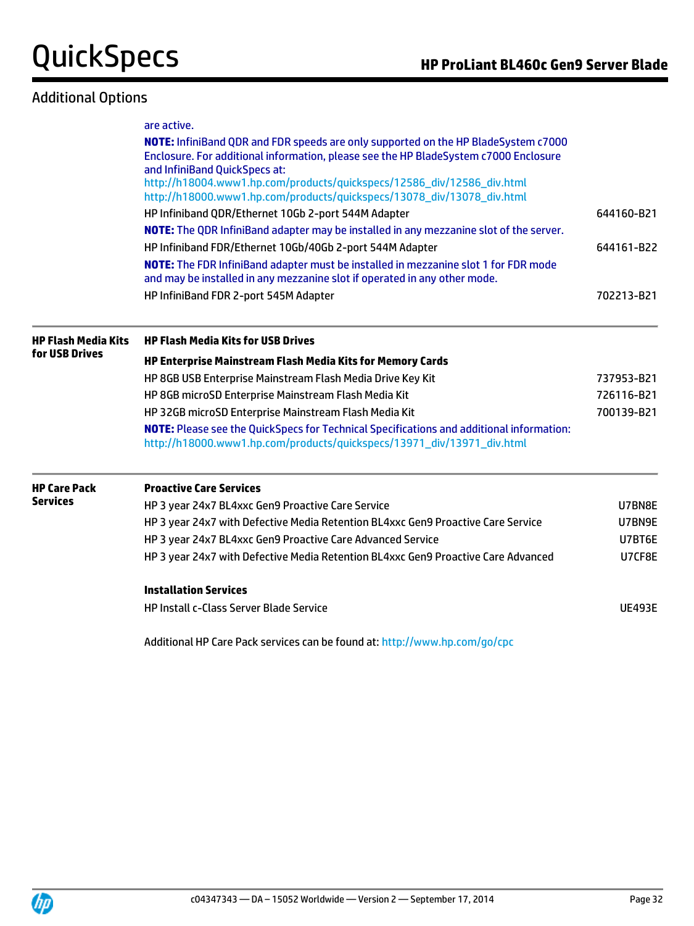## Additional Options

|                            | are active.                                                                                                                                                                                                 |               |  |  |  |
|----------------------------|-------------------------------------------------------------------------------------------------------------------------------------------------------------------------------------------------------------|---------------|--|--|--|
|                            | NOTE: InfiniBand QDR and FDR speeds are only supported on the HP BladeSystem c7000<br>Enclosure. For additional information, please see the HP BladeSystem c7000 Enclosure<br>and InfiniBand QuickSpecs at: |               |  |  |  |
|                            | http://h18004.www1.hp.com/products/quickspecs/12586_div/12586_div.html<br>http://h18000.www1.hp.com/products/quickspecs/13078_div/13078_div.html                                                            |               |  |  |  |
|                            | HP Infiniband QDR/Ethernet 10Gb 2-port 544M Adapter                                                                                                                                                         | 644160-B21    |  |  |  |
|                            | NOTE: The QDR InfiniBand adapter may be installed in any mezzanine slot of the server.                                                                                                                      |               |  |  |  |
|                            | HP Infiniband FDR/Ethernet 10Gb/40Gb 2-port 544M Adapter                                                                                                                                                    | 644161-B22    |  |  |  |
|                            | NOTE: The FDR InfiniBand adapter must be installed in mezzanine slot 1 for FDR mode<br>and may be installed in any mezzanine slot if operated in any other mode.                                            |               |  |  |  |
|                            | HP InfiniBand FDR 2-port 545M Adapter                                                                                                                                                                       | 702213-B21    |  |  |  |
| <b>HP Flash Media Kits</b> | <b>HP Flash Media Kits for USB Drives</b>                                                                                                                                                                   |               |  |  |  |
| for USB Drives             | HP Enterprise Mainstream Flash Media Kits for Memory Cards                                                                                                                                                  |               |  |  |  |
|                            | HP 8GB USB Enterprise Mainstream Flash Media Drive Key Kit                                                                                                                                                  | 737953-B21    |  |  |  |
|                            | HP 8GB microSD Enterprise Mainstream Flash Media Kit                                                                                                                                                        | 726116-B21    |  |  |  |
|                            | HP 32GB microSD Enterprise Mainstream Flash Media Kit                                                                                                                                                       | 700139-B21    |  |  |  |
|                            | <b>NOTE:</b> Please see the QuickSpecs for Technical Specifications and additional information:<br>http://h18000.www1.hp.com/products/quickspecs/13971_div/13971_div.html                                   |               |  |  |  |
| <b>HP Care Pack</b>        | <b>Proactive Care Services</b>                                                                                                                                                                              |               |  |  |  |
| <b>Services</b>            | HP 3 year 24x7 BL4xxc Gen9 Proactive Care Service                                                                                                                                                           |               |  |  |  |
|                            | HP 3 year 24x7 with Defective Media Retention BL4xxc Gen9 Proactive Care Service                                                                                                                            | U7BN9E        |  |  |  |
|                            | HP 3 year 24x7 BL4xxc Gen9 Proactive Care Advanced Service                                                                                                                                                  | U7BT6E        |  |  |  |
|                            | HP 3 year 24x7 with Defective Media Retention BL4xxc Gen9 Proactive Care Advanced                                                                                                                           | U7CF8E        |  |  |  |
|                            | <b>Installation Services</b>                                                                                                                                                                                |               |  |  |  |
|                            | <b>HP Install c-Class Server Blade Service</b>                                                                                                                                                              | <b>UE493E</b> |  |  |  |
|                            | Additional HP Care Pack services can be found at: http://www.hp.com/go/cpc                                                                                                                                  |               |  |  |  |

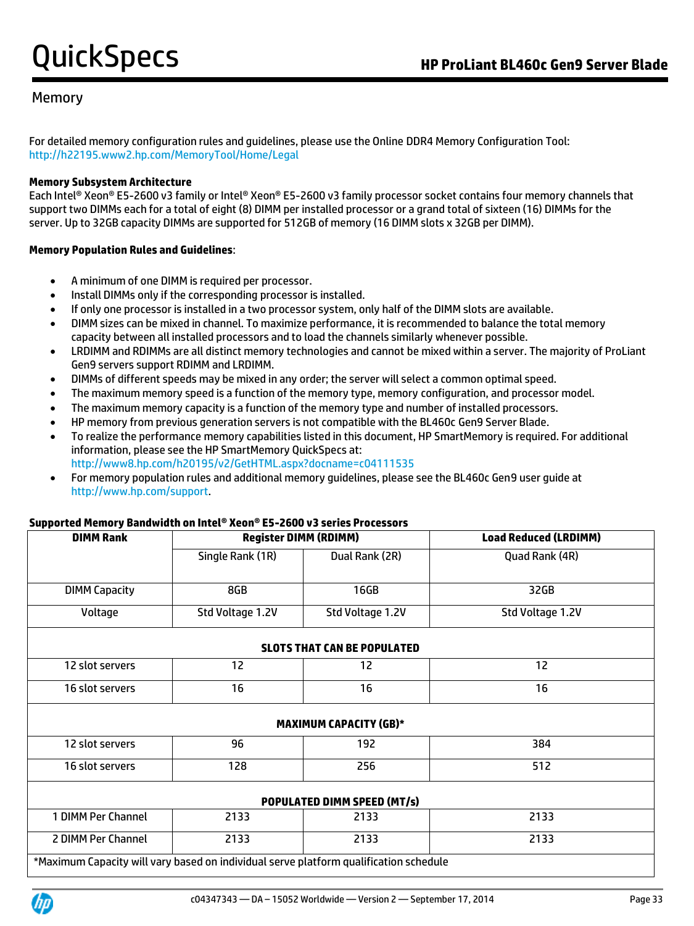## Memory

For detailed memory configuration rules and guidelines, please use the Online DDR4 Memory Configuration Tool: <http://h22195.www2.hp.com/MemoryTool/Home/Legal>

### **Memory Subsystem Architecture**

Each Intel® Xeon® E5-2600 v3 family or Intel® Xeon® E5-2600 v3 family processor socket contains four memory channels that support two DIMMs each for a total of eight (8) DIMM per installed processor or a grand total of sixteen (16) DIMMs for the server. Up to 32GB capacity DIMMs are supported for 512GB of memory (16 DIMM slots x 32GB per DIMM).

### **Memory Population Rules and Guidelines**:

- A minimum of one DIMM is required per processor.
- Install DIMMs only if the corresponding processor is installed.
- If only one processor is installed in a two processor system, only half of the DIMM slots are available.
- DIMM sizes can be mixed in channel. To maximize performance, it is recommended to balance the total memory capacity between all installed processors and to load the channels similarly whenever possible.
- LRDIMM and RDIMMs are all distinct memory technologies and cannot be mixed within a server. The majority of ProLiant Gen9 servers support RDIMM and LRDIMM.
- DIMMs of different speeds may be mixed in any order; the server will select a common optimal speed.
- The maximum memory speed is a function of the memory type, memory configuration, and processor model.
- The maximum memory capacity is a function of the memory type and number of installed processors.
- HP memory from previous generation servers is not compatible with the BL460c Gen9 Server Blade.
- To realize the performance memory capabilities listed in this document, HP SmartMemory is required. For additional information, please see the HP SmartMemory QuickSpecs at: <http://www8.hp.com/h20195/v2/GetHTML.aspx?docname=c04111535>
- For memory population rules and additional memory guidelines, please see the BL460c Gen9 user guide at [http://www.hp.com/support.](http://www.hp.com/support)

### **Supported Memory Bandwidth on Intel® Xeon® E5-2600 v3 series Processors**

| <b>DIMM Rank</b>     | <b>Register DIMM (RDIMM)</b> |                                    | <b>Load Reduced (LRDIMM)</b> |
|----------------------|------------------------------|------------------------------------|------------------------------|
|                      | Single Rank (1R)             | Dual Rank (2R)                     | Quad Rank (4R)               |
| <b>DIMM Capacity</b> | 8GB                          | 16GB                               | 32GB                         |
| Voltage              | Std Voltage 1.2V             | Std Voltage 1.2V                   | Std Voltage 1.2V             |
|                      |                              | <b>SLOTS THAT CAN BE POPULATED</b> |                              |
| 12 slot servers      | 12                           | 12                                 | 12                           |
| 16 slot servers      | 16                           | 16                                 | 16                           |
|                      |                              | <b>MAXIMUM CAPACITY (GB)*</b>      |                              |
| 12 slot servers      | 96                           | 192                                | 384                          |
| 16 slot servers      | 128                          | 256                                | 512                          |
|                      |                              | <b>POPULATED DIMM SPEED (MT/s)</b> |                              |
| 1 DIMM Per Channel   | 2133                         | 2133                               | 2133                         |
| 2 DIMM Per Channel   | 2133                         | 2133                               | 2133                         |

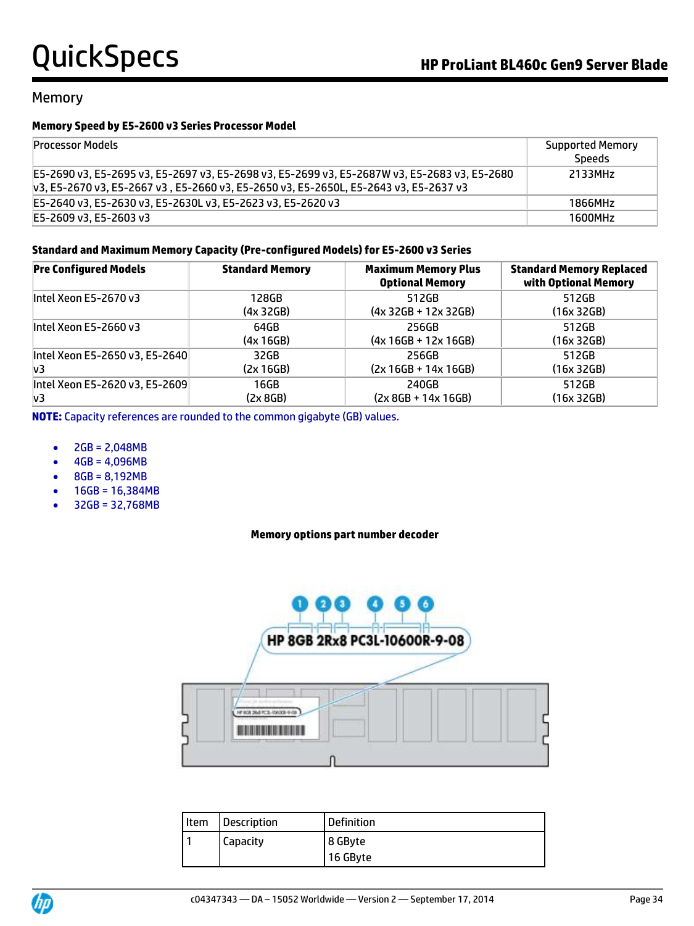### Memory

### **Memory Speed by E5-2600 v3 Series Processor Model**

| <b>Processor Models</b>                                                                                                                                                              | <b>Supported Memory</b><br><b>Speeds</b> |
|--------------------------------------------------------------------------------------------------------------------------------------------------------------------------------------|------------------------------------------|
| E5-2690 v3, E5-2695 v3, E5-2697 v3, E5-2698 v3, E5-2699 v3, E5-2687W v3, E5-2683 v3, E5-2680<br>v3, E5-2670 v3, E5-2667 v3, E5-2660 v3, E5-2650 v3, E5-2650L, E5-2643 v3, E5-2637 v3 | 2133MHz                                  |
| E5-2640 v3, E5-2630 v3, E5-2630L v3, E5-2623 v3, E5-2620 v3                                                                                                                          | 1866MHz                                  |
| E5-2609 v3. E5-2603 v3                                                                                                                                                               | 1600MHz                                  |

### **Standard and Maximum Memory Capacity (Pre-configured Models) for E5-2600 v3 Series**

| <b>Pre Configured Models</b>   | <b>Standard Memory</b> | <b>Maximum Memory Plus</b><br><b>Optional Memory</b> | <b>Standard Memory Replaced</b><br>with Optional Memory |
|--------------------------------|------------------------|------------------------------------------------------|---------------------------------------------------------|
| Intel Xeon E5-2670 v3          | 128GB                  | 512GB                                                | 512GB                                                   |
|                                | (4x32GB)               | $(4x 32GB + 12x 32GB)$                               | (16x 32GB)                                              |
| Intel Xeon E5-2660 v3          | 64GB                   | 256GB                                                | 512GB                                                   |
|                                | (4x 16GB)              | $(4x 16GB + 12x 16GB)$                               | (16x 32GB)                                              |
| Intel Xeon E5-2650 v3, E5-2640 | 32GB                   | 256GB                                                | 512GB                                                   |
| v3                             | (2x 16GB)              | $(2x 16GB + 14x 16GB)$                               | (16x 32GB)                                              |
| Intel Xeon E5-2620 v3, E5-2609 | 16GB                   | 240GB                                                | 512GB                                                   |
| lv3                            | (2x 8GB)               | $(2x 8GB + 14x 16GB)$                                | (16x 32GB)                                              |

**NOTE:** Capacity references are rounded to the common gigabyte (GB) values.

- $2GB = 2,048MB$
- $-4GB = 4,096MB$
- $\bullet$  8GB = 8,192MB
- $-16GB = 16,384MB$
- $-32GB = 32,768MB$

### **Memory options part number decoder**



| Item | <b>Description</b> | <b>Definition</b> |
|------|--------------------|-------------------|
|      | Capacity           | 8 GByte           |
|      |                    | 16 GByte          |

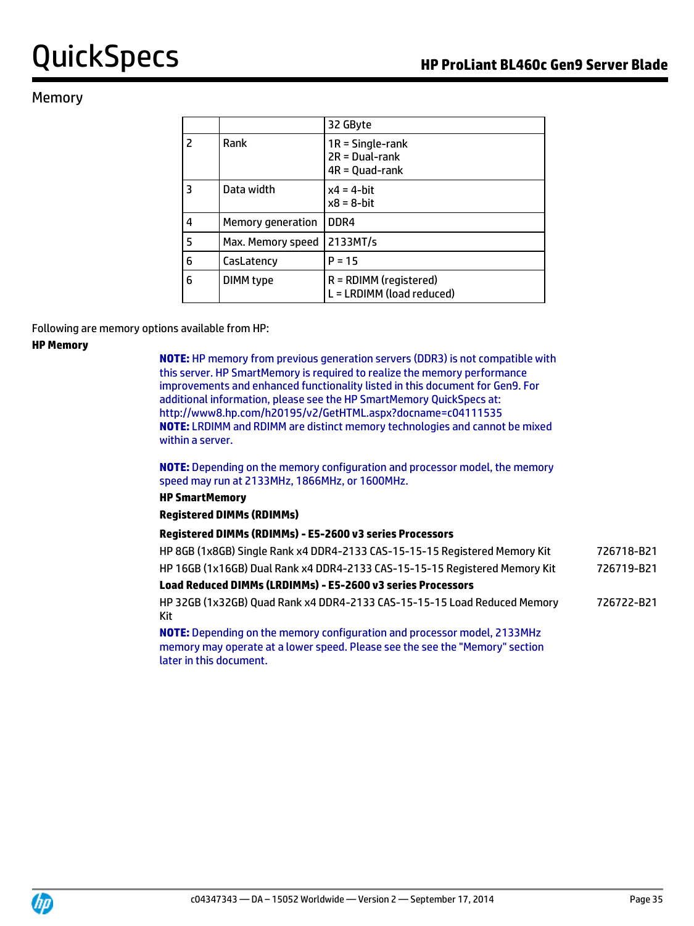## Memory

|                |                   | 32 GByte                                                   |
|----------------|-------------------|------------------------------------------------------------|
| $\overline{2}$ | Rank              | $1R =$ Single-rank<br>$2R = Dual-rank$<br>$4R = Quad-rank$ |
| $\overline{3}$ | Data width        | $x4 = 4$ -hit<br>$x8 = 8$ -bit                             |
| $\overline{4}$ | Memory generation | DDR4                                                       |
| 5              | Max. Memory speed | 2133MT/s                                                   |
| 6              | CasLatency        | $P = 15$                                                   |
| 6              | DIMM type         | R = RDIMM (registered)<br>L = LRDIMM (load reduced)        |

### Following are memory options available from HP:

### **HP Memory**

**NOTE:** HP memory from previous generation servers (DDR3) is not compatible with this server. HP SmartMemory is required to realize the memory performance improvements and enhanced functionality listed in this document for Gen9. For additional information, please see the HP SmartMemory QuickSpecs at: http://www8.hp.com/h20195/v2/GetHTML.aspx?docname=c0411153[5](http://h18000.www1.hp.com/products/quickspecs/14225_div/14225_div.html) **NOTE:** LRDIMM and RDIMM are distinct memory technologies and cannot be mixed within a server.

**NOTE:** Depending on the memory configuration and processor model, the memory speed may run at 2133MHz, 1866MHz, or 1600MHz.

### **HP SmartMemory**

### **Registered DIMMs (RDIMMs)**

### **Registered DIMMs (RDIMMs) - E5-2600 v3 series Processors**

| HP 8GB (1x8GB) Single Rank x4 DDR4-2133 CAS-15-15-15 Registered Memory Kit                                                                                                                 | 726718-B21 |
|--------------------------------------------------------------------------------------------------------------------------------------------------------------------------------------------|------------|
| HP 16GB (1x16GB) Dual Rank x4 DDR4-2133 CAS-15-15-15 Registered Memory Kit                                                                                                                 | 726719-B21 |
| Load Reduced DIMMs (LRDIMMs) - E5-2600 v3 series Processors                                                                                                                                |            |
| HP 32GB (1x32GB) Quad Rank x4 DDR4-2133 CAS-15-15-15 Load Reduced Memory<br>Kit                                                                                                            | 726722-B21 |
| <b>NOTE:</b> Depending on the memory configuration and processor model, 2133MHz<br>memory may operate at a lower speed. Please see the see the "Memory" section<br>later in this document. |            |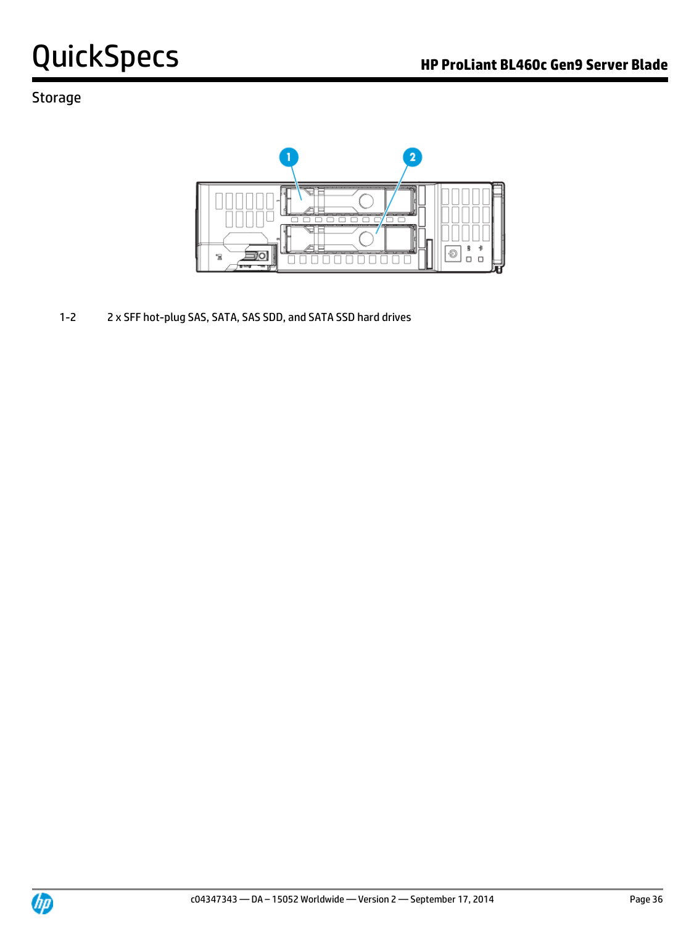## Storage



1-2 2 x SFF hot-plug SAS, SATA, SAS SDD, and SATA SSD hard drives

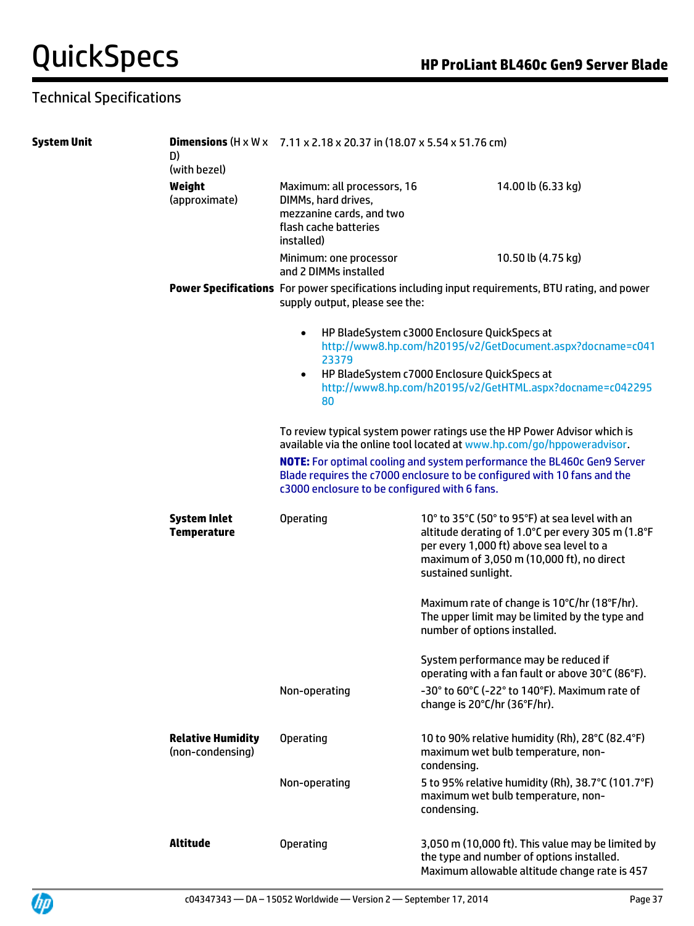## Technical Specifications

| <b>System Unit</b> | D)<br>(with bezel)                           | <b>Dimensions</b> (H x W x $7.11 \times 2.18 \times 20.37$ in (18.07 x 5.54 x 51.76 cm)                                                                                                                     |                                                                                                                                                                                                                         |  |
|--------------------|----------------------------------------------|-------------------------------------------------------------------------------------------------------------------------------------------------------------------------------------------------------------|-------------------------------------------------------------------------------------------------------------------------------------------------------------------------------------------------------------------------|--|
|                    | Weight<br>(approximate)                      | Maximum: all processors, 16<br>DIMMs, hard drives,<br>mezzanine cards, and two<br>flash cache batteries<br>installed)                                                                                       | 14.00 lb (6.33 kg)                                                                                                                                                                                                      |  |
|                    |                                              | Minimum: one processor<br>and 2 DIMMs installed                                                                                                                                                             | 10.50 lb (4.75 kg)                                                                                                                                                                                                      |  |
|                    |                                              | supply output, please see the:                                                                                                                                                                              | Power Specifications For power specifications including input requirements, BTU rating, and power                                                                                                                       |  |
|                    |                                              | $\bullet$<br>23379<br>$\bullet$<br>80                                                                                                                                                                       | HP BladeSystem c3000 Enclosure QuickSpecs at<br>http://www8.hp.com/h20195/v2/GetDocument.aspx?docname=c041<br>HP BladeSystem c7000 Enclosure QuickSpecs at<br>http://www8.hp.com/h20195/v2/GetHTML.aspx?docname=c042295 |  |
|                    |                                              |                                                                                                                                                                                                             | To review typical system power ratings use the HP Power Advisor which is<br>available via the online tool located at www.hp.com/go/hppoweradvisor.                                                                      |  |
|                    |                                              | <b>NOTE:</b> For optimal cooling and system performance the BL460c Gen9 Server<br>Blade requires the c7000 enclosure to be configured with 10 fans and the<br>c3000 enclosure to be configured with 6 fans. |                                                                                                                                                                                                                         |  |
|                    | <b>System Inlet</b><br><b>Temperature</b>    | <b>Operating</b>                                                                                                                                                                                            | 10° to 35°C (50° to 95°F) at sea level with an<br>altitude derating of 1.0°C per every 305 m (1.8°F<br>per every 1,000 ft) above sea level to a<br>maximum of 3,050 m (10,000 ft), no direct<br>sustained sunlight.     |  |
|                    |                                              |                                                                                                                                                                                                             | Maximum rate of change is 10°C/hr (18°F/hr).<br>The upper limit may be limited by the type and<br>number of options installed.                                                                                          |  |
|                    |                                              |                                                                                                                                                                                                             | System performance may be reduced if<br>operating with a fan fault or above 30°C (86°F).                                                                                                                                |  |
|                    |                                              | Non-operating                                                                                                                                                                                               | -30° to 60°C (-22° to 140°F). Maximum rate of<br>change is 20°C/hr (36°F/hr).                                                                                                                                           |  |
|                    | <b>Relative Humidity</b><br>(non-condensing) | <b>Operating</b>                                                                                                                                                                                            | 10 to 90% relative humidity (Rh), 28°C (82.4°F)<br>maximum wet bulb temperature, non-<br>condensing.                                                                                                                    |  |
|                    |                                              | Non-operating                                                                                                                                                                                               | 5 to 95% relative humidity (Rh), 38.7°C (101.7°F)<br>maximum wet bulb temperature, non-<br>condensing.                                                                                                                  |  |
|                    | <b>Altitude</b>                              | <b>Operating</b>                                                                                                                                                                                            | 3,050 m (10,000 ft). This value may be limited by<br>the type and number of options installed.<br>Maximum allowable altitude change rate is 457                                                                         |  |

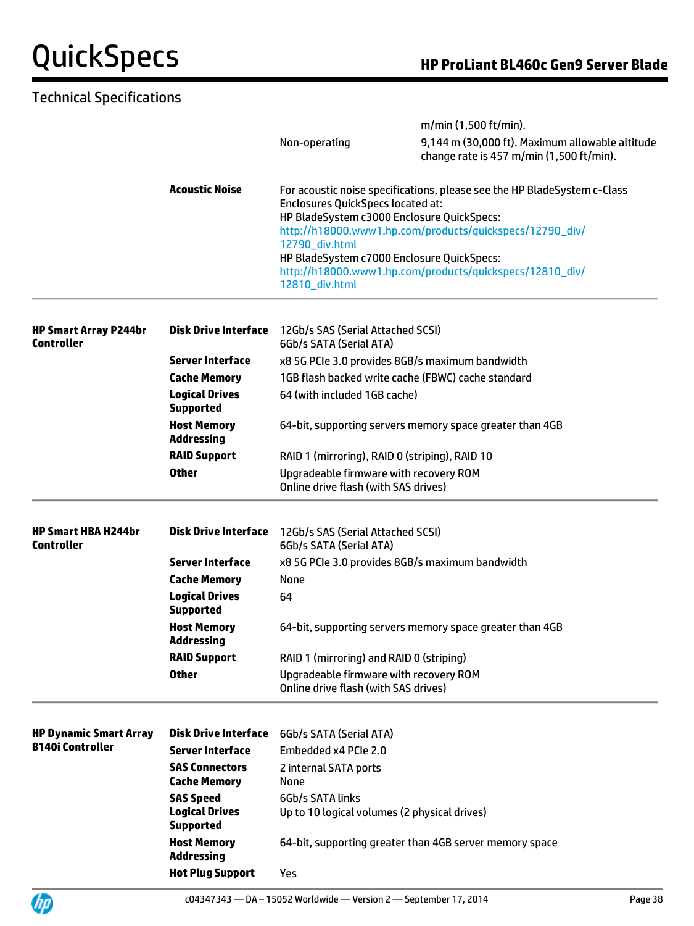## Technical Specifications

|                                                   |                                                               | m/min (1,500 ft/min).                                                                                                                                              |                                                                                             |  |
|---------------------------------------------------|---------------------------------------------------------------|--------------------------------------------------------------------------------------------------------------------------------------------------------------------|---------------------------------------------------------------------------------------------|--|
|                                                   |                                                               | Non-operating                                                                                                                                                      | 9,144 m (30,000 ft). Maximum allowable altitude<br>change rate is 457 m/min (1,500 ft/min). |  |
|                                                   | <b>Acoustic Noise</b>                                         | For acoustic noise specifications, please see the HP BladeSystem c-Class<br><b>Enclosures QuickSpecs located at:</b><br>HP BladeSystem c3000 Enclosure QuickSpecs: |                                                                                             |  |
|                                                   |                                                               | http://h18000.www1.hp.com/products/quickspecs/12790_div/<br>12790_div.html<br>HP BladeSystem c7000 Enclosure QuickSpecs:                                           |                                                                                             |  |
|                                                   |                                                               |                                                                                                                                                                    |                                                                                             |  |
|                                                   |                                                               | 12810_div.html                                                                                                                                                     | http://h18000.www1.hp.com/products/quickspecs/12810_div/                                    |  |
| <b>HP Smart Array P244br</b><br><b>Controller</b> | <b>Disk Drive Interface</b>                                   | 12Gb/s SAS (Serial Attached SCSI)<br>6Gb/s SATA (Serial ATA)                                                                                                       |                                                                                             |  |
|                                                   | <b>Server Interface</b>                                       |                                                                                                                                                                    | x8 5G PCIe 3.0 provides 8GB/s maximum bandwidth                                             |  |
|                                                   | <b>Cache Memory</b>                                           |                                                                                                                                                                    | 1GB flash backed write cache (FBWC) cache standard                                          |  |
|                                                   | <b>Logical Drives</b>                                         | 64 (with included 1GB cache)                                                                                                                                       |                                                                                             |  |
|                                                   | <b>Supported</b>                                              |                                                                                                                                                                    |                                                                                             |  |
|                                                   | <b>Host Memory</b><br><b>Addressing</b>                       |                                                                                                                                                                    | 64-bit, supporting servers memory space greater than 4GB                                    |  |
|                                                   | <b>RAID Support</b>                                           | RAID 1 (mirroring), RAID 0 (striping), RAID 10                                                                                                                     |                                                                                             |  |
|                                                   | <b>Other</b>                                                  | Upgradeable firmware with recovery ROM<br>Online drive flash (with SAS drives)                                                                                     |                                                                                             |  |
| <b>HP Smart HBA H244br</b>                        | <b>Disk Drive Interface</b>                                   | 12Gb/s SAS (Serial Attached SCSI)                                                                                                                                  |                                                                                             |  |
| <b>Controller</b>                                 |                                                               | 6Gb/s SATA (Serial ATA)                                                                                                                                            |                                                                                             |  |
|                                                   | <b>Server Interface</b>                                       | x8 5G PCIe 3.0 provides 8GB/s maximum bandwidth                                                                                                                    |                                                                                             |  |
|                                                   | <b>Cache Memory</b>                                           | None                                                                                                                                                               |                                                                                             |  |
|                                                   | <b>Logical Drives</b><br><b>Supported</b>                     | 64                                                                                                                                                                 |                                                                                             |  |
|                                                   | <b>Host Memory</b><br><b>Addressing</b>                       | 64-bit, supporting servers memory space greater than 4GB                                                                                                           |                                                                                             |  |
|                                                   | <b>RAID Support</b>                                           | RAID 1 (mirroring) and RAID 0 (striping)                                                                                                                           |                                                                                             |  |
|                                                   | <b>Other</b>                                                  | Upgradeable firmware with recovery ROM<br>Online drive flash (with SAS drives)                                                                                     |                                                                                             |  |
| <b>HP Dynamic Smart Array</b>                     | <b>Disk Drive Interface</b>                                   | 6Gb/s SATA (Serial ATA)                                                                                                                                            |                                                                                             |  |
| <b>B140i Controller</b>                           | <b>Server Interface</b>                                       | Embedded x4 PCIe 2.0                                                                                                                                               |                                                                                             |  |
|                                                   | <b>SAS Connectors</b>                                         | 2 internal SATA ports                                                                                                                                              |                                                                                             |  |
|                                                   | <b>Cache Memory</b>                                           | None                                                                                                                                                               |                                                                                             |  |
|                                                   | <b>SAS Speed</b><br><b>Logical Drives</b><br><b>Supported</b> | 6Gb/s SATA links<br>Up to 10 logical volumes (2 physical drives)                                                                                                   |                                                                                             |  |
|                                                   | <b>Host Memory</b><br><b>Addressing</b>                       | 64-bit, supporting greater than 4GB server memory space                                                                                                            |                                                                                             |  |
|                                                   | <b>Hot Plug Support</b>                                       | Yes                                                                                                                                                                |                                                                                             |  |
|                                                   |                                                               |                                                                                                                                                                    |                                                                                             |  |

**UD**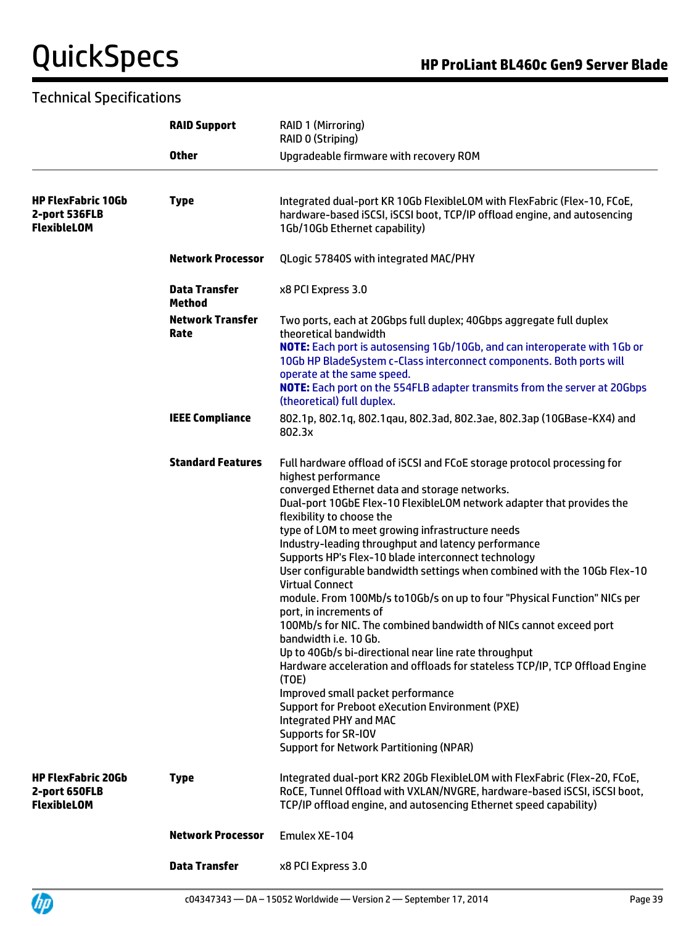## Technical Specifications

**UD** 

|                                                                  | <b>RAID Support</b>                   | RAID 1 (Mirroring)<br>RAID 0 (Striping)                                                                                                                                                                                                                                                                                                                                                                                                                                                                                                                                                                                                                                                                                                                                                                                                                                                                                                                                                                                                                                               |  |
|------------------------------------------------------------------|---------------------------------------|---------------------------------------------------------------------------------------------------------------------------------------------------------------------------------------------------------------------------------------------------------------------------------------------------------------------------------------------------------------------------------------------------------------------------------------------------------------------------------------------------------------------------------------------------------------------------------------------------------------------------------------------------------------------------------------------------------------------------------------------------------------------------------------------------------------------------------------------------------------------------------------------------------------------------------------------------------------------------------------------------------------------------------------------------------------------------------------|--|
|                                                                  | <b>Other</b>                          | Upgradeable firmware with recovery ROM                                                                                                                                                                                                                                                                                                                                                                                                                                                                                                                                                                                                                                                                                                                                                                                                                                                                                                                                                                                                                                                |  |
| <b>HP FlexFabric 10Gb</b><br>2-port 536FLB<br><b>FlexibleLOM</b> | <b>Type</b>                           | Integrated dual-port KR 10Gb FlexibleLOM with FlexFabric (Flex-10, FCoE,<br>hardware-based iSCSI, iSCSI boot, TCP/IP offload engine, and autosencing<br>1Gb/10Gb Ethernet capability)                                                                                                                                                                                                                                                                                                                                                                                                                                                                                                                                                                                                                                                                                                                                                                                                                                                                                                 |  |
|                                                                  | <b>Network Processor</b>              | QLogic 57840S with integrated MAC/PHY                                                                                                                                                                                                                                                                                                                                                                                                                                                                                                                                                                                                                                                                                                                                                                                                                                                                                                                                                                                                                                                 |  |
|                                                                  | <b>Data Transfer</b><br><b>Method</b> | x8 PCI Express 3.0                                                                                                                                                                                                                                                                                                                                                                                                                                                                                                                                                                                                                                                                                                                                                                                                                                                                                                                                                                                                                                                                    |  |
|                                                                  | <b>Network Transfer</b><br>Rate       | Two ports, each at 20Gbps full duplex; 40Gbps aggregate full duplex<br>theoretical bandwidth<br>NOTE: Each port is autosensing 1Gb/10Gb, and can interoperate with 1Gb or<br>10Gb HP BladeSystem c-Class interconnect components. Both ports will<br>operate at the same speed.<br><b>NOTE:</b> Each port on the 554FLB adapter transmits from the server at 20Gbps<br>(theoretical) full duplex.                                                                                                                                                                                                                                                                                                                                                                                                                                                                                                                                                                                                                                                                                     |  |
|                                                                  | <b>IEEE Compliance</b>                | 802.1p, 802.1q, 802.1qau, 802.3ad, 802.3ae, 802.3ap (10GBase-KX4) and<br>802.3x                                                                                                                                                                                                                                                                                                                                                                                                                                                                                                                                                                                                                                                                                                                                                                                                                                                                                                                                                                                                       |  |
|                                                                  | <b>Standard Features</b>              | Full hardware offload of iSCSI and FCoE storage protocol processing for<br>highest performance<br>converged Ethernet data and storage networks.<br>Dual-port 10GbE Flex-10 FlexibleLOM network adapter that provides the<br>flexibility to choose the<br>type of LOM to meet growing infrastructure needs<br>Industry-leading throughput and latency performance<br>Supports HP's Flex-10 blade interconnect technology<br>User configurable bandwidth settings when combined with the 10Gb Flex-10<br><b>Virtual Connect</b><br>module. From 100Mb/s to10Gb/s on up to four "Physical Function" NICs per<br>port, in increments of<br>100Mb/s for NIC. The combined bandwidth of NICs cannot exceed port<br>bandwidth i.e. 10 Gb.<br>Up to 40Gb/s bi-directional near line rate throughput<br>Hardware acceleration and offloads for stateless TCP/IP, TCP Offload Engine<br>(TOE)<br>Improved small packet performance<br><b>Support for Preboot eXecution Environment (PXE)</b><br>Integrated PHY and MAC<br>Supports for SR-IOV<br><b>Support for Network Partitioning (NPAR)</b> |  |
| <b>HP FlexFabric 20Gb</b><br>2-port 650FLB<br><b>FlexibleLOM</b> | <b>Type</b>                           | Integrated dual-port KR2 20Gb FlexibleLOM with FlexFabric (Flex-20, FCoE,<br>RoCE, Tunnel Offload with VXLAN/NVGRE, hardware-based iSCSI, iSCSI boot,<br>TCP/IP offload engine, and autosencing Ethernet speed capability)                                                                                                                                                                                                                                                                                                                                                                                                                                                                                                                                                                                                                                                                                                                                                                                                                                                            |  |
|                                                                  | <b>Network Processor</b>              | Emulex XE-104                                                                                                                                                                                                                                                                                                                                                                                                                                                                                                                                                                                                                                                                                                                                                                                                                                                                                                                                                                                                                                                                         |  |
|                                                                  | <b>Data Transfer</b>                  | x8 PCI Express 3.0                                                                                                                                                                                                                                                                                                                                                                                                                                                                                                                                                                                                                                                                                                                                                                                                                                                                                                                                                                                                                                                                    |  |

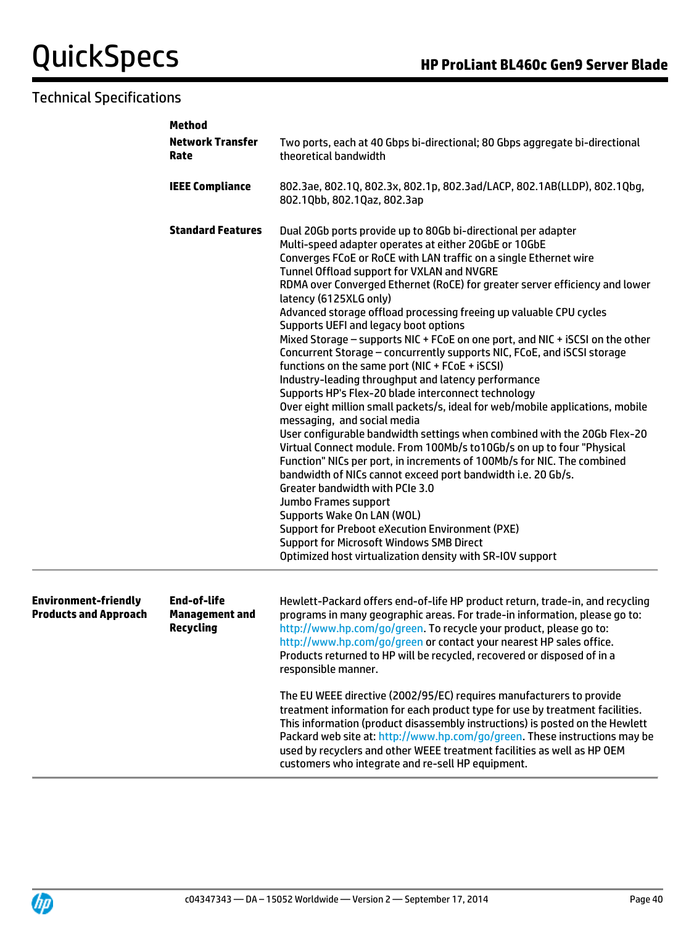## Technical Specifications

|                                                             | <b>Method</b>                                                   |                                                                                                                                                                                                                                                                                                                                                                                                                                                                                                                                                                                                                                                                                                                                                                                                                                                                                                                                                                                                                                                                                                                                                                                                                                                                                                                                                                                                                                                                                    |  |  |
|-------------------------------------------------------------|-----------------------------------------------------------------|------------------------------------------------------------------------------------------------------------------------------------------------------------------------------------------------------------------------------------------------------------------------------------------------------------------------------------------------------------------------------------------------------------------------------------------------------------------------------------------------------------------------------------------------------------------------------------------------------------------------------------------------------------------------------------------------------------------------------------------------------------------------------------------------------------------------------------------------------------------------------------------------------------------------------------------------------------------------------------------------------------------------------------------------------------------------------------------------------------------------------------------------------------------------------------------------------------------------------------------------------------------------------------------------------------------------------------------------------------------------------------------------------------------------------------------------------------------------------------|--|--|
|                                                             | <b>Network Transfer</b><br>Rate                                 | Two ports, each at 40 Gbps bi-directional; 80 Gbps aggregate bi-directional<br>theoretical bandwidth                                                                                                                                                                                                                                                                                                                                                                                                                                                                                                                                                                                                                                                                                                                                                                                                                                                                                                                                                                                                                                                                                                                                                                                                                                                                                                                                                                               |  |  |
|                                                             | <b>IEEE Compliance</b>                                          | 802.3ae, 802.1Q, 802.3x, 802.1p, 802.3ad/LACP, 802.1AB(LLDP), 802.1Qbg,<br>802.1Qbb, 802.1Qaz, 802.3ap                                                                                                                                                                                                                                                                                                                                                                                                                                                                                                                                                                                                                                                                                                                                                                                                                                                                                                                                                                                                                                                                                                                                                                                                                                                                                                                                                                             |  |  |
|                                                             | <b>Standard Features</b>                                        | Dual 20Gb ports provide up to 80Gb bi-directional per adapter<br>Multi-speed adapter operates at either 20GbE or 10GbE<br>Converges FCoE or RoCE with LAN traffic on a single Ethernet wire<br>Tunnel Offload support for VXLAN and NVGRE<br>RDMA over Converged Ethernet (RoCE) for greater server efficiency and lower<br>latency (6125XLG only)<br>Advanced storage offload processing freeing up valuable CPU cycles<br>Supports UEFI and legacy boot options<br>Mixed Storage - supports NIC + FCoE on one port, and NIC + iSCSI on the other<br>Concurrent Storage - concurrently supports NIC, FCoE, and iSCSI storage<br>functions on the same port (NIC + FCoE + iSCSI)<br>Industry-leading throughput and latency performance<br>Supports HP's Flex-20 blade interconnect technology<br>Over eight million small packets/s, ideal for web/mobile applications, mobile<br>messaging, and social media<br>User configurable bandwidth settings when combined with the 20Gb Flex-20<br>Virtual Connect module. From 100Mb/s to 10Gb/s on up to four "Physical<br>Function" NICs per port, in increments of 100Mb/s for NIC. The combined<br>bandwidth of NICs cannot exceed port bandwidth i.e. 20 Gb/s.<br>Greater bandwidth with PCIe 3.0<br>Jumbo Frames support<br>Supports Wake On LAN (WOL)<br><b>Support for Preboot eXecution Environment (PXE)</b><br><b>Support for Microsoft Windows SMB Direct</b><br>Optimized host virtualization density with SR-IOV support |  |  |
| <b>Environment-friendly</b><br><b>Products and Approach</b> | <b>End-of-life</b><br><b>Management and</b><br><b>Recycling</b> | Hewlett-Packard offers end-of-life HP product return, trade-in, and recycling<br>programs in many geographic areas. For trade-in information, please go to:<br>http://www.hp.com/go/green. To recycle your product, please go to:<br>http://www.hp.com/go/green or contact your nearest HP sales office.<br>Products returned to HP will be recycled, recovered or disposed of in a<br>responsible manner.<br>The EU WEEE directive (2002/95/EC) requires manufacturers to provide<br>treatment information for each product type for use by treatment facilities.<br>This information (product disassembly instructions) is posted on the Hewlett<br>Packard web site at: http://www.hp.com/go/green. These instructions may be<br>used by recyclers and other WEEE treatment facilities as well as HP OEM<br>customers who integrate and re-sell HP equipment.                                                                                                                                                                                                                                                                                                                                                                                                                                                                                                                                                                                                                   |  |  |

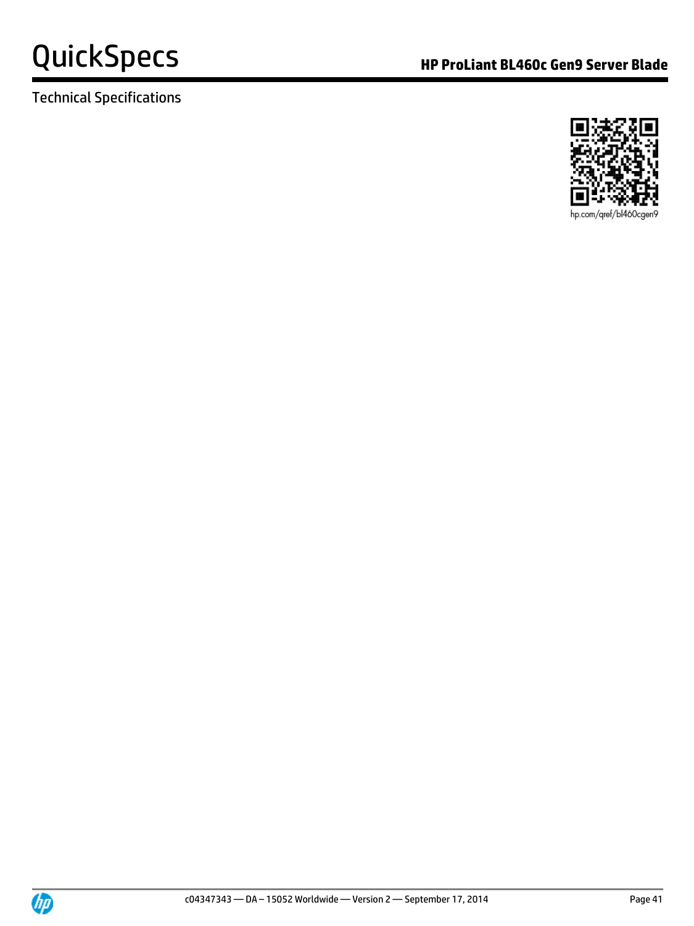

Technical Specifications